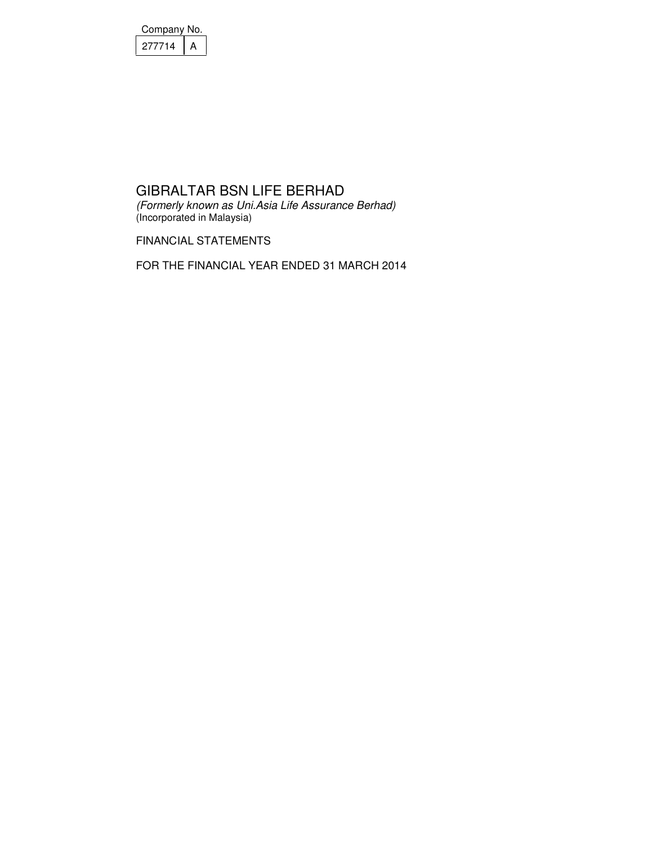| Company No. |  |
|-------------|--|
| 277714      |  |

(Formerly known as Uni.Asia Life Assurance Berhad) (Incorporated in Malaysia)

FINANCIAL STATEMENTS

FOR THE FINANCIAL YEAR ENDED 31 MARCH 2014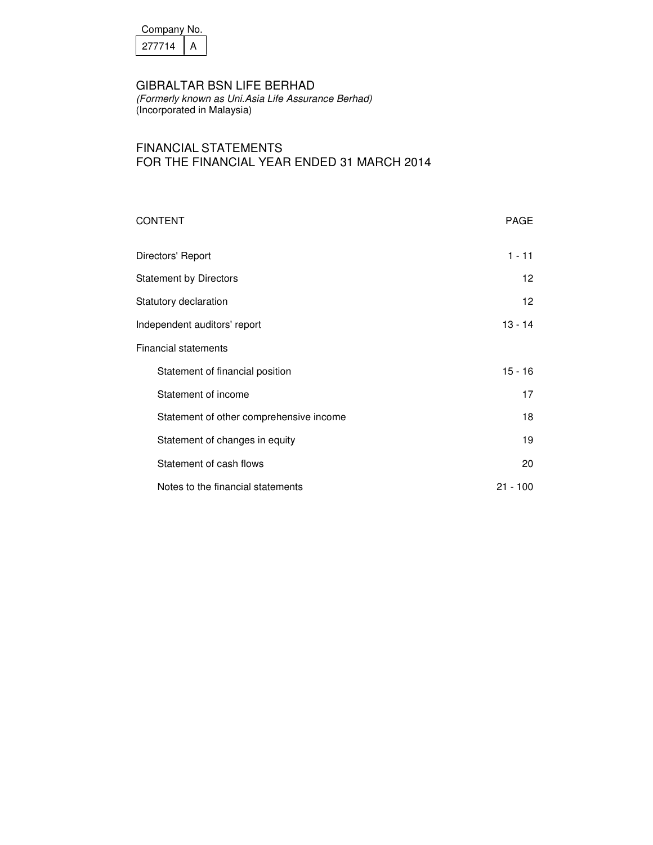| Company No. |  |
|-------------|--|
| 277714      |  |

(Formerly known as Uni.Asia Life Assurance Berhad) (Incorporated in Malaysia)

# FINANCIAL STATEMENTS FOR THE FINANCIAL YEAR ENDED 31 MARCH 2014

| CONTENT                                 | <b>PAGE</b> |
|-----------------------------------------|-------------|
| Directors' Report                       | $1 - 11$    |
| <b>Statement by Directors</b>           | 12          |
| Statutory declaration                   | 12          |
| Independent auditors' report            | $13 - 14$   |
| Financial statements                    |             |
| Statement of financial position         | $15 - 16$   |
| Statement of income                     | 17          |
| Statement of other comprehensive income | 18          |
| Statement of changes in equity          | 19          |
| Statement of cash flows                 | 20          |
| Notes to the financial statements       | $21 - 100$  |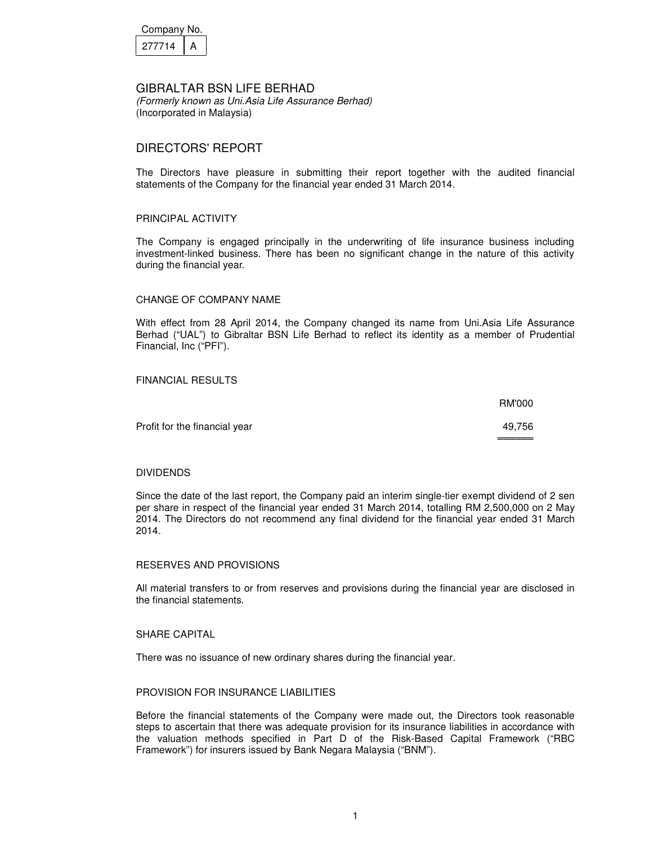| Company No. |  |
|-------------|--|
| 277714      |  |

(Formerly known as Uni.Asia Life Assurance Berhad) (Incorporated in Malaysia)

# DIRECTORS' REPORT

The Directors have pleasure in submitting their report together with the audited financial statements of the Company for the financial year ended 31 March 2014.

### PRINCIPAL ACTIVITY

The Company is engaged principally in the underwriting of life insurance business including investment-linked business. There has been no significant change in the nature of this activity during the financial year.

### CHANGE OF COMPANY NAME

With effect from 28 April 2014, the Company changed its name from Uni.Asia Life Assurance Berhad ("UAL") to Gibraltar BSN Life Berhad to reflect its identity as a member of Prudential Financial, Inc ("PFI").

### FINANCIAL RESULTS

|                               | RM'000 |
|-------------------------------|--------|
| Profit for the financial year | 49.756 |
|                               |        |

### DIVIDENDS

Since the date of the last report, the Company paid an interim single-tier exempt dividend of 2 sen per share in respect of the financial year ended 31 March 2014, totalling RM 2,500,000 on 2 May 2014. The Directors do not recommend any final dividend for the financial year ended 31 March 2014.

### RESERVES AND PROVISIONS

All material transfers to or from reserves and provisions during the financial year are disclosed in the financial statements.

### SHARE CAPITAL

There was no issuance of new ordinary shares during the financial year.

### PROVISION FOR INSURANCE LIABILITIES

Before the financial statements of the Company were made out, the Directors took reasonable steps to ascertain that there was adequate provision for its insurance liabilities in accordance with the valuation methods specified in Part D of the Risk-Based Capital Framework ("RBC Framework") for insurers issued by Bank Negara Malaysia ("BNM").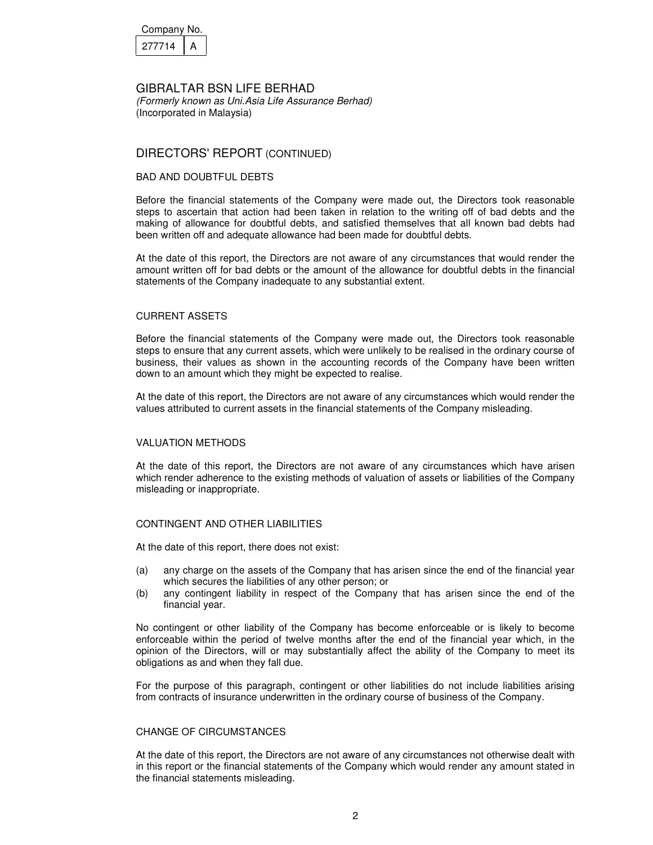| Company No. |  |
|-------------|--|
| 277714      |  |

(Formerly known as Uni.Asia Life Assurance Berhad) (Incorporated in Malaysia)

# DIRECTORS' REPORT (CONTINUED)

### BAD AND DOUBTFUL DEBTS

Before the financial statements of the Company were made out, the Directors took reasonable steps to ascertain that action had been taken in relation to the writing off of bad debts and the making of allowance for doubtful debts, and satisfied themselves that all known bad debts had been written off and adequate allowance had been made for doubtful debts.

At the date of this report, the Directors are not aware of any circumstances that would render the amount written off for bad debts or the amount of the allowance for doubtful debts in the financial statements of the Company inadequate to any substantial extent.

### CURRENT ASSETS

Before the financial statements of the Company were made out, the Directors took reasonable steps to ensure that any current assets, which were unlikely to be realised in the ordinary course of business, their values as shown in the accounting records of the Company have been written down to an amount which they might be expected to realise.

At the date of this report, the Directors are not aware of any circumstances which would render the values attributed to current assets in the financial statements of the Company misleading.

## VALUATION METHODS

At the date of this report, the Directors are not aware of any circumstances which have arisen which render adherence to the existing methods of valuation of assets or liabilities of the Company misleading or inappropriate.

### CONTINGENT AND OTHER LIABILITIES

At the date of this report, there does not exist:

- (a) any charge on the assets of the Company that has arisen since the end of the financial year which secures the liabilities of any other person; or
- (b) any contingent liability in respect of the Company that has arisen since the end of the financial year.

No contingent or other liability of the Company has become enforceable or is likely to become enforceable within the period of twelve months after the end of the financial year which, in the opinion of the Directors, will or may substantially affect the ability of the Company to meet its obligations as and when they fall due.

For the purpose of this paragraph, contingent or other liabilities do not include liabilities arising from contracts of insurance underwritten in the ordinary course of business of the Company.

### CHANGE OF CIRCUMSTANCES

At the date of this report, the Directors are not aware of any circumstances not otherwise dealt with in this report or the financial statements of the Company which would render any amount stated in the financial statements misleading.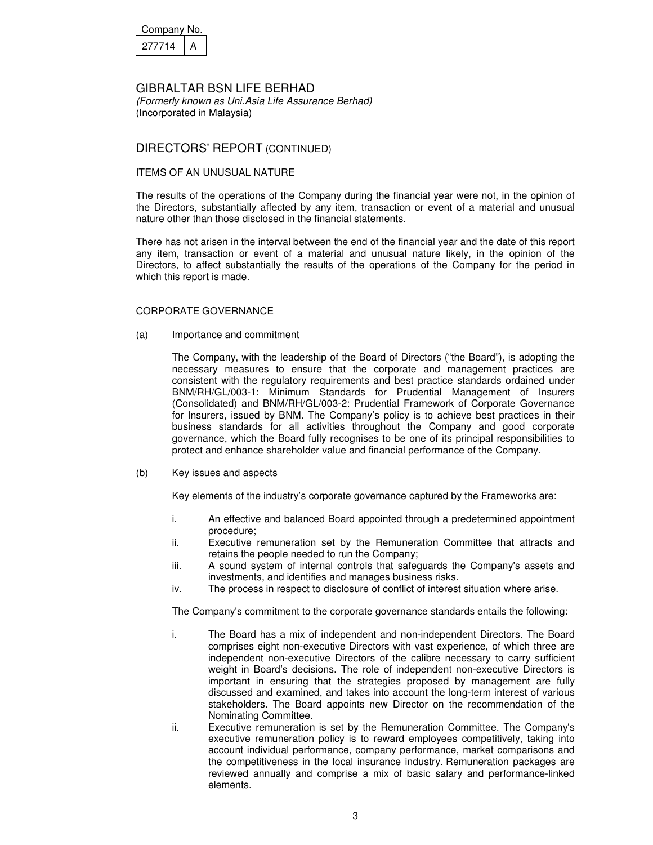| Company No. |  |
|-------------|--|
| 277714      |  |

(Formerly known as Uni.Asia Life Assurance Berhad) (Incorporated in Malaysia)

# DIRECTORS' REPORT (CONTINUED)

### ITEMS OF AN UNUSUAL NATURE

The results of the operations of the Company during the financial year were not, in the opinion of the Directors, substantially affected by any item, transaction or event of a material and unusual nature other than those disclosed in the financial statements.

There has not arisen in the interval between the end of the financial year and the date of this report any item, transaction or event of a material and unusual nature likely, in the opinion of the Directors, to affect substantially the results of the operations of the Company for the period in which this report is made.

### CORPORATE GOVERNANCE

(a) Importance and commitment

 The Company, with the leadership of the Board of Directors ("the Board"), is adopting the necessary measures to ensure that the corporate and management practices are consistent with the regulatory requirements and best practice standards ordained under BNM/RH/GL/003-1: Minimum Standards for Prudential Management of Insurers (Consolidated) and BNM/RH/GL/003-2: Prudential Framework of Corporate Governance for Insurers, issued by BNM. The Company's policy is to achieve best practices in their business standards for all activities throughout the Company and good corporate governance, which the Board fully recognises to be one of its principal responsibilities to protect and enhance shareholder value and financial performance of the Company.

(b) Key issues and aspects

Key elements of the industry's corporate governance captured by the Frameworks are:

- i. An effective and balanced Board appointed through a predetermined appointment procedure;
- ii. Executive remuneration set by the Remuneration Committee that attracts and retains the people needed to run the Company;
- iii. A sound system of internal controls that safeguards the Company's assets and investments, and identifies and manages business risks.
- iv. The process in respect to disclosure of conflict of interest situation where arise.

The Company's commitment to the corporate governance standards entails the following:

- i. The Board has a mix of independent and non-independent Directors. The Board comprises eight non-executive Directors with vast experience, of which three are independent non-executive Directors of the calibre necessary to carry sufficient weight in Board's decisions. The role of independent non-executive Directors is important in ensuring that the strategies proposed by management are fully discussed and examined, and takes into account the long-term interest of various stakeholders. The Board appoints new Director on the recommendation of the Nominating Committee.
- ii. Executive remuneration is set by the Remuneration Committee. The Company's executive remuneration policy is to reward employees competitively, taking into account individual performance, company performance, market comparisons and the competitiveness in the local insurance industry. Remuneration packages are reviewed annually and comprise a mix of basic salary and performance-linked elements.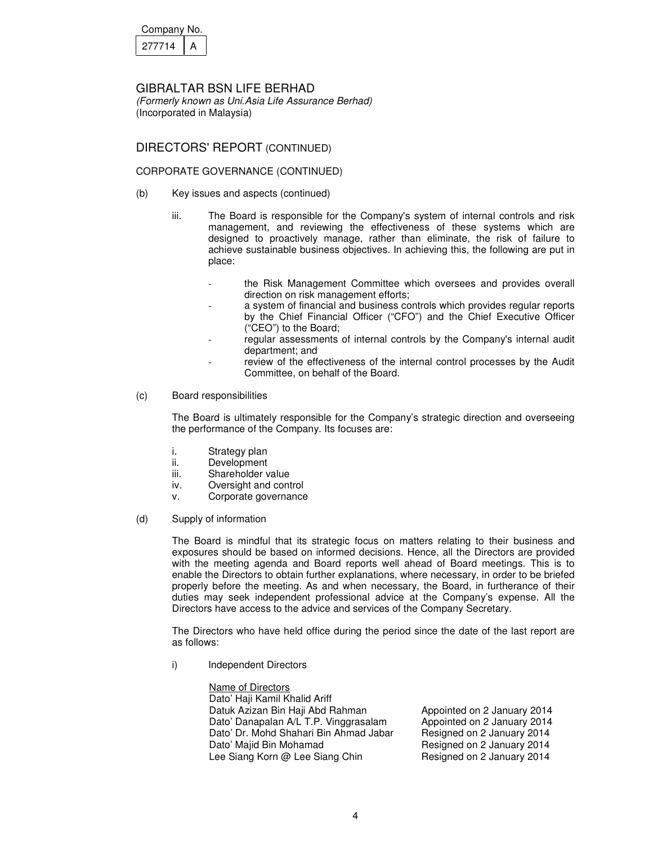| Company No. |  |
|-------------|--|
| 277714      |  |

(Formerly known as Uni.Asia Life Assurance Berhad) (Incorporated in Malaysia)

# DIRECTORS' REPORT (CONTINUED)

## CORPORATE GOVERNANCE (CONTINUED)

- (b) Key issues and aspects (continued)
	- iii. The Board is responsible for the Company's system of internal controls and risk management, and reviewing the effectiveness of these systems which are designed to proactively manage, rather than eliminate, the risk of failure to achieve sustainable business objectives. In achieving this, the following are put in place:
		- the Risk Management Committee which oversees and provides overall direction on risk management efforts;
		- a system of financial and business controls which provides regular reports by the Chief Financial Officer ("CFO") and the Chief Executive Officer ("CEO") to the Board;
		- regular assessments of internal controls by the Company's internal audit department; and
		- review of the effectiveness of the internal control processes by the Audit Committee, on behalf of the Board.
- (c) Board responsibilities

 The Board is ultimately responsible for the Company's strategic direction and overseeing the performance of the Company. Its focuses are:

- i. Strategy plan
- ii. Development
- iii. Shareholder value
- iv. Oversight and control
- v. Corporate governance
- (d) Supply of information

 The Board is mindful that its strategic focus on matters relating to their business and exposures should be based on informed decisions. Hence, all the Directors are provided with the meeting agenda and Board reports well ahead of Board meetings. This is to enable the Directors to obtain further explanations, where necessary, in order to be briefed properly before the meeting. As and when necessary, the Board, in furtherance of their duties may seek independent professional advice at the Company's expense. All the Directors have access to the advice and services of the Company Secretary.

 The Directors who have held office during the period since the date of the last report are as follows:

i) Independent Directors

Name of Directors Dato' Haji Kamil Khalid Ariff Datuk Azizan Bin Haji Abd Rahman Appointed on 2 January 2014 Dato' Danapalan A/L T.P. Vinggrasalam Appointed on 2 January 2014 Dato' Dr. Mohd Shahari Bin Ahmad Jabar<br>Dato' Majid Bin Mohamad Lee Siang Korn @ Lee Siang Chin Resigned on 2 January 2014

Resigned on 2 January 2014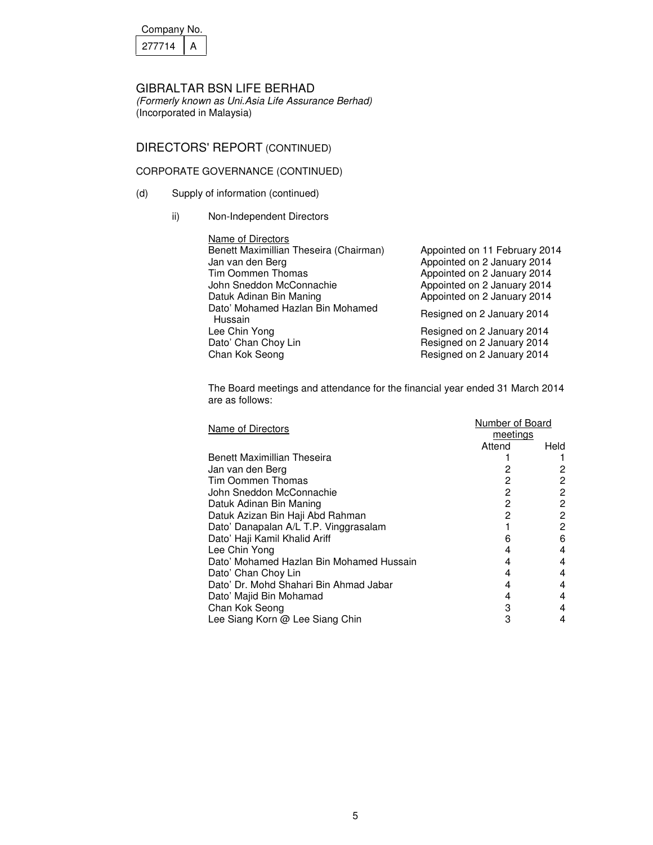| Company No. |  |
|-------------|--|
| 277714      |  |

(Formerly known as Uni.Asia Life Assurance Berhad) (Incorporated in Malaysia)

# DIRECTORS' REPORT (CONTINUED)

# CORPORATE GOVERNANCE (CONTINUED)

- (d) Supply of information (continued)
	- ii) Non-Independent Directors

| Name of Directors                           |                               |
|---------------------------------------------|-------------------------------|
| Benett Maximillian Theseira (Chairman)      | Appointed on 11 February 2014 |
| Jan van den Berg                            | Appointed on 2 January 2014   |
| <b>Tim Oommen Thomas</b>                    | Appointed on 2 January 2014   |
| John Sneddon McConnachie                    | Appointed on 2 January 2014   |
| Datuk Adinan Bin Maning                     | Appointed on 2 January 2014   |
| Dato' Mohamed Hazlan Bin Mohamed<br>Hussain | Resigned on 2 January 2014    |
| Lee Chin Yong                               | Resigned on 2 January 2014    |
| Dato' Chan Choy Lin                         | Resigned on 2 January 2014    |
| Chan Kok Seong                              | Resigned on 2 January 2014    |

The Board meetings and attendance for the financial year ended 31 March 2014 are as follows:

| Name of Directors                        | Number of Board |      |
|------------------------------------------|-----------------|------|
|                                          | meetings        |      |
|                                          | Attend          | Held |
| Benett Maximillian Theseira              |                 |      |
| Jan van den Berg                         | 2               | 2    |
| Tim Oommen Thomas                        | 2               | 2    |
| John Sneddon McConnachie                 | 2               | 2    |
| Datuk Adinan Bin Maning                  | 2               | 2    |
| Datuk Azizan Bin Haji Abd Rahman         | 2               | 2    |
| Dato' Danapalan A/L T.P. Vinggrasalam    |                 | 2    |
| Dato' Haji Kamil Khalid Ariff            | 6               | 6    |
| Lee Chin Yong                            | 4               | 4    |
| Dato' Mohamed Hazlan Bin Mohamed Hussain | 4               | 4    |
| Dato' Chan Choy Lin                      | 4               | 4    |
| Dato' Dr. Mohd Shahari Bin Ahmad Jabar   | 4               | 4    |
| Dato' Majid Bin Mohamad                  | 4               | 4    |
| Chan Kok Seong                           | 3               |      |
| Lee Siang Korn @ Lee Siang Chin          | 3               | 4    |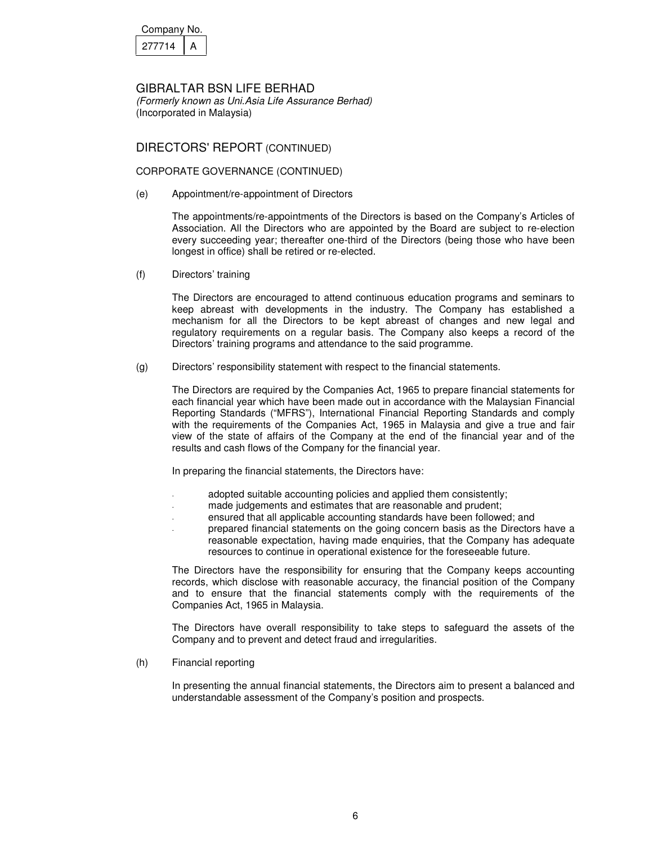| Company No. |  |
|-------------|--|
| 277714      |  |

(Formerly known as Uni.Asia Life Assurance Berhad) (Incorporated in Malaysia)

# DIRECTORS' REPORT (CONTINUED)

## CORPORATE GOVERNANCE (CONTINUED)

(e) Appointment/re-appointment of Directors

 The appointments/re-appointments of the Directors is based on the Company's Articles of Association. All the Directors who are appointed by the Board are subject to re-election every succeeding year; thereafter one-third of the Directors (being those who have been longest in office) shall be retired or re-elected.

(f) Directors' training

 The Directors are encouraged to attend continuous education programs and seminars to keep abreast with developments in the industry. The Company has established a mechanism for all the Directors to be kept abreast of changes and new legal and regulatory requirements on a regular basis. The Company also keeps a record of the Directors' training programs and attendance to the said programme.

(g) Directors' responsibility statement with respect to the financial statements.

 The Directors are required by the Companies Act, 1965 to prepare financial statements for each financial year which have been made out in accordance with the Malaysian Financial Reporting Standards ("MFRS"), International Financial Reporting Standards and comply with the requirements of the Companies Act, 1965 in Malaysia and give a true and fair view of the state of affairs of the Company at the end of the financial year and of the results and cash flows of the Company for the financial year.

In preparing the financial statements, the Directors have:

- adopted suitable accounting policies and applied them consistently;
- made judgements and estimates that are reasonable and prudent;
- ensured that all applicable accounting standards have been followed; and
- prepared financial statements on the going concern basis as the Directors have a reasonable expectation, having made enquiries, that the Company has adequate resources to continue in operational existence for the foreseeable future.

The Directors have the responsibility for ensuring that the Company keeps accounting records, which disclose with reasonable accuracy, the financial position of the Company and to ensure that the financial statements comply with the requirements of the Companies Act, 1965 in Malaysia.

The Directors have overall responsibility to take steps to safeguard the assets of the Company and to prevent and detect fraud and irregularities.

(h) Financial reporting

 In presenting the annual financial statements, the Directors aim to present a balanced and understandable assessment of the Company's position and prospects.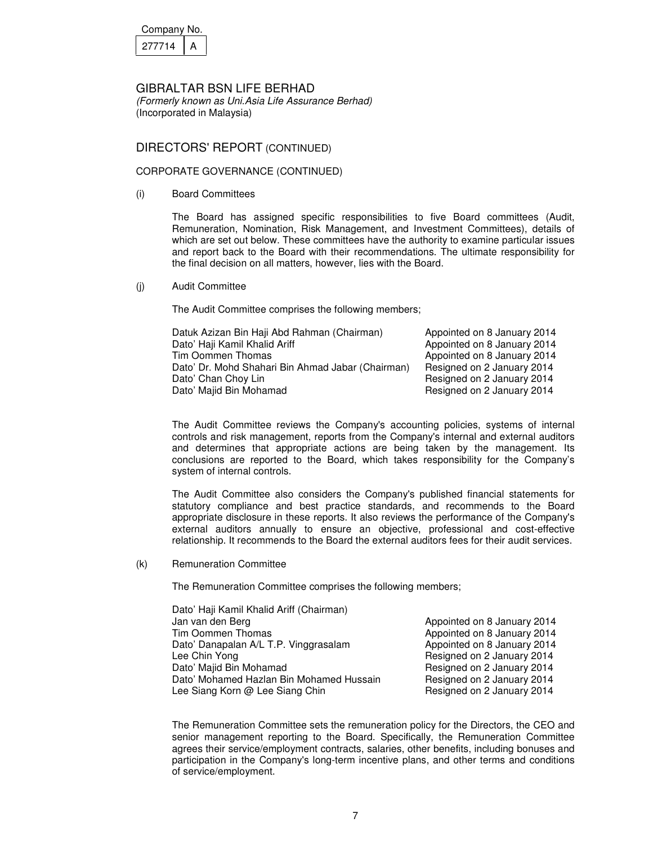| Company No. |  |
|-------------|--|
| 277714      |  |

(Formerly known as Uni.Asia Life Assurance Berhad) (Incorporated in Malaysia)

# DIRECTORS' REPORT (CONTINUED)

## CORPORATE GOVERNANCE (CONTINUED)

(i) Board Committees

 The Board has assigned specific responsibilities to five Board committees (Audit, Remuneration, Nomination, Risk Management, and Investment Committees), details of which are set out below. These committees have the authority to examine particular issues and report back to the Board with their recommendations. The ultimate responsibility for the final decision on all matters, however, lies with the Board.

(j) Audit Committee

The Audit Committee comprises the following members;

| Datuk Azizan Bin Haji Abd Rahman (Chairman)       | Appointed on 8 January 2014 |
|---------------------------------------------------|-----------------------------|
| Dato' Haji Kamil Khalid Ariff                     | Appointed on 8 January 2014 |
| Tim Oommen Thomas                                 | Appointed on 8 January 2014 |
| Dato' Dr. Mohd Shahari Bin Ahmad Jabar (Chairman) | Resigned on 2 January 2014  |
| Dato' Chan Choy Lin                               | Resigned on 2 January 2014  |
| Dato' Majid Bin Mohamad                           | Resigned on 2 January 2014  |

 The Audit Committee reviews the Company's accounting policies, systems of internal controls and risk management, reports from the Company's internal and external auditors and determines that appropriate actions are being taken by the management. Its conclusions are reported to the Board, which takes responsibility for the Company's system of internal controls.

 The Audit Committee also considers the Company's published financial statements for statutory compliance and best practice standards, and recommends to the Board appropriate disclosure in these reports. It also reviews the performance of the Company's external auditors annually to ensure an objective, professional and cost-effective relationship. It recommends to the Board the external auditors fees for their audit services.

(k) Remuneration Committee

The Remuneration Committee comprises the following members;

| Dato' Haji Kamil Khalid Ariff (Chairman) |                             |
|------------------------------------------|-----------------------------|
| Jan van den Berg                         | Appointed on 8 January 2014 |
| <b>Tim Oommen Thomas</b>                 | Appointed on 8 January 2014 |
| Dato' Danapalan A/L T.P. Vinggrasalam    | Appointed on 8 January 2014 |
| Lee Chin Yong                            | Resigned on 2 January 2014  |
| Dato' Majid Bin Mohamad                  | Resigned on 2 January 2014  |
| Dato' Mohamed Hazlan Bin Mohamed Hussain | Resigned on 2 January 2014  |
| Lee Siang Korn @ Lee Siang Chin          | Resigned on 2 January 2014  |

The Remuneration Committee sets the remuneration policy for the Directors, the CEO and senior management reporting to the Board. Specifically, the Remuneration Committee agrees their service/employment contracts, salaries, other benefits, including bonuses and participation in the Company's long-term incentive plans, and other terms and conditions of service/employment.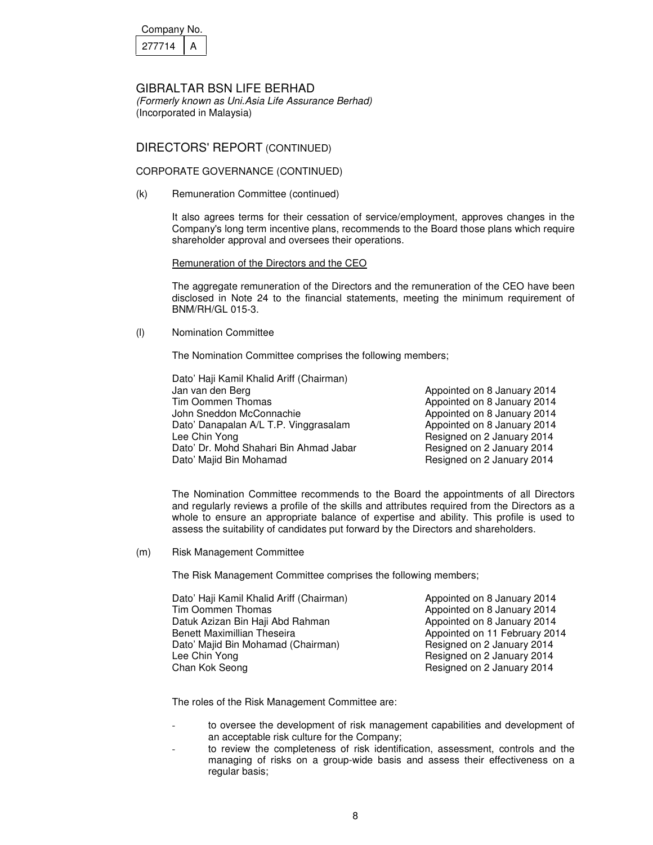| Company No. |  |
|-------------|--|
| 277714      |  |

(Formerly known as Uni.Asia Life Assurance Berhad) (Incorporated in Malaysia)

# DIRECTORS' REPORT (CONTINUED)

## CORPORATE GOVERNANCE (CONTINUED)

(k) Remuneration Committee (continued)

It also agrees terms for their cessation of service/employment, approves changes in the Company's long term incentive plans, recommends to the Board those plans which require shareholder approval and oversees their operations.

### Remuneration of the Directors and the CEO

The aggregate remuneration of the Directors and the remuneration of the CEO have been disclosed in Note 24 to the financial statements, meeting the minimum requirement of BNM/RH/GL 015-3.

(l) Nomination Committee

The Nomination Committee comprises the following members;

 Dato' Haji Kamil Khalid Ariff (Chairman) Jan van den Berg Appointed on 8 January 2014 Tim Oommen Thomas Thomas Appointed on 8 January 2014 John Sneddon McConnachie Appointed on 8 January 2014 Dato' Danapalan A/L T.P. Vinggrasalam Appointed on 8 January 2014 Lee Chin Yong **Resigned on 2 January 2014** Dato' Dr. Mohd Shahari Bin Ahmad Jabar **Resigned on 2 January 2014** Dato' Majid Bin Mohamad **Dato'** Resigned on 2 January 2014

The Nomination Committee recommends to the Board the appointments of all Directors and regularly reviews a profile of the skills and attributes required from the Directors as a whole to ensure an appropriate balance of expertise and ability. This profile is used to assess the suitability of candidates put forward by the Directors and shareholders.

(m) Risk Management Committee

The Risk Management Committee comprises the following members;

Dato' Haji Kamil Khalid Ariff (Chairman) Appointed on 8 January 2014 Tim Oommen Thomas **Appointed on 8 January 2014** Datuk Azizan Bin Haji Abd Rahman Appointed on 8 January 2014 Benett Maximillian Theseira **Appointed on 11 February 2014**  Dato' Majid Bin Mohamad (Chairman) Resigned on 2 January 2014 Lee Chin Yong The Chin Yong China Resigned on 2 January 2014<br>Chan Kok Seong The China Resigned on 2 January 2014

Resigned on 2 January 2014

The roles of the Risk Management Committee are:

- to oversee the development of risk management capabilities and development of an acceptable risk culture for the Company;
- to review the completeness of risk identification, assessment, controls and the managing of risks on a group-wide basis and assess their effectiveness on a regular basis;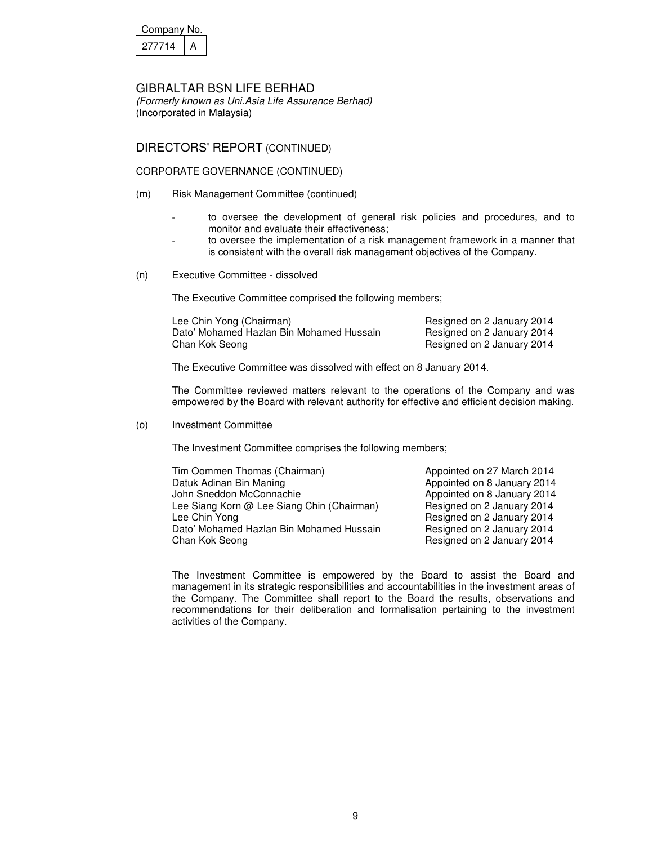| Company No. |  |
|-------------|--|
| 277714      |  |

(Formerly known as Uni.Asia Life Assurance Berhad) (Incorporated in Malaysia)

DIRECTORS' REPORT (CONTINUED)

## CORPORATE GOVERNANCE (CONTINUED)

- (m) Risk Management Committee (continued)
	- to oversee the development of general risk policies and procedures, and to monitor and evaluate their effectiveness;
	- to oversee the implementation of a risk management framework in a manner that is consistent with the overall risk management objectives of the Company.
- (n) Executive Committee dissolved

The Executive Committee comprised the following members;

| Lee Chin Yong (Chairman)                 | Resigned on 2 January 2014 |
|------------------------------------------|----------------------------|
| Dato' Mohamed Hazlan Bin Mohamed Hussain | Resigned on 2 January 2014 |
| Chan Kok Seong                           | Resigned on 2 January 2014 |

The Executive Committee was dissolved with effect on 8 January 2014.

 The Committee reviewed matters relevant to the operations of the Company and was empowered by the Board with relevant authority for effective and efficient decision making.

(o) Investment Committee

The Investment Committee comprises the following members;

| Tim Oommen Thomas (Chairman)               | Appointed on 27 March 2014  |
|--------------------------------------------|-----------------------------|
| Datuk Adinan Bin Maning                    | Appointed on 8 January 2014 |
| John Sneddon McConnachie                   | Appointed on 8 January 2014 |
| Lee Siang Korn @ Lee Siang Chin (Chairman) | Resigned on 2 January 2014  |
| Lee Chin Yong                              | Resigned on 2 January 2014  |
| Dato' Mohamed Hazlan Bin Mohamed Hussain   | Resigned on 2 January 2014  |
| Chan Kok Seong                             | Resigned on 2 January 2014  |
|                                            |                             |

 The Investment Committee is empowered by the Board to assist the Board and management in its strategic responsibilities and accountabilities in the investment areas of the Company. The Committee shall report to the Board the results, observations and recommendations for their deliberation and formalisation pertaining to the investment activities of the Company.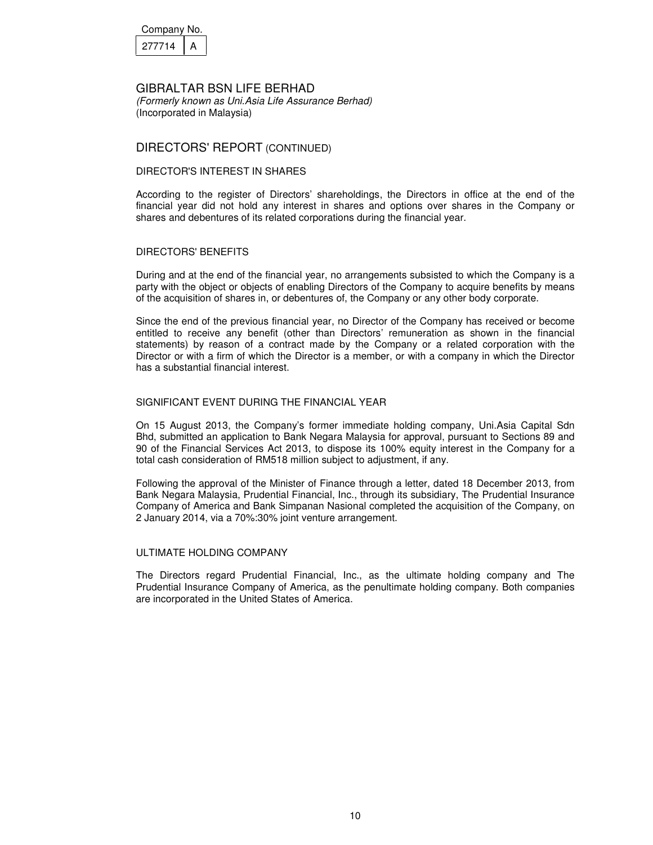| Company No. |  |
|-------------|--|
| 277714      |  |

(Formerly known as Uni.Asia Life Assurance Berhad) (Incorporated in Malaysia)

## DIRECTORS' REPORT (CONTINUED)

### DIRECTOR'S INTEREST IN SHARES

According to the register of Directors' shareholdings, the Directors in office at the end of the financial year did not hold any interest in shares and options over shares in the Company or shares and debentures of its related corporations during the financial year.

### DIRECTORS' BENEFITS

During and at the end of the financial year, no arrangements subsisted to which the Company is a party with the object or objects of enabling Directors of the Company to acquire benefits by means of the acquisition of shares in, or debentures of, the Company or any other body corporate.

Since the end of the previous financial year, no Director of the Company has received or become entitled to receive any benefit (other than Directors' remuneration as shown in the financial statements) by reason of a contract made by the Company or a related corporation with the Director or with a firm of which the Director is a member, or with a company in which the Director has a substantial financial interest.

### SIGNIFICANT EVENT DURING THE FINANCIAL YEAR

On 15 August 2013, the Company's former immediate holding company, Uni.Asia Capital Sdn Bhd, submitted an application to Bank Negara Malaysia for approval, pursuant to Sections 89 and 90 of the Financial Services Act 2013, to dispose its 100% equity interest in the Company for a total cash consideration of RM518 million subject to adjustment, if any.

Following the approval of the Minister of Finance through a letter, dated 18 December 2013, from Bank Negara Malaysia, Prudential Financial, Inc., through its subsidiary, The Prudential Insurance Company of America and Bank Simpanan Nasional completed the acquisition of the Company, on 2 January 2014, via a 70%:30% joint venture arrangement.

### ULTIMATE HOLDING COMPANY

The Directors regard Prudential Financial, Inc., as the ultimate holding company and The Prudential Insurance Company of America, as the penultimate holding company. Both companies are incorporated in the United States of America.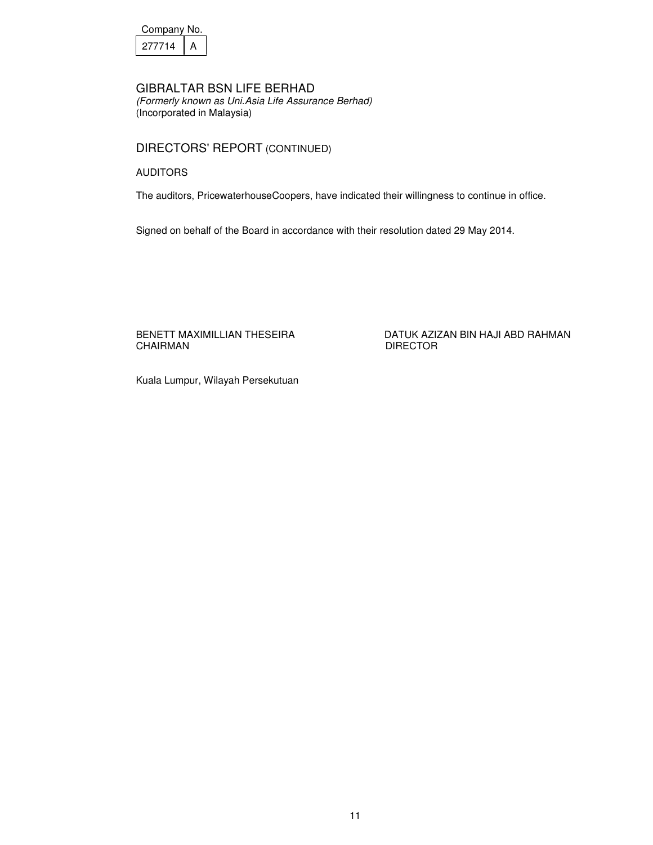| Company No. |  |
|-------------|--|
| 277714      |  |

(Formerly known as Uni.Asia Life Assurance Berhad) (Incorporated in Malaysia)

DIRECTORS' REPORT (CONTINUED)

AUDITORS

The auditors, PricewaterhouseCoopers, have indicated their willingness to continue in office.

Signed on behalf of the Board in accordance with their resolution dated 29 May 2014.

BENETT MAXIMILLIAN THESEIRA DATUK AZIZAN BIN HAJI ABD RAHMAN **DIRECTOR** 

Kuala Lumpur, Wilayah Persekutuan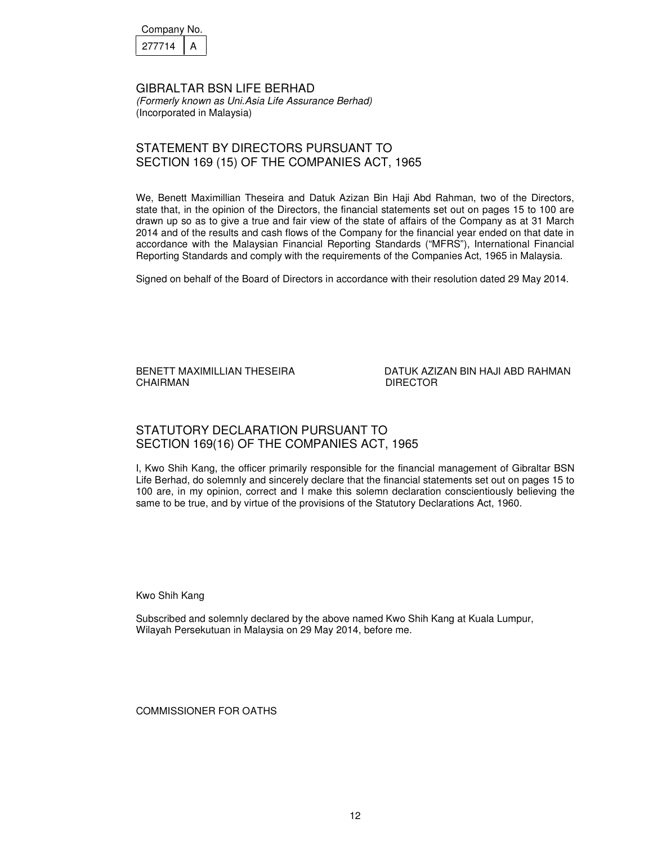| Company No. |  |
|-------------|--|
| 277714      |  |

(Formerly known as Uni.Asia Life Assurance Berhad) (Incorporated in Malaysia)

# STATEMENT BY DIRECTORS PURSUANT TO SECTION 169 (15) OF THE COMPANIES ACT, 1965

We, Benett Maximillian Theseira and Datuk Azizan Bin Haji Abd Rahman, two of the Directors, state that, in the opinion of the Directors, the financial statements set out on pages 15 to 100 are drawn up so as to give a true and fair view of the state of affairs of the Company as at 31 March 2014 and of the results and cash flows of the Company for the financial year ended on that date in accordance with the Malaysian Financial Reporting Standards ("MFRS"), International Financial Reporting Standards and comply with the requirements of the Companies Act, 1965 in Malaysia.

Signed on behalf of the Board of Directors in accordance with their resolution dated 29 May 2014.

CHAIRMAN DIRECTOR

BENETT MAXIMILLIAN THESEIRA DATUK AZIZAN BIN HAJI ABD RAHMAN

## STATUTORY DECLARATION PURSUANT TO SECTION 169(16) OF THE COMPANIES ACT, 1965

I, Kwo Shih Kang, the officer primarily responsible for the financial management of Gibraltar BSN Life Berhad, do solemnly and sincerely declare that the financial statements set out on pages 15 to 100 are, in my opinion, correct and I make this solemn declaration conscientiously believing the same to be true, and by virtue of the provisions of the Statutory Declarations Act, 1960.

Kwo Shih Kang

Subscribed and solemnly declared by the above named Kwo Shih Kang at Kuala Lumpur, Wilayah Persekutuan in Malaysia on 29 May 2014, before me.

COMMISSIONER FOR OATHS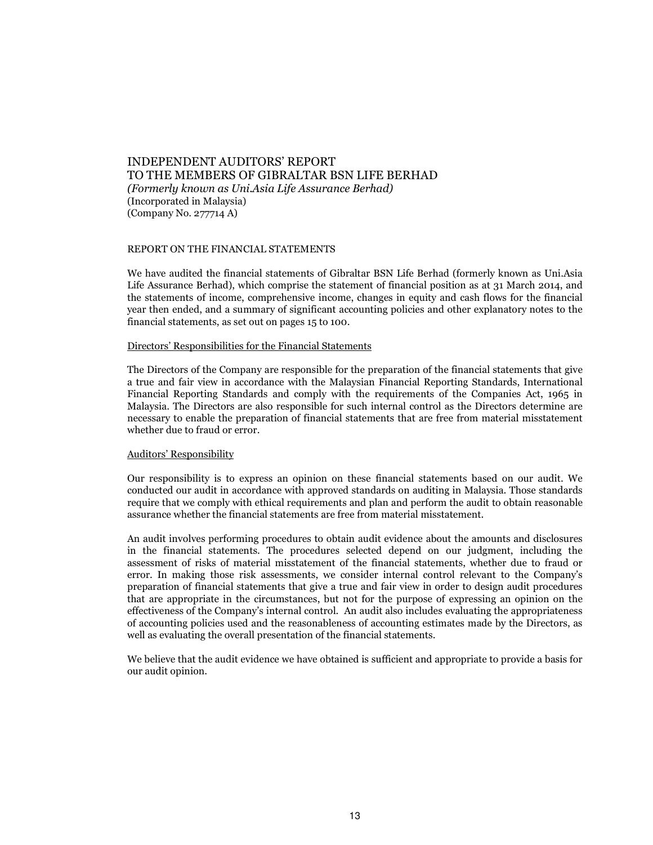## INDEPENDENT AUDITORS' REPORT TO THE MEMBERS OF GIBRALTAR BSN LIFE BERHAD (Formerly known as Uni.Asia Life Assurance Berhad) (Incorporated in Malaysia) (Company No. 277714 A)

### REPORT ON THE FINANCIAL STATEMENTS

We have audited the financial statements of Gibraltar BSN Life Berhad (formerly known as Uni.Asia Life Assurance Berhad), which comprise the statement of financial position as at 31 March 2014, and the statements of income, comprehensive income, changes in equity and cash flows for the financial year then ended, and a summary of significant accounting policies and other explanatory notes to the financial statements, as set out on pages 15 to 100.

#### Directors' Responsibilities for the Financial Statements

The Directors of the Company are responsible for the preparation of the financial statements that give a true and fair view in accordance with the Malaysian Financial Reporting Standards, International Financial Reporting Standards and comply with the requirements of the Companies Act, 1965 in Malaysia. The Directors are also responsible for such internal control as the Directors determine are necessary to enable the preparation of financial statements that are free from material misstatement whether due to fraud or error.

#### Auditors' Responsibility

Our responsibility is to express an opinion on these financial statements based on our audit. We conducted our audit in accordance with approved standards on auditing in Malaysia. Those standards require that we comply with ethical requirements and plan and perform the audit to obtain reasonable assurance whether the financial statements are free from material misstatement.

An audit involves performing procedures to obtain audit evidence about the amounts and disclosures in the financial statements. The procedures selected depend on our judgment, including the assessment of risks of material misstatement of the financial statements, whether due to fraud or error. In making those risk assessments, we consider internal control relevant to the Company's preparation of financial statements that give a true and fair view in order to design audit procedures that are appropriate in the circumstances, but not for the purpose of expressing an opinion on the effectiveness of the Company's internal control. An audit also includes evaluating the appropriateness of accounting policies used and the reasonableness of accounting estimates made by the Directors, as well as evaluating the overall presentation of the financial statements.

We believe that the audit evidence we have obtained is sufficient and appropriate to provide a basis for our audit opinion.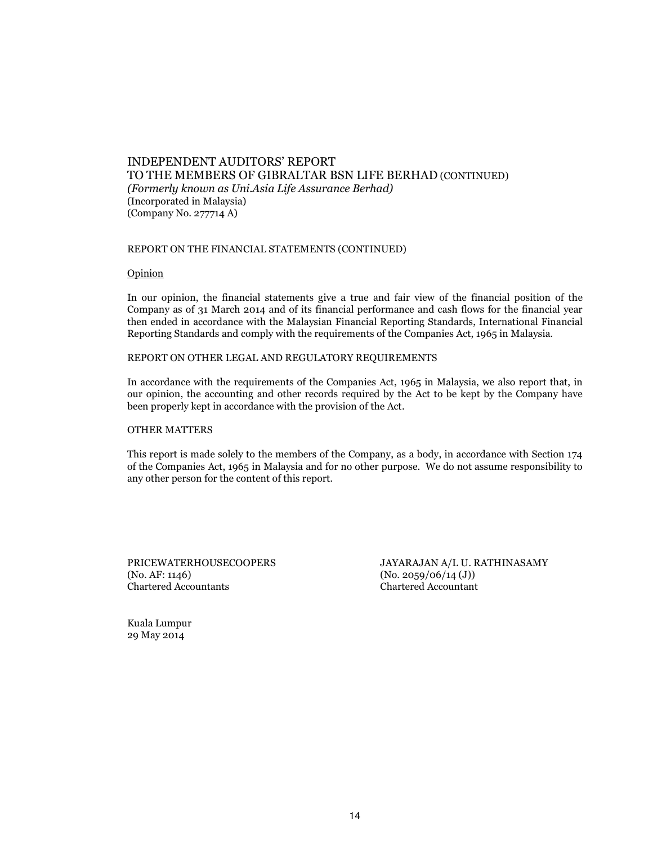# INDEPENDENT AUDITORS' REPORT TO THE MEMBERS OF GIBRALTAR BSN LIFE BERHAD (CONTINUED) (Formerly known as Uni.Asia Life Assurance Berhad) (Incorporated in Malaysia)

(Company No. 277714 A)

### REPORT ON THE FINANCIAL STATEMENTS (CONTINUED)

### Opinion

In our opinion, the financial statements give a true and fair view of the financial position of the Company as of 31 March 2014 and of its financial performance and cash flows for the financial year then ended in accordance with the Malaysian Financial Reporting Standards, International Financial Reporting Standards and comply with the requirements of the Companies Act, 1965 in Malaysia.

### REPORT ON OTHER LEGAL AND REGULATORY REQUIREMENTS

In accordance with the requirements of the Companies Act, 1965 in Malaysia, we also report that, in our opinion, the accounting and other records required by the Act to be kept by the Company have been properly kept in accordance with the provision of the Act.

### OTHER MATTERS

This report is made solely to the members of the Company, as a body, in accordance with Section 174 of the Companies Act, 1965 in Malaysia and for no other purpose. We do not assume responsibility to any other person for the content of this report.

 $(No. AF: 1146)$   $(No. 2059/06/14 (J))$ Chartered Accountants Chartered Accountant

PRICEWATERHOUSECOOPERS JAYARAJAN A/L U. RATHINASAMY

Kuala Lumpur 29 May 2014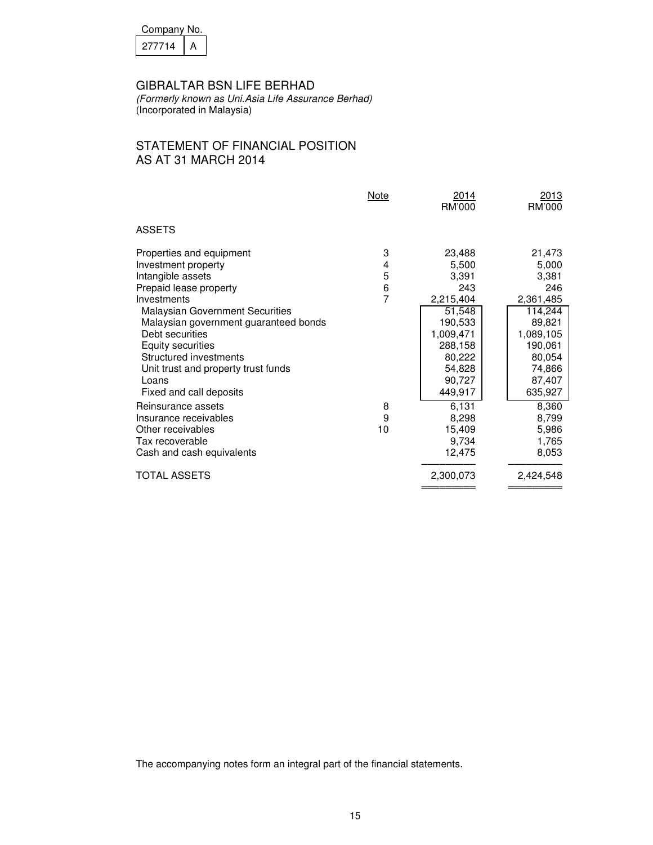| Company No. |  |
|-------------|--|
|             |  |

|--|

(Formerly known as Uni.Asia Life Assurance Berhad) (Incorporated in Malaysia)

# STATEMENT OF FINANCIAL POSITION AS AT 31 MARCH 2014

|                                                                                                                                                                                                                                             | <b>Note</b>      | 2014<br>RM'000                                                                                  | 2013<br>RM'000                                                                                  |
|---------------------------------------------------------------------------------------------------------------------------------------------------------------------------------------------------------------------------------------------|------------------|-------------------------------------------------------------------------------------------------|-------------------------------------------------------------------------------------------------|
| <b>ASSETS</b>                                                                                                                                                                                                                               |                  |                                                                                                 |                                                                                                 |
| Properties and equipment<br>Investment property<br>Intangible assets<br>Prepaid lease property                                                                                                                                              | 3<br>4<br>5<br>6 | 23,488<br>5,500<br>3,391<br>243                                                                 | 21,473<br>5,000<br>3,381<br>246                                                                 |
| Investments<br><b>Malaysian Government Securities</b><br>Malaysian government guaranteed bonds<br>Debt securities<br>Equity securities<br>Structured investments<br>Unit trust and property trust funds<br>Loans<br>Fixed and call deposits | 7                | 2,215,404<br>51,548<br>190,533<br>1,009,471<br>288,158<br>80,222<br>54,828<br>90,727<br>449,917 | 2,361,485<br>114,244<br>89,821<br>1,089,105<br>190,061<br>80,054<br>74,866<br>87,407<br>635,927 |
| Reinsurance assets<br>Insurance receivables<br>Other receivables<br>Tax recoverable<br>Cash and cash equivalents<br><b>TOTAL ASSETS</b>                                                                                                     | 8<br>9<br>10     | 6,131<br>8,298<br>15,409<br>9,734<br>12,475<br>2,300,073                                        | 8,360<br>8,799<br>5,986<br>1,765<br>8,053<br>2,424,548                                          |
|                                                                                                                                                                                                                                             |                  |                                                                                                 |                                                                                                 |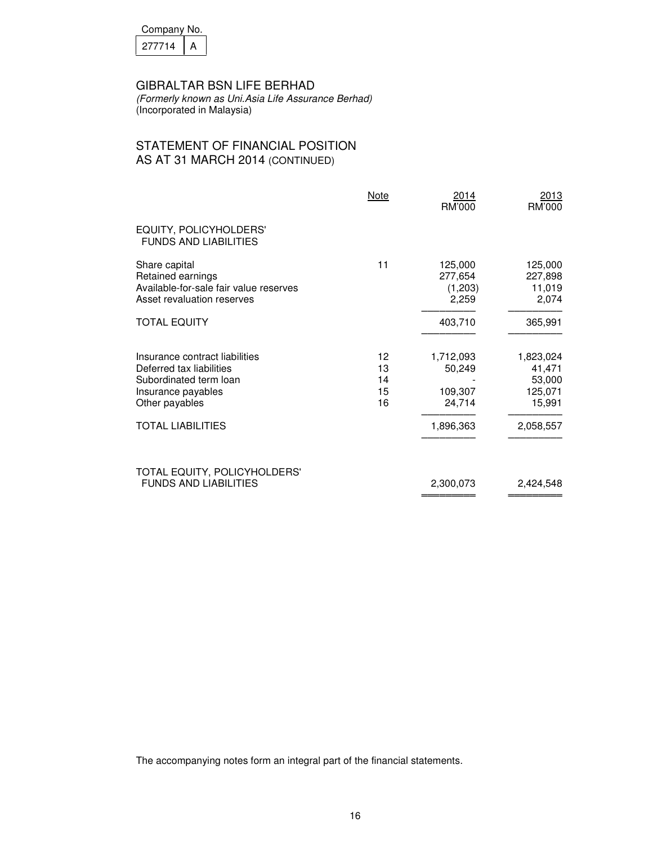| Company No. |  |
|-------------|--|
|             |  |

|--|

(Formerly known as Uni.Asia Life Assurance Berhad) (Incorporated in Malaysia)

# STATEMENT OF FINANCIAL POSITION AS AT 31 MARCH 2014 (CONTINUED)

|                                                                                                                                                          | Note                       | 2014<br>RM'000                                        | <u> 2013</u><br>RM'000                                          |
|----------------------------------------------------------------------------------------------------------------------------------------------------------|----------------------------|-------------------------------------------------------|-----------------------------------------------------------------|
| EQUITY, POLICYHOLDERS'<br><b>FUNDS AND LIABILITIES</b>                                                                                                   |                            |                                                       |                                                                 |
| Share capital<br>Retained earnings<br>Available-for-sale fair value reserves<br>Asset revaluation reserves                                               | 11                         | 125,000<br>277,654<br>(1,203)<br>2,259                | 125,000<br>227,898<br>11,019<br>2,074                           |
| <b>TOTAL EQUITY</b>                                                                                                                                      |                            | 403,710                                               | 365,991                                                         |
| Insurance contract liabilities<br>Deferred tax liabilities<br>Subordinated term loan<br>Insurance payables<br>Other payables<br><b>TOTAL LIABILITIES</b> | 12<br>13<br>14<br>15<br>16 | 1,712,093<br>50,249<br>109,307<br>24,714<br>1,896,363 | 1,823,024<br>41,471<br>53,000<br>125,071<br>15,991<br>2,058,557 |
|                                                                                                                                                          |                            |                                                       |                                                                 |
| TOTAL EQUITY, POLICYHOLDERS'<br><b>FUNDS AND LIABILITIES</b>                                                                                             |                            | 2,300,073                                             | 2,424,548                                                       |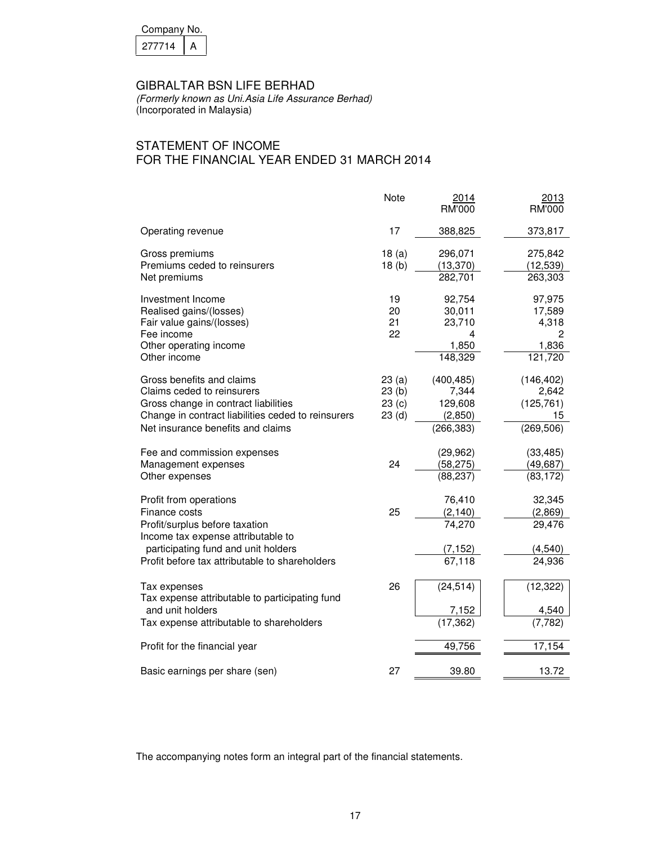| Company No. |  |
|-------------|--|
|             |  |

|--|

(Formerly known as Uni.Asia Life Assurance Berhad) (Incorporated in Malaysia)

# STATEMENT OF INCOME FOR THE FINANCIAL YEAR ENDED 31 MARCH 2014

|                                                                                                                                                                                                          | Note                                         | 2014<br><b>RM'000</b>                                   | 2013<br><b>RM'000</b>                                 |
|----------------------------------------------------------------------------------------------------------------------------------------------------------------------------------------------------------|----------------------------------------------|---------------------------------------------------------|-------------------------------------------------------|
| Operating revenue                                                                                                                                                                                        | 17                                           | 388,825                                                 | 373,817                                               |
| Gross premiums<br>Premiums ceded to reinsurers<br>Net premiums                                                                                                                                           | 18(a)<br>18(b)                               | 296,071<br>(13, 370)<br>282,701                         | 275,842<br>(12, 539)<br>263,303                       |
| Investment Income<br>Realised gains/(losses)<br>Fair value gains/(losses)<br>Fee income<br>Other operating income<br>Other income                                                                        | 19<br>20<br>21<br>22                         | 92,754<br>30,011<br>23,710<br>4<br>1,850<br>148,329     | 97,975<br>17,589<br>4,318<br>2<br>1,836<br>121,720    |
| Gross benefits and claims<br>Claims ceded to reinsurers<br>Gross change in contract liabilities<br>Change in contract liabilities ceded to reinsurers<br>Net insurance benefits and claims               | 23(a)<br>23(b)<br>23 <sub>(c)</sub><br>23(d) | (400, 485)<br>7,344<br>129,608<br>(2,850)<br>(266, 383) | (146, 402)<br>2,642<br>(125, 761)<br>15<br>(269, 506) |
| Fee and commission expenses<br>Management expenses<br>Other expenses                                                                                                                                     | 24                                           | (29, 962)<br>(58, 275)<br>(88, 237)                     | (33, 485)<br>(49, 687)<br>(83, 172)                   |
| Profit from operations<br>Finance costs<br>Profit/surplus before taxation<br>Income tax expense attributable to<br>participating fund and unit holders<br>Profit before tax attributable to shareholders | 25                                           | 76,410<br>(2, 140)<br>74,270<br>(7, 152)<br>67,118      | 32,345<br>(2,869)<br>29,476<br>(4, 540)<br>24,936     |
| Tax expenses<br>Tax expense attributable to participating fund<br>and unit holders<br>Tax expense attributable to shareholders                                                                           | 26                                           | (24, 514)<br>7,152<br>(17, 362)                         | (12, 322)<br>4,540<br>(7, 782)                        |
| Profit for the financial year                                                                                                                                                                            |                                              | 49,756                                                  | 17,154                                                |
| Basic earnings per share (sen)                                                                                                                                                                           | 27                                           | 39.80                                                   | 13.72                                                 |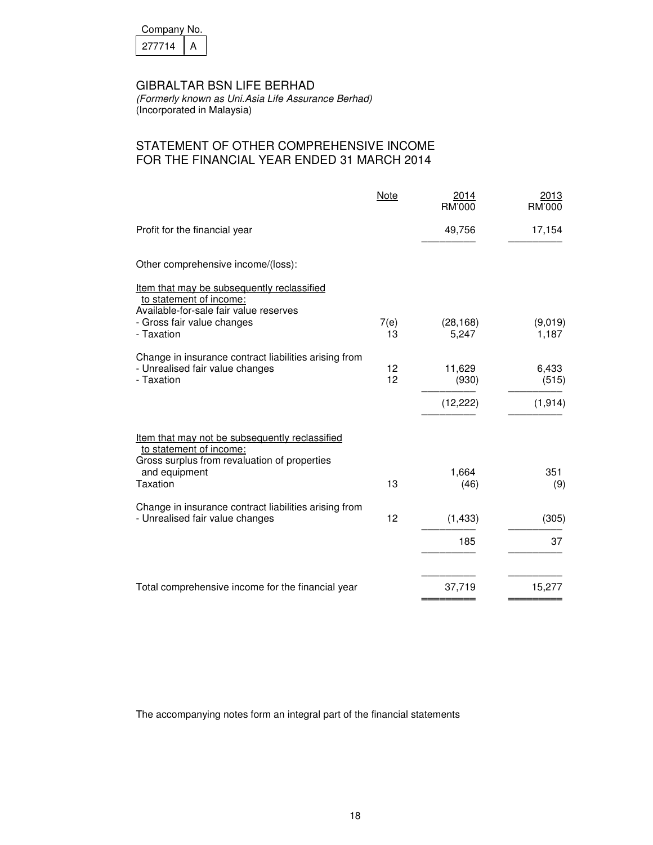| Company No. |  |
|-------------|--|
| 277714      |  |

(Formerly known as Uni.Asia Life Assurance Berhad) (Incorporated in Malaysia)

# STATEMENT OF OTHER COMPREHENSIVE INCOME FOR THE FINANCIAL YEAR ENDED 31 MARCH 2014

|                                                                                                                           | Note       | 2014<br>RM'000     | 2013<br>RM'000   |
|---------------------------------------------------------------------------------------------------------------------------|------------|--------------------|------------------|
| Profit for the financial year                                                                                             |            | 49,756             | 17,154           |
| Other comprehensive income/(loss):                                                                                        |            |                    |                  |
| Item that may be subsequently reclassified<br>to statement of income:<br>Available-for-sale fair value reserves           |            |                    |                  |
| - Gross fair value changes<br>- Taxation                                                                                  | 7(e)<br>13 | (28, 168)<br>5,247 | (9,019)<br>1,187 |
| Change in insurance contract liabilities arising from<br>- Unrealised fair value changes<br>- Taxation                    | 12<br>12   | 11,629<br>(930)    | 6,433<br>(515)   |
|                                                                                                                           |            | (12, 222)          | (1, 914)         |
| Item that may not be subsequently reclassified<br>to statement of income:<br>Gross surplus from revaluation of properties |            |                    |                  |
| and equipment<br><b>Taxation</b>                                                                                          | 13         | 1,664<br>(46)      | 351<br>(9)       |
| Change in insurance contract liabilities arising from<br>- Unrealised fair value changes                                  | 12         | (1, 433)           | (305)            |
|                                                                                                                           |            | 185                | 37               |
| Total comprehensive income for the financial year                                                                         |            | 37,719             | 15,277           |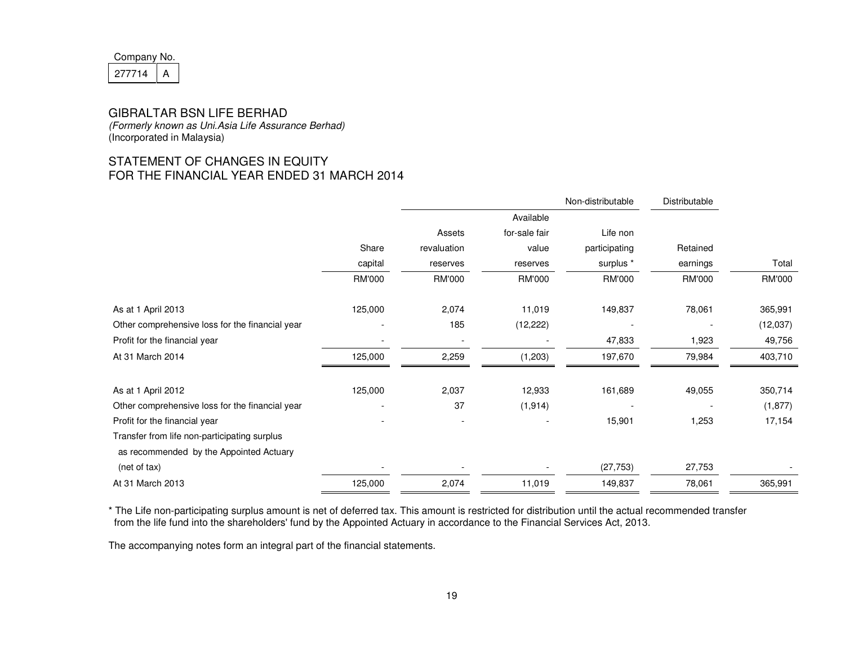| Company No. |  |  |  |  |
|-------------|--|--|--|--|
| 277714      |  |  |  |  |

 (Formerly known as Uni.Asia Life Assurance Berhad) (Incorporated in Malaysia)

# STATEMENT OF CHANGES IN EQUITY FOR THE FINANCIAL YEAR ENDED 31 MARCH 2014

|                                                                                         |         |               |               | Non-distributable | Distributable |          |
|-----------------------------------------------------------------------------------------|---------|---------------|---------------|-------------------|---------------|----------|
|                                                                                         |         |               | Available     |                   |               |          |
|                                                                                         |         | Assets        | for-sale fair | Life non          |               |          |
|                                                                                         | Share   | revaluation   | value         | participating     | Retained      |          |
|                                                                                         | capital | reserves      | reserves      | surplus *         | earnings      | Total    |
|                                                                                         | RM'000  | <b>RM'000</b> | RM'000        | RM'000            | RM'000        | RM'000   |
| As at 1 April 2013                                                                      | 125,000 | 2,074         | 11,019        | 149,837           | 78,061        | 365,991  |
| Other comprehensive loss for the financial year                                         |         | 185           | (12, 222)     |                   |               | (12,037) |
| Profit for the financial year                                                           |         |               |               | 47,833            | 1,923         | 49,756   |
| At 31 March 2014                                                                        | 125,000 | 2,259         | (1,203)       | 197,670           | 79,984        | 403,710  |
| As at 1 April 2012                                                                      | 125,000 | 2,037         | 12,933        | 161,689           | 49,055        | 350,714  |
| Other comprehensive loss for the financial year                                         |         | 37            | (1, 914)      |                   |               | (1, 877) |
| Profit for the financial year                                                           |         |               |               | 15,901            | 1,253         | 17,154   |
| Transfer from life non-participating surplus<br>as recommended by the Appointed Actuary |         |               |               |                   |               |          |
| (net of tax)                                                                            |         |               |               | (27, 753)         | 27,753        |          |
| At 31 March 2013                                                                        | 125,000 | 2,074         | 11,019        | 149,837           | 78,061        | 365,991  |

\* The Life non-participating surplus amount is net of deferred tax. This amount is restricted for distribution until the actual recommended transfer from the life fund into the shareholders' fund by the Appointed Actuary in accordance to the Financial Services Act, 2013.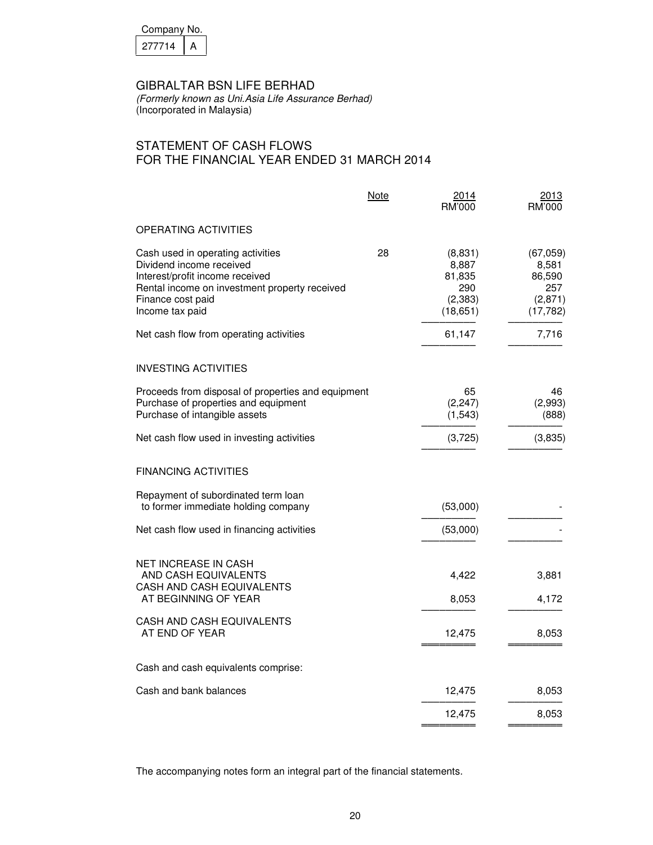| Company No. |  |
|-------------|--|
|             |  |

(Formerly known as Uni.Asia Life Assurance Berhad) (Incorporated in Malaysia)

# STATEMENT OF CASH FLOWS FOR THE FINANCIAL YEAR ENDED 31 MARCH 2014

|                                                                                                                                                                                           | <b>Note</b> | 2014<br>RM'000                                            | 2013<br>RM'000                                             |
|-------------------------------------------------------------------------------------------------------------------------------------------------------------------------------------------|-------------|-----------------------------------------------------------|------------------------------------------------------------|
| OPERATING ACTIVITIES                                                                                                                                                                      |             |                                                           |                                                            |
| Cash used in operating activities<br>Dividend income received<br>Interest/profit income received<br>Rental income on investment property received<br>Finance cost paid<br>Income tax paid | 28          | (8,831)<br>8,887<br>81,835<br>290<br>(2, 383)<br>(18,651) | (67,059)<br>8,581<br>86,590<br>257<br>(2,871)<br>(17, 782) |
| Net cash flow from operating activities                                                                                                                                                   |             | 61,147                                                    | 7,716                                                      |
| <b>INVESTING ACTIVITIES</b>                                                                                                                                                               |             |                                                           |                                                            |
| Proceeds from disposal of properties and equipment<br>Purchase of properties and equipment<br>Purchase of intangible assets                                                               |             | 65<br>(2, 247)<br>(1, 543)                                | 46<br>(2,993)<br>(888)                                     |
| Net cash flow used in investing activities                                                                                                                                                |             | (3,725)                                                   | (3,835)                                                    |
| <b>FINANCING ACTIVITIES</b>                                                                                                                                                               |             |                                                           |                                                            |
| Repayment of subordinated term loan<br>to former immediate holding company                                                                                                                |             | (53,000)                                                  |                                                            |
| Net cash flow used in financing activities                                                                                                                                                |             | (53,000)                                                  |                                                            |
| NET INCREASE IN CASH<br>AND CASH EQUIVALENTS<br>CASH AND CASH EQUIVALENTS<br>AT BEGINNING OF YEAR                                                                                         |             | 4,422<br>8,053                                            | 3,881<br>4,172                                             |
| CASH AND CASH EQUIVALENTS<br>AT END OF YEAR                                                                                                                                               |             | 12,475                                                    | 8,053                                                      |
| Cash and cash equivalents comprise:                                                                                                                                                       |             |                                                           |                                                            |
| Cash and bank balances                                                                                                                                                                    |             | 12,475                                                    | 8,053                                                      |
|                                                                                                                                                                                           |             | 12,475                                                    | 8,053                                                      |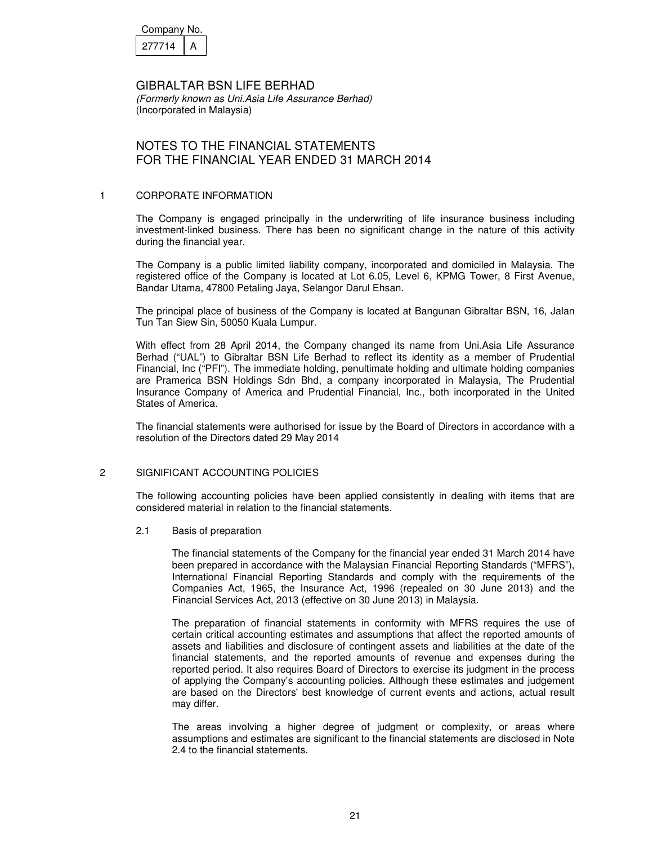| Company No. |  |
|-------------|--|
| 277714      |  |

# NOTES TO THE FINANCIAL STATEMENTS FOR THE FINANCIAL YEAR ENDED 31 MARCH 2014

### 1 CORPORATE INFORMATION

The Company is engaged principally in the underwriting of life insurance business including investment-linked business. There has been no significant change in the nature of this activity during the financial year.

The Company is a public limited liability company, incorporated and domiciled in Malaysia. The registered office of the Company is located at Lot 6.05, Level 6, KPMG Tower, 8 First Avenue, Bandar Utama, 47800 Petaling Jaya, Selangor Darul Ehsan.

The principal place of business of the Company is located at Bangunan Gibraltar BSN, 16, Jalan Tun Tan Siew Sin, 50050 Kuala Lumpur.

With effect from 28 April 2014, the Company changed its name from Uni.Asia Life Assurance Berhad ("UAL") to Gibraltar BSN Life Berhad to reflect its identity as a member of Prudential Financial, Inc ("PFI"). The immediate holding, penultimate holding and ultimate holding companies are Pramerica BSN Holdings Sdn Bhd, a company incorporated in Malaysia, The Prudential Insurance Company of America and Prudential Financial, Inc., both incorporated in the United States of America.

The financial statements were authorised for issue by the Board of Directors in accordance with a resolution of the Directors dated 29 May 2014

## 2 SIGNIFICANT ACCOUNTING POLICIES

The following accounting policies have been applied consistently in dealing with items that are considered material in relation to the financial statements.

2.1 Basis of preparation

The financial statements of the Company for the financial year ended 31 March 2014 have been prepared in accordance with the Malaysian Financial Reporting Standards ("MFRS"), International Financial Reporting Standards and comply with the requirements of the Companies Act, 1965, the Insurance Act, 1996 (repealed on 30 June 2013) and the Financial Services Act, 2013 (effective on 30 June 2013) in Malaysia.

The preparation of financial statements in conformity with MFRS requires the use of certain critical accounting estimates and assumptions that affect the reported amounts of assets and liabilities and disclosure of contingent assets and liabilities at the date of the financial statements, and the reported amounts of revenue and expenses during the reported period. It also requires Board of Directors to exercise its judgment in the process of applying the Company's accounting policies. Although these estimates and judgement are based on the Directors' best knowledge of current events and actions, actual result may differ.

The areas involving a higher degree of judgment or complexity, or areas where assumptions and estimates are significant to the financial statements are disclosed in Note 2.4 to the financial statements.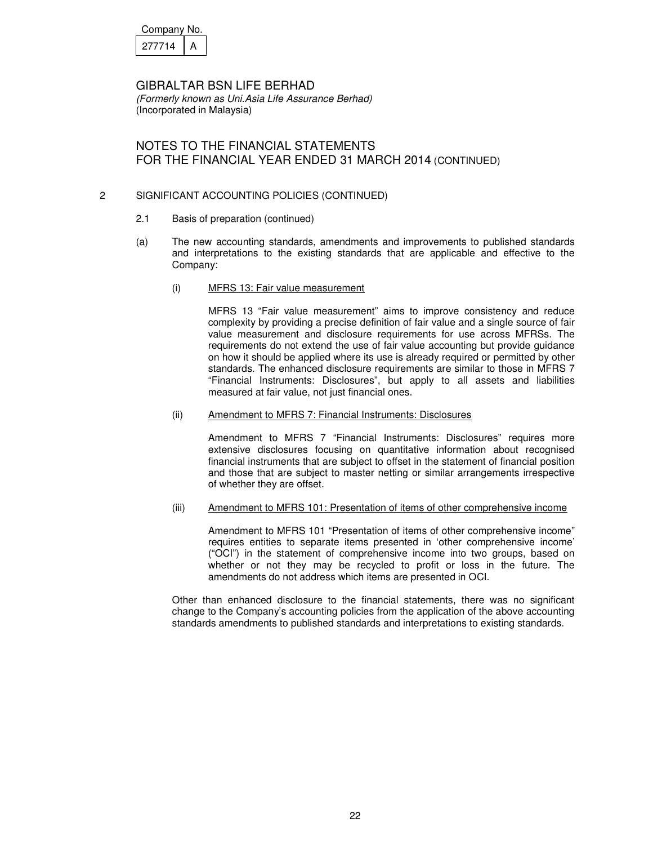| Companv No. |  |
|-------------|--|
|             |  |

# NOTES TO THE FINANCIAL STATEMENTS FOR THE FINANCIAL YEAR ENDED 31 MARCH 2014 (CONTINUED)

## 2 SIGNIFICANT ACCOUNTING POLICIES (CONTINUED)

- 2.1 Basis of preparation (continued)
- (a) The new accounting standards, amendments and improvements to published standards and interpretations to the existing standards that are applicable and effective to the Company:
	- (i) MFRS 13: Fair value measurement

MFRS 13 "Fair value measurement" aims to improve consistency and reduce complexity by providing a precise definition of fair value and a single source of fair value measurement and disclosure requirements for use across MFRSs. The requirements do not extend the use of fair value accounting but provide guidance on how it should be applied where its use is already required or permitted by other standards. The enhanced disclosure requirements are similar to those in MFRS 7 "Financial Instruments: Disclosures", but apply to all assets and liabilities measured at fair value, not just financial ones.

(ii) Amendment to MFRS 7: Financial Instruments: Disclosures

Amendment to MFRS 7 "Financial Instruments: Disclosures" requires more extensive disclosures focusing on quantitative information about recognised financial instruments that are subject to offset in the statement of financial position and those that are subject to master netting or similar arrangements irrespective of whether they are offset.

## (iii) Amendment to MFRS 101: Presentation of items of other comprehensive income

Amendment to MFRS 101 "Presentation of items of other comprehensive income" requires entities to separate items presented in 'other comprehensive income' ("OCI") in the statement of comprehensive income into two groups, based on whether or not they may be recycled to profit or loss in the future. The amendments do not address which items are presented in OCI.

Other than enhanced disclosure to the financial statements, there was no significant change to the Company's accounting policies from the application of the above accounting standards amendments to published standards and interpretations to existing standards.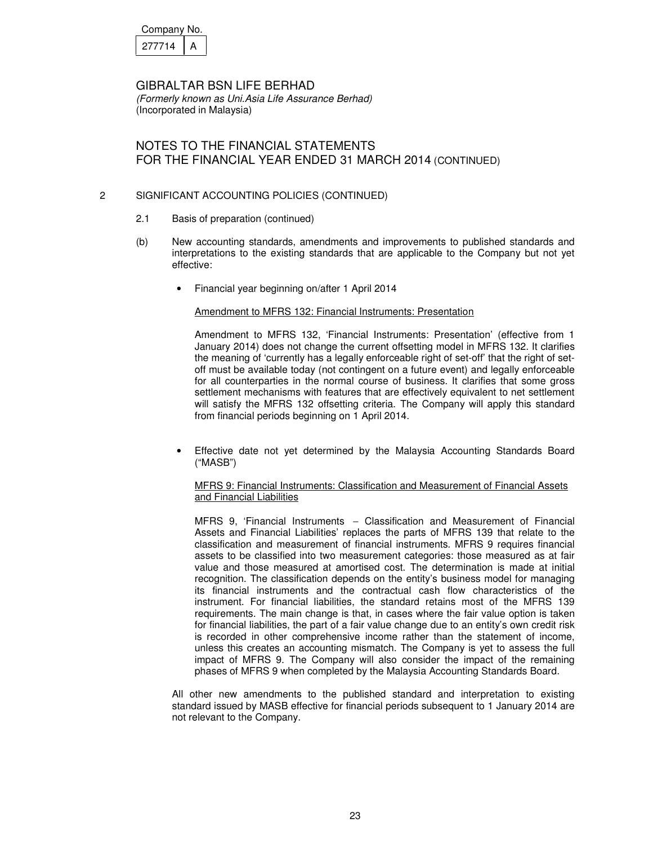| Company No. |  |
|-------------|--|
| 277714      |  |

# NOTES TO THE FINANCIAL STATEMENTS FOR THE FINANCIAL YEAR ENDED 31 MARCH 2014 (CONTINUED)

## 2 SIGNIFICANT ACCOUNTING POLICIES (CONTINUED)

- 2.1 Basis of preparation (continued)
- (b) New accounting standards, amendments and improvements to published standards and interpretations to the existing standards that are applicable to the Company but not yet effective:
	- Financial year beginning on/after 1 April 2014

Amendment to MFRS 132: Financial Instruments: Presentation

Amendment to MFRS 132, 'Financial Instruments: Presentation' (effective from 1 January 2014) does not change the current offsetting model in MFRS 132. It clarifies the meaning of 'currently has a legally enforceable right of set-off' that the right of setoff must be available today (not contingent on a future event) and legally enforceable for all counterparties in the normal course of business. It clarifies that some gross settlement mechanisms with features that are effectively equivalent to net settlement will satisfy the MFRS 132 offsetting criteria. The Company will apply this standard from financial periods beginning on 1 April 2014.

• Effective date not yet determined by the Malaysia Accounting Standards Board ("MASB")

### MFRS 9: Financial Instruments: Classification and Measurement of Financial Assets and Financial Liabilities

MFRS 9, 'Financial Instruments − Classification and Measurement of Financial Assets and Financial Liabilities' replaces the parts of MFRS 139 that relate to the classification and measurement of financial instruments. MFRS 9 requires financial assets to be classified into two measurement categories: those measured as at fair value and those measured at amortised cost. The determination is made at initial recognition. The classification depends on the entity's business model for managing its financial instruments and the contractual cash flow characteristics of the instrument. For financial liabilities, the standard retains most of the MFRS 139 requirements. The main change is that, in cases where the fair value option is taken for financial liabilities, the part of a fair value change due to an entity's own credit risk is recorded in other comprehensive income rather than the statement of income, unless this creates an accounting mismatch. The Company is yet to assess the full impact of MFRS 9. The Company will also consider the impact of the remaining phases of MFRS 9 when completed by the Malaysia Accounting Standards Board.

All other new amendments to the published standard and interpretation to existing standard issued by MASB effective for financial periods subsequent to 1 January 2014 are not relevant to the Company.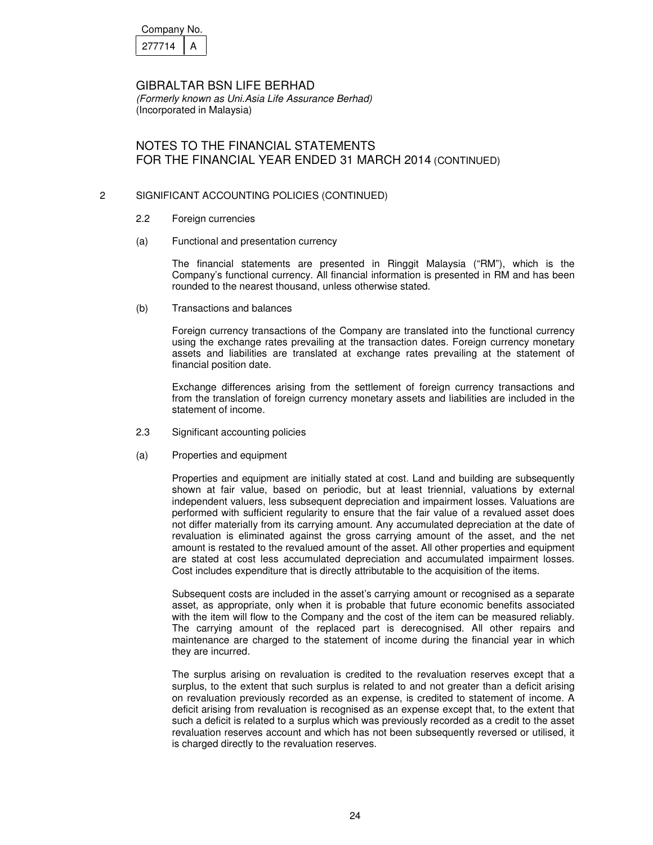| Company No. |  |
|-------------|--|
| 277714      |  |

GIBRALTAR BSN LIFE BERHAD (Formerly known as Uni.Asia Life Assurance Berhad)

(Incorporated in Malaysia)

# NOTES TO THE FINANCIAL STATEMENTS FOR THE FINANCIAL YEAR ENDED 31 MARCH 2014 (CONTINUED)

## 2 SIGNIFICANT ACCOUNTING POLICIES (CONTINUED)

- 2.2 Foreign currencies
- (a) Functional and presentation currency

 The financial statements are presented in Ringgit Malaysia ("RM"), which is the Company's functional currency. All financial information is presented in RM and has been rounded to the nearest thousand, unless otherwise stated.

(b) Transactions and balances

 Foreign currency transactions of the Company are translated into the functional currency using the exchange rates prevailing at the transaction dates. Foreign currency monetary assets and liabilities are translated at exchange rates prevailing at the statement of financial position date.

 Exchange differences arising from the settlement of foreign currency transactions and from the translation of foreign currency monetary assets and liabilities are included in the statement of income.

- 2.3 Significant accounting policies
- (a) Properties and equipment

Properties and equipment are initially stated at cost. Land and building are subsequently shown at fair value, based on periodic, but at least triennial, valuations by external independent valuers, less subsequent depreciation and impairment losses. Valuations are performed with sufficient regularity to ensure that the fair value of a revalued asset does not differ materially from its carrying amount. Any accumulated depreciation at the date of revaluation is eliminated against the gross carrying amount of the asset, and the net amount is restated to the revalued amount of the asset. All other properties and equipment are stated at cost less accumulated depreciation and accumulated impairment losses. Cost includes expenditure that is directly attributable to the acquisition of the items.

Subsequent costs are included in the asset's carrying amount or recognised as a separate asset, as appropriate, only when it is probable that future economic benefits associated with the item will flow to the Company and the cost of the item can be measured reliably. The carrying amount of the replaced part is derecognised. All other repairs and maintenance are charged to the statement of income during the financial year in which they are incurred.

The surplus arising on revaluation is credited to the revaluation reserves except that a surplus, to the extent that such surplus is related to and not greater than a deficit arising on revaluation previously recorded as an expense, is credited to statement of income. A deficit arising from revaluation is recognised as an expense except that, to the extent that such a deficit is related to a surplus which was previously recorded as a credit to the asset revaluation reserves account and which has not been subsequently reversed or utilised, it is charged directly to the revaluation reserves.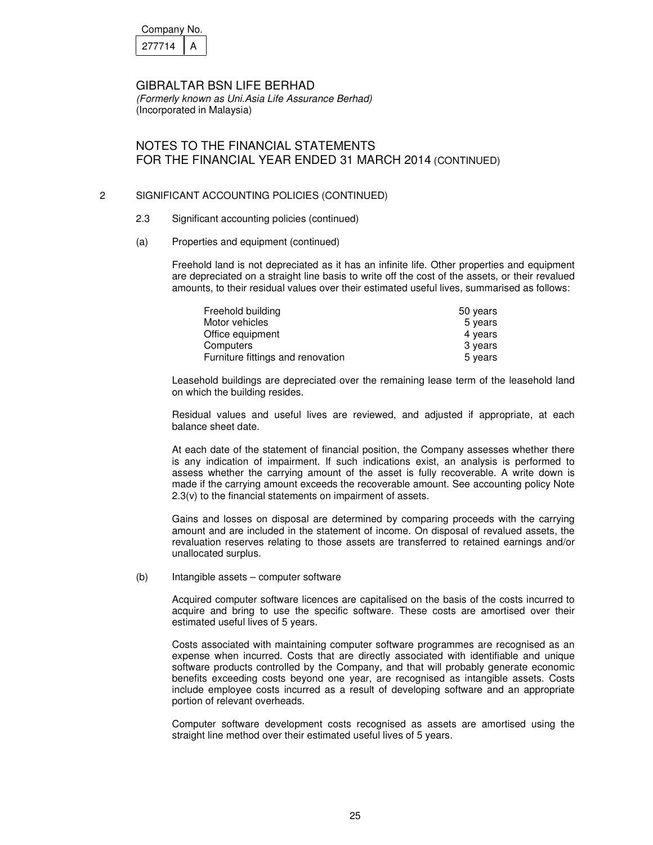| Company No. |  |
|-------------|--|
| 277714      |  |

# NOTES TO THE FINANCIAL STATEMENTS FOR THE FINANCIAL YEAR ENDED 31 MARCH 2014 (CONTINUED)

### 2 SIGNIFICANT ACCOUNTING POLICIES (CONTINUED)

- 2.3 Significant accounting policies (continued)
- (a) Properties and equipment (continued)

Freehold land is not depreciated as it has an infinite life. Other properties and equipment are depreciated on a straight line basis to write off the cost of the assets, or their revalued amounts, to their residual values over their estimated useful lives, summarised as follows:

| Freehold building                 | 50 years |
|-----------------------------------|----------|
| Motor vehicles                    | 5 years  |
| Office equipment                  | 4 years  |
| Computers                         | 3 years  |
| Furniture fittings and renovation | 5 years  |

Leasehold buildings are depreciated over the remaining lease term of the leasehold land on which the building resides.

Residual values and useful lives are reviewed, and adjusted if appropriate, at each balance sheet date.

At each date of the statement of financial position, the Company assesses whether there is any indication of impairment. If such indications exist, an analysis is performed to assess whether the carrying amount of the asset is fully recoverable. A write down is made if the carrying amount exceeds the recoverable amount. See accounting policy Note 2.3(v) to the financial statements on impairment of assets.

Gains and losses on disposal are determined by comparing proceeds with the carrying amount and are included in the statement of income. On disposal of revalued assets, the revaluation reserves relating to those assets are transferred to retained earnings and/or unallocated surplus.

### (b) Intangible assets – computer software

Acquired computer software licences are capitalised on the basis of the costs incurred to acquire and bring to use the specific software. These costs are amortised over their estimated useful lives of 5 years.

Costs associated with maintaining computer software programmes are recognised as an expense when incurred. Costs that are directly associated with identifiable and unique software products controlled by the Company, and that will probably generate economic benefits exceeding costs beyond one year, are recognised as intangible assets. Costs include employee costs incurred as a result of developing software and an appropriate portion of relevant overheads.

Computer software development costs recognised as assets are amortised using the straight line method over their estimated useful lives of 5 years.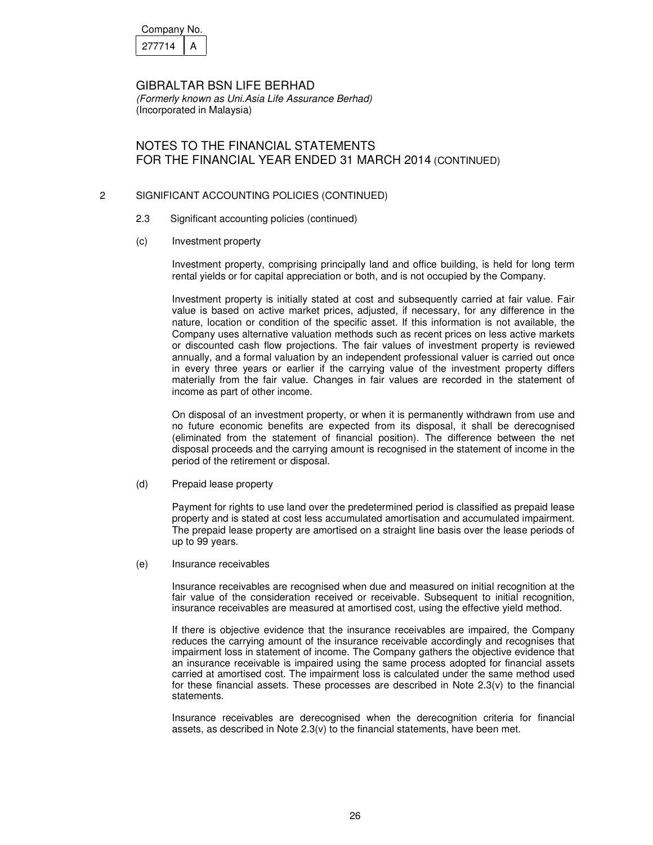| Company No. |  |
|-------------|--|
| 277714      |  |

# NOTES TO THE FINANCIAL STATEMENTS FOR THE FINANCIAL YEAR ENDED 31 MARCH 2014 (CONTINUED)

### 2 SIGNIFICANT ACCOUNTING POLICIES (CONTINUED)

- 2.3 Significant accounting policies (continued)
- (c) Investment property

Investment property, comprising principally land and office building, is held for long term rental yields or for capital appreciation or both, and is not occupied by the Company.

Investment property is initially stated at cost and subsequently carried at fair value. Fair value is based on active market prices, adjusted, if necessary, for any difference in the nature, location or condition of the specific asset. If this information is not available, the Company uses alternative valuation methods such as recent prices on less active markets or discounted cash flow projections. The fair values of investment property is reviewed annually, and a formal valuation by an independent professional valuer is carried out once in every three years or earlier if the carrying value of the investment property differs materially from the fair value. Changes in fair values are recorded in the statement of income as part of other income.

On disposal of an investment property, or when it is permanently withdrawn from use and no future economic benefits are expected from its disposal, it shall be derecognised (eliminated from the statement of financial position). The difference between the net disposal proceeds and the carrying amount is recognised in the statement of income in the period of the retirement or disposal.

(d) Prepaid lease property

Payment for rights to use land over the predetermined period is classified as prepaid lease property and is stated at cost less accumulated amortisation and accumulated impairment. The prepaid lease property are amortised on a straight line basis over the lease periods of up to 99 years.

(e) Insurance receivables

Insurance receivables are recognised when due and measured on initial recognition at the fair value of the consideration received or receivable. Subsequent to initial recognition, insurance receivables are measured at amortised cost, using the effective yield method.

If there is objective evidence that the insurance receivables are impaired, the Company reduces the carrying amount of the insurance receivable accordingly and recognises that impairment loss in statement of income. The Company gathers the objective evidence that an insurance receivable is impaired using the same process adopted for financial assets carried at amortised cost. The impairment loss is calculated under the same method used for these financial assets. These processes are described in Note 2.3(v) to the financial statements.

Insurance receivables are derecognised when the derecognition criteria for financial assets, as described in Note  $2.3(v)$  to the financial statements, have been met.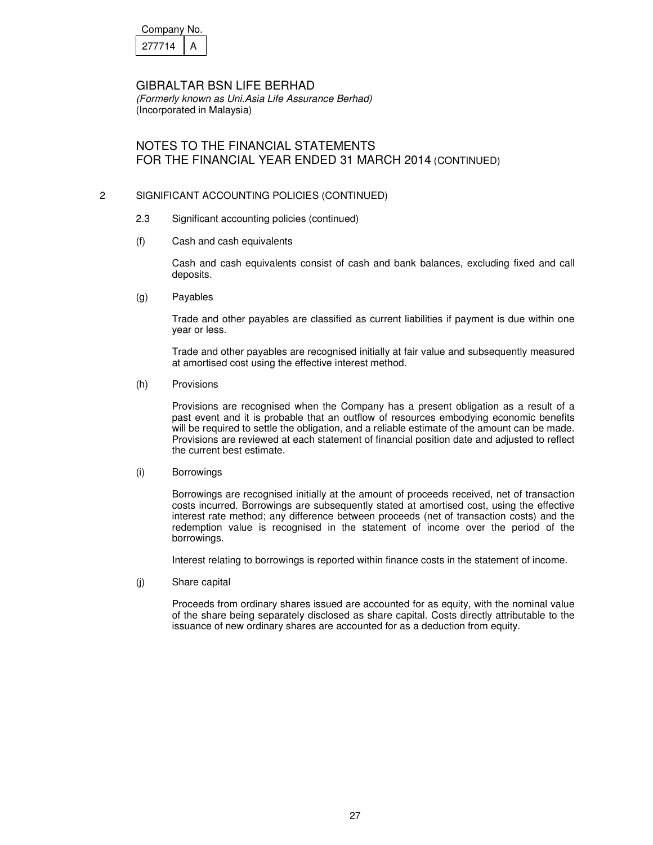| Company No. |  |
|-------------|--|
| 277714      |  |

(Formerly known as Uni.Asia Life Assurance Berhad) (Incorporated in Malaysia)

# NOTES TO THE FINANCIAL STATEMENTS FOR THE FINANCIAL YEAR ENDED 31 MARCH 2014 (CONTINUED)

## 2 SIGNIFICANT ACCOUNTING POLICIES (CONTINUED)

- 2.3 Significant accounting policies (continued)
- (f) Cash and cash equivalents

Cash and cash equivalents consist of cash and bank balances, excluding fixed and call deposits.

(g) Payables

Trade and other payables are classified as current liabilities if payment is due within one year or less.

Trade and other payables are recognised initially at fair value and subsequently measured at amortised cost using the effective interest method.

(h) Provisions

 Provisions are recognised when the Company has a present obligation as a result of a past event and it is probable that an outflow of resources embodying economic benefits will be required to settle the obligation, and a reliable estimate of the amount can be made. Provisions are reviewed at each statement of financial position date and adjusted to reflect the current best estimate.

(i) Borrowings

Borrowings are recognised initially at the amount of proceeds received, net of transaction costs incurred. Borrowings are subsequently stated at amortised cost, using the effective interest rate method; any difference between proceeds (net of transaction costs) and the redemption value is recognised in the statement of income over the period of the borrowings.

Interest relating to borrowings is reported within finance costs in the statement of income.

(j) Share capital

Proceeds from ordinary shares issued are accounted for as equity, with the nominal value of the share being separately disclosed as share capital. Costs directly attributable to the issuance of new ordinary shares are accounted for as a deduction from equity.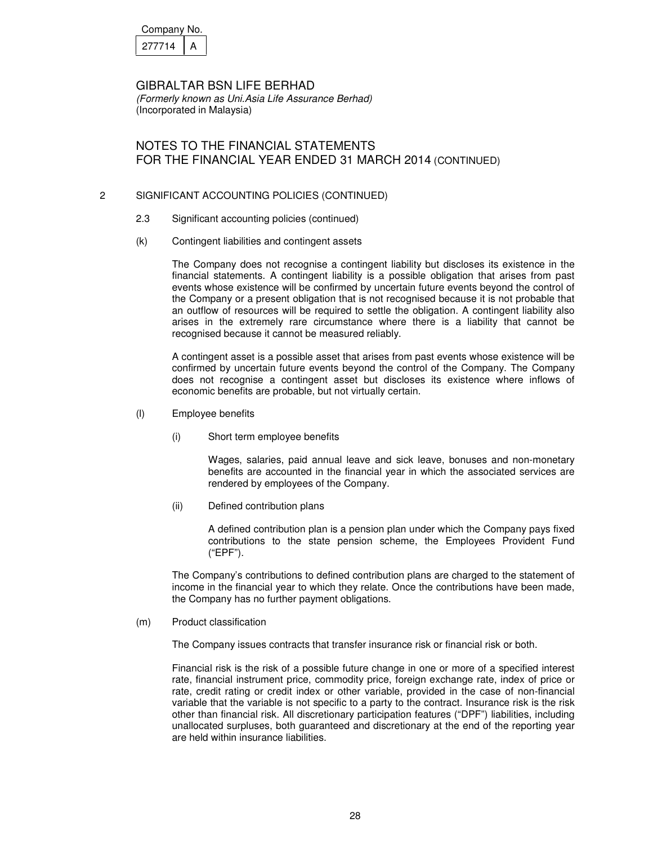| Company No. |  |
|-------------|--|
| 277714      |  |

# NOTES TO THE FINANCIAL STATEMENTS FOR THE FINANCIAL YEAR ENDED 31 MARCH 2014 (CONTINUED)

### 2 SIGNIFICANT ACCOUNTING POLICIES (CONTINUED)

- 2.3 Significant accounting policies (continued)
- (k) Contingent liabilities and contingent assets

The Company does not recognise a contingent liability but discloses its existence in the financial statements. A contingent liability is a possible obligation that arises from past events whose existence will be confirmed by uncertain future events beyond the control of the Company or a present obligation that is not recognised because it is not probable that an outflow of resources will be required to settle the obligation. A contingent liability also arises in the extremely rare circumstance where there is a liability that cannot be recognised because it cannot be measured reliably.

A contingent asset is a possible asset that arises from past events whose existence will be confirmed by uncertain future events beyond the control of the Company. The Company does not recognise a contingent asset but discloses its existence where inflows of economic benefits are probable, but not virtually certain.

- (l) Employee benefits
	- (i) Short term employee benefits

Wages, salaries, paid annual leave and sick leave, bonuses and non-monetary benefits are accounted in the financial year in which the associated services are rendered by employees of the Company.

(ii) Defined contribution plans

A defined contribution plan is a pension plan under which the Company pays fixed contributions to the state pension scheme, the Employees Provident Fund ("EPF").

The Company's contributions to defined contribution plans are charged to the statement of income in the financial year to which they relate. Once the contributions have been made, the Company has no further payment obligations.

(m) Product classification

The Company issues contracts that transfer insurance risk or financial risk or both.

Financial risk is the risk of a possible future change in one or more of a specified interest rate, financial instrument price, commodity price, foreign exchange rate, index of price or rate, credit rating or credit index or other variable, provided in the case of non-financial variable that the variable is not specific to a party to the contract. Insurance risk is the risk other than financial risk. All discretionary participation features ("DPF") liabilities, including unallocated surpluses, both guaranteed and discretionary at the end of the reporting year are held within insurance liabilities.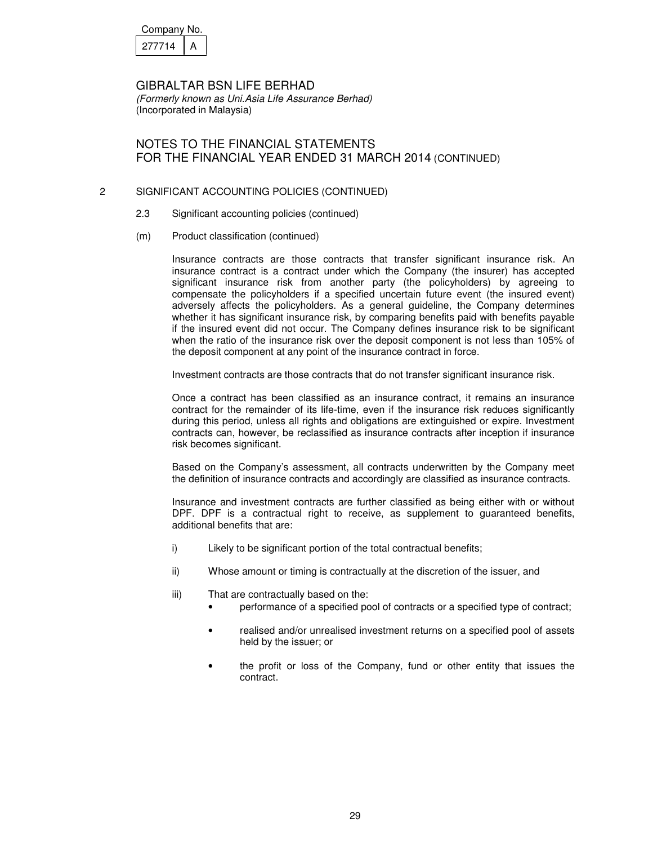| Companv No. |  |
|-------------|--|
|             |  |

# NOTES TO THE FINANCIAL STATEMENTS FOR THE FINANCIAL YEAR ENDED 31 MARCH 2014 (CONTINUED)

### 2 SIGNIFICANT ACCOUNTING POLICIES (CONTINUED)

- 2.3 Significant accounting policies (continued)
- (m) Product classification (continued)

Insurance contracts are those contracts that transfer significant insurance risk. An insurance contract is a contract under which the Company (the insurer) has accepted significant insurance risk from another party (the policyholders) by agreeing to compensate the policyholders if a specified uncertain future event (the insured event) adversely affects the policyholders. As a general guideline, the Company determines whether it has significant insurance risk, by comparing benefits paid with benefits payable if the insured event did not occur. The Company defines insurance risk to be significant when the ratio of the insurance risk over the deposit component is not less than 105% of the deposit component at any point of the insurance contract in force.

Investment contracts are those contracts that do not transfer significant insurance risk.

Once a contract has been classified as an insurance contract, it remains an insurance contract for the remainder of its life-time, even if the insurance risk reduces significantly during this period, unless all rights and obligations are extinguished or expire. Investment contracts can, however, be reclassified as insurance contracts after inception if insurance risk becomes significant.

Based on the Company's assessment, all contracts underwritten by the Company meet the definition of insurance contracts and accordingly are classified as insurance contracts.

Insurance and investment contracts are further classified as being either with or without DPF. DPF is a contractual right to receive, as supplement to guaranteed benefits, additional benefits that are:

- i) Likely to be significant portion of the total contractual benefits;
- ii) Whose amount or timing is contractually at the discretion of the issuer, and
- iii) That are contractually based on the:
	- performance of a specified pool of contracts or a specified type of contract;
	- realised and/or unrealised investment returns on a specified pool of assets held by the issuer; or
	- the profit or loss of the Company, fund or other entity that issues the contract.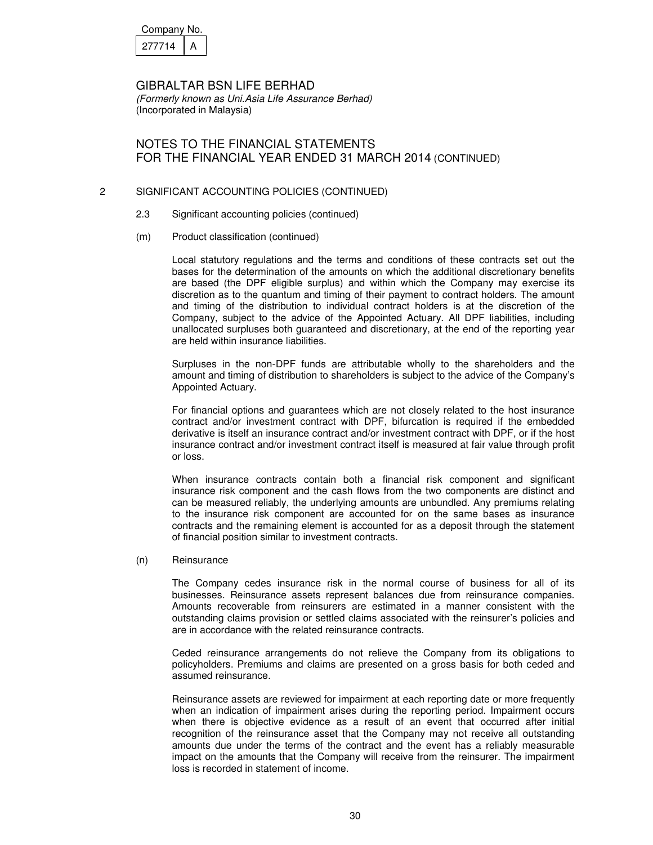| Companv No. |  |
|-------------|--|
|             |  |

# NOTES TO THE FINANCIAL STATEMENTS FOR THE FINANCIAL YEAR ENDED 31 MARCH 2014 (CONTINUED)

### 2 SIGNIFICANT ACCOUNTING POLICIES (CONTINUED)

- 2.3 Significant accounting policies (continued)
- (m) Product classification (continued)

Local statutory regulations and the terms and conditions of these contracts set out the bases for the determination of the amounts on which the additional discretionary benefits are based (the DPF eligible surplus) and within which the Company may exercise its discretion as to the quantum and timing of their payment to contract holders. The amount and timing of the distribution to individual contract holders is at the discretion of the Company, subject to the advice of the Appointed Actuary. All DPF liabilities, including unallocated surpluses both guaranteed and discretionary, at the end of the reporting year are held within insurance liabilities.

Surpluses in the non-DPF funds are attributable wholly to the shareholders and the amount and timing of distribution to shareholders is subject to the advice of the Company's Appointed Actuary.

For financial options and guarantees which are not closely related to the host insurance contract and/or investment contract with DPF, bifurcation is required if the embedded derivative is itself an insurance contract and/or investment contract with DPF, or if the host insurance contract and/or investment contract itself is measured at fair value through profit or loss.

When insurance contracts contain both a financial risk component and significant insurance risk component and the cash flows from the two components are distinct and can be measured reliably, the underlying amounts are unbundled. Any premiums relating to the insurance risk component are accounted for on the same bases as insurance contracts and the remaining element is accounted for as a deposit through the statement of financial position similar to investment contracts.

### (n) Reinsurance

The Company cedes insurance risk in the normal course of business for all of its businesses. Reinsurance assets represent balances due from reinsurance companies. Amounts recoverable from reinsurers are estimated in a manner consistent with the outstanding claims provision or settled claims associated with the reinsurer's policies and are in accordance with the related reinsurance contracts.

Ceded reinsurance arrangements do not relieve the Company from its obligations to policyholders. Premiums and claims are presented on a gross basis for both ceded and assumed reinsurance.

Reinsurance assets are reviewed for impairment at each reporting date or more frequently when an indication of impairment arises during the reporting period. Impairment occurs when there is objective evidence as a result of an event that occurred after initial recognition of the reinsurance asset that the Company may not receive all outstanding amounts due under the terms of the contract and the event has a reliably measurable impact on the amounts that the Company will receive from the reinsurer. The impairment loss is recorded in statement of income.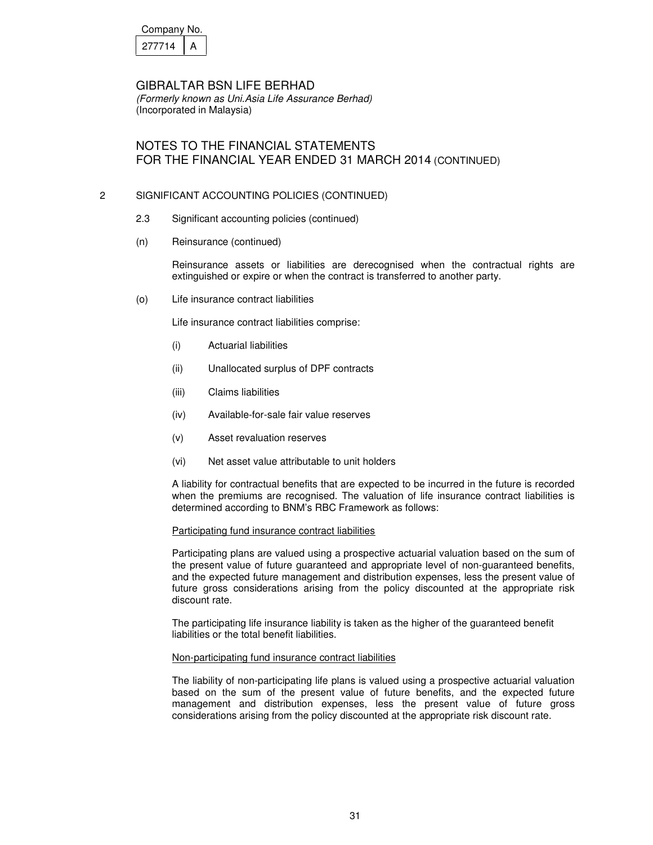| Company No. |  |
|-------------|--|
| 277714      |  |

# NOTES TO THE FINANCIAL STATEMENTS FOR THE FINANCIAL YEAR ENDED 31 MARCH 2014 (CONTINUED)

### 2 SIGNIFICANT ACCOUNTING POLICIES (CONTINUED)

- 2.3 Significant accounting policies (continued)
- (n) Reinsurance (continued)

Reinsurance assets or liabilities are derecognised when the contractual rights are extinguished or expire or when the contract is transferred to another party.

(o) Life insurance contract liabilities

Life insurance contract liabilities comprise:

- (i) Actuarial liabilities
- (ii) Unallocated surplus of DPF contracts
- (iii) Claims liabilities
- (iv) Available-for-sale fair value reserves
- (v) Asset revaluation reserves
- (vi) Net asset value attributable to unit holders

A liability for contractual benefits that are expected to be incurred in the future is recorded when the premiums are recognised. The valuation of life insurance contract liabilities is determined according to BNM's RBC Framework as follows:

### Participating fund insurance contract liabilities

Participating plans are valued using a prospective actuarial valuation based on the sum of the present value of future guaranteed and appropriate level of non-guaranteed benefits, and the expected future management and distribution expenses, less the present value of future gross considerations arising from the policy discounted at the appropriate risk discount rate.

The participating life insurance liability is taken as the higher of the guaranteed benefit liabilities or the total benefit liabilities.

### Non-participating fund insurance contract liabilities

The liability of non-participating life plans is valued using a prospective actuarial valuation based on the sum of the present value of future benefits, and the expected future management and distribution expenses, less the present value of future gross considerations arising from the policy discounted at the appropriate risk discount rate.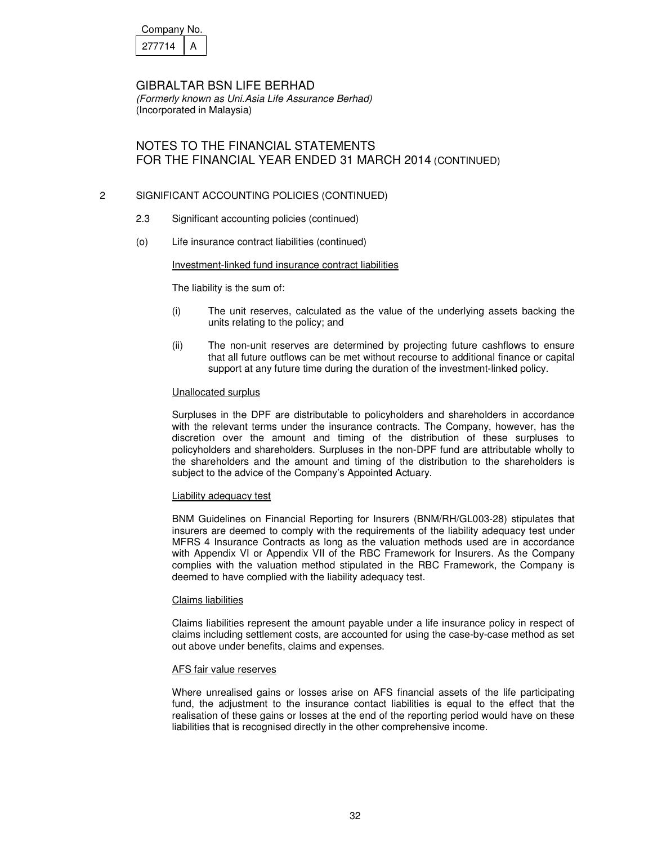| Company No. |  |
|-------------|--|
| 277714      |  |

GIBRALTAR BSN LIFE BERHAD (Formerly known as Uni.Asia Life Assurance Berhad)

(Incorporated in Malaysia)

# NOTES TO THE FINANCIAL STATEMENTS FOR THE FINANCIAL YEAR ENDED 31 MARCH 2014 (CONTINUED)

## 2 SIGNIFICANT ACCOUNTING POLICIES (CONTINUED)

- 2.3 Significant accounting policies (continued)
- (o) Life insurance contract liabilities (continued)

## Investment-linked fund insurance contract liabilities

The liability is the sum of:

- (i) The unit reserves, calculated as the value of the underlying assets backing the units relating to the policy; and
- (ii) The non-unit reserves are determined by projecting future cashflows to ensure that all future outflows can be met without recourse to additional finance or capital support at any future time during the duration of the investment-linked policy.

## Unallocated surplus

Surpluses in the DPF are distributable to policyholders and shareholders in accordance with the relevant terms under the insurance contracts. The Company, however, has the discretion over the amount and timing of the distribution of these surpluses to policyholders and shareholders. Surpluses in the non-DPF fund are attributable wholly to the shareholders and the amount and timing of the distribution to the shareholders is subject to the advice of the Company's Appointed Actuary.

## Liability adequacy test

BNM Guidelines on Financial Reporting for Insurers (BNM/RH/GL003-28) stipulates that insurers are deemed to comply with the requirements of the liability adequacy test under MFRS 4 Insurance Contracts as long as the valuation methods used are in accordance with Appendix VI or Appendix VII of the RBC Framework for Insurers. As the Company complies with the valuation method stipulated in the RBC Framework, the Company is deemed to have complied with the liability adequacy test.

### Claims liabilities

Claims liabilities represent the amount payable under a life insurance policy in respect of claims including settlement costs, are accounted for using the case-by-case method as set out above under benefits, claims and expenses.

### AFS fair value reserves

Where unrealised gains or losses arise on AFS financial assets of the life participating fund, the adjustment to the insurance contact liabilities is equal to the effect that the realisation of these gains or losses at the end of the reporting period would have on these liabilities that is recognised directly in the other comprehensive income.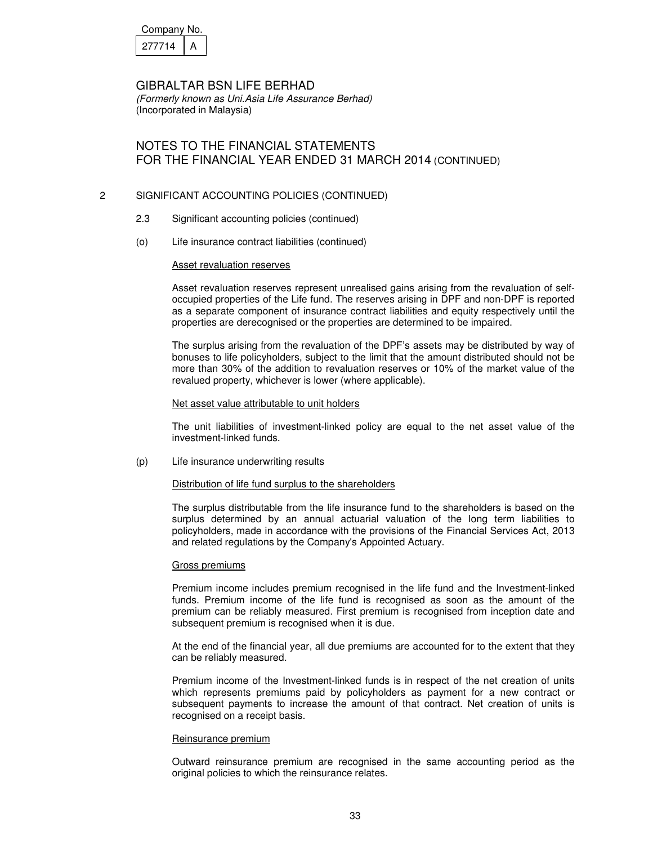| Company No. |  |
|-------------|--|
| 277714      |  |

# NOTES TO THE FINANCIAL STATEMENTS FOR THE FINANCIAL YEAR ENDED 31 MARCH 2014 (CONTINUED)

### 2 SIGNIFICANT ACCOUNTING POLICIES (CONTINUED)

- 2.3 Significant accounting policies (continued)
- (o) Life insurance contract liabilities (continued)

### Asset revaluation reserves

Asset revaluation reserves represent unrealised gains arising from the revaluation of selfoccupied properties of the Life fund. The reserves arising in DPF and non-DPF is reported as a separate component of insurance contract liabilities and equity respectively until the properties are derecognised or the properties are determined to be impaired.

The surplus arising from the revaluation of the DPF's assets may be distributed by way of bonuses to life policyholders, subject to the limit that the amount distributed should not be more than 30% of the addition to revaluation reserves or 10% of the market value of the revalued property, whichever is lower (where applicable).

#### Net asset value attributable to unit holders

The unit liabilities of investment-linked policy are equal to the net asset value of the investment-linked funds.

### (p) Life insurance underwriting results

### Distribution of life fund surplus to the shareholders

The surplus distributable from the life insurance fund to the shareholders is based on the surplus determined by an annual actuarial valuation of the long term liabilities to policyholders, made in accordance with the provisions of the Financial Services Act, 2013 and related regulations by the Company's Appointed Actuary.

#### Gross premiums

Premium income includes premium recognised in the life fund and the Investment-linked funds. Premium income of the life fund is recognised as soon as the amount of the premium can be reliably measured. First premium is recognised from inception date and subsequent premium is recognised when it is due.

At the end of the financial year, all due premiums are accounted for to the extent that they can be reliably measured.

Premium income of the Investment-linked funds is in respect of the net creation of units which represents premiums paid by policyholders as payment for a new contract or subsequent payments to increase the amount of that contract. Net creation of units is recognised on a receipt basis.

#### Reinsurance premium

Outward reinsurance premium are recognised in the same accounting period as the original policies to which the reinsurance relates.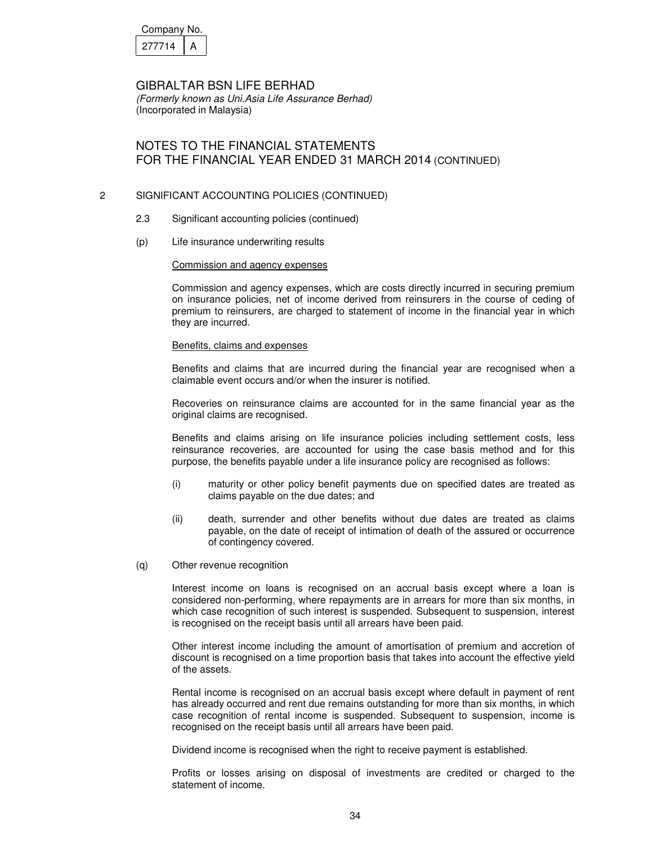| Company No. |  |
|-------------|--|
| 277714      |  |

# NOTES TO THE FINANCIAL STATEMENTS FOR THE FINANCIAL YEAR ENDED 31 MARCH 2014 (CONTINUED)

### 2 SIGNIFICANT ACCOUNTING POLICIES (CONTINUED)

- 2.3 Significant accounting policies (continued)
- (p) Life insurance underwriting results

### Commission and agency expenses

Commission and agency expenses, which are costs directly incurred in securing premium on insurance policies, net of income derived from reinsurers in the course of ceding of premium to reinsurers, are charged to statement of income in the financial year in which they are incurred.

### Benefits, claims and expenses

Benefits and claims that are incurred during the financial year are recognised when a claimable event occurs and/or when the insurer is notified.

Recoveries on reinsurance claims are accounted for in the same financial year as the original claims are recognised.

Benefits and claims arising on life insurance policies including settlement costs, less reinsurance recoveries, are accounted for using the case basis method and for this purpose, the benefits payable under a life insurance policy are recognised as follows:

- (i) maturity or other policy benefit payments due on specified dates are treated as claims payable on the due dates; and
- (ii) death, surrender and other benefits without due dates are treated as claims payable, on the date of receipt of intimation of death of the assured or occurrence of contingency covered.
- (q) Other revenue recognition

Interest income on loans is recognised on an accrual basis except where a loan is considered non-performing, where repayments are in arrears for more than six months, in which case recognition of such interest is suspended. Subsequent to suspension, interest is recognised on the receipt basis until all arrears have been paid.

Other interest income including the amount of amortisation of premium and accretion of discount is recognised on a time proportion basis that takes into account the effective yield of the assets.

 Rental income is recognised on an accrual basis except where default in payment of rent has already occurred and rent due remains outstanding for more than six months, in which case recognition of rental income is suspended. Subsequent to suspension, income is recognised on the receipt basis until all arrears have been paid.

Dividend income is recognised when the right to receive payment is established.

Profits or losses arising on disposal of investments are credited or charged to the statement of income.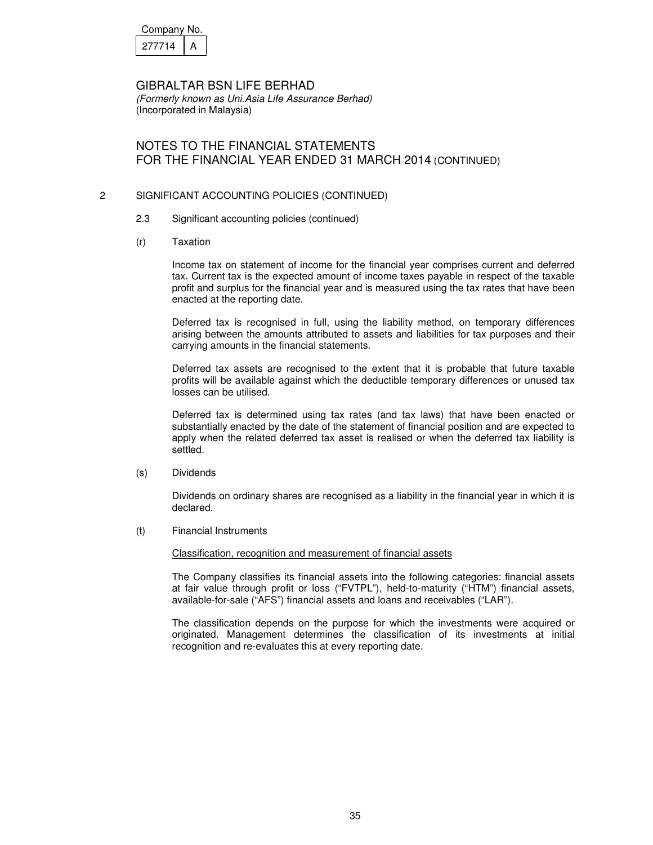| Company No. |  |
|-------------|--|
| 277714      |  |

# NOTES TO THE FINANCIAL STATEMENTS FOR THE FINANCIAL YEAR ENDED 31 MARCH 2014 (CONTINUED)

#### 2 SIGNIFICANT ACCOUNTING POLICIES (CONTINUED)

- 2.3 Significant accounting policies (continued)
- (r) Taxation

Income tax on statement of income for the financial year comprises current and deferred tax. Current tax is the expected amount of income taxes payable in respect of the taxable profit and surplus for the financial year and is measured using the tax rates that have been enacted at the reporting date.

Deferred tax is recognised in full, using the liability method, on temporary differences arising between the amounts attributed to assets and liabilities for tax purposes and their carrying amounts in the financial statements.

Deferred tax assets are recognised to the extent that it is probable that future taxable profits will be available against which the deductible temporary differences or unused tax losses can be utilised.

Deferred tax is determined using tax rates (and tax laws) that have been enacted or substantially enacted by the date of the statement of financial position and are expected to apply when the related deferred tax asset is realised or when the deferred tax liability is settled.

(s) Dividends

 Dividends on ordinary shares are recognised as a liability in the financial year in which it is declared.

(t) Financial Instruments

Classification, recognition and measurement of financial assets

 The Company classifies its financial assets into the following categories: financial assets at fair value through profit or loss ("FVTPL"), held-to-maturity ("HTM") financial assets, available-for-sale ("AFS") financial assets and loans and receivables ("LAR").

 The classification depends on the purpose for which the investments were acquired or originated. Management determines the classification of its investments at initial recognition and re-evaluates this at every reporting date.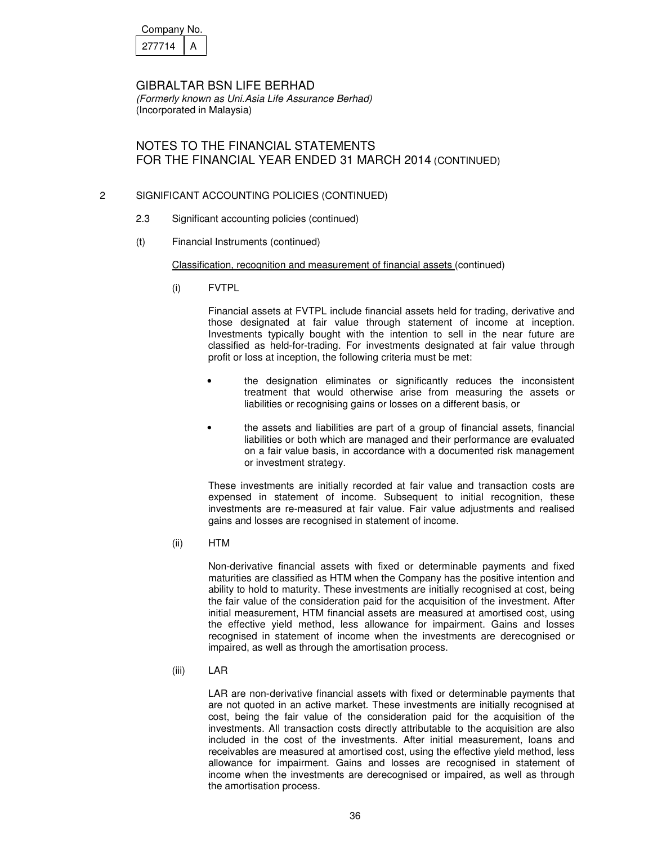| Company No. |  |
|-------------|--|
| 277714      |  |

# NOTES TO THE FINANCIAL STATEMENTS FOR THE FINANCIAL YEAR ENDED 31 MARCH 2014 (CONTINUED)

#### 2 SIGNIFICANT ACCOUNTING POLICIES (CONTINUED)

- 2.3 Significant accounting policies (continued)
- (t) Financial Instruments (continued)

#### Classification, recognition and measurement of financial assets (continued)

(i) FVTPL

 Financial assets at FVTPL include financial assets held for trading, derivative and those designated at fair value through statement of income at inception. Investments typically bought with the intention to sell in the near future are classified as held-for-trading. For investments designated at fair value through profit or loss at inception, the following criteria must be met:

- the designation eliminates or significantly reduces the inconsistent treatment that would otherwise arise from measuring the assets or liabilities or recognising gains or losses on a different basis, or
- the assets and liabilities are part of a group of financial assets, financial liabilities or both which are managed and their performance are evaluated on a fair value basis, in accordance with a documented risk management or investment strategy.

These investments are initially recorded at fair value and transaction costs are expensed in statement of income. Subsequent to initial recognition, these investments are re-measured at fair value. Fair value adjustments and realised gains and losses are recognised in statement of income.

(ii) HTM

 Non-derivative financial assets with fixed or determinable payments and fixed maturities are classified as HTM when the Company has the positive intention and ability to hold to maturity. These investments are initially recognised at cost, being the fair value of the consideration paid for the acquisition of the investment. After initial measurement, HTM financial assets are measured at amortised cost, using the effective yield method, less allowance for impairment. Gains and losses recognised in statement of income when the investments are derecognised or impaired, as well as through the amortisation process.

(iii) LAR

 LAR are non-derivative financial assets with fixed or determinable payments that are not quoted in an active market. These investments are initially recognised at cost, being the fair value of the consideration paid for the acquisition of the investments. All transaction costs directly attributable to the acquisition are also included in the cost of the investments. After initial measurement, loans and receivables are measured at amortised cost, using the effective yield method, less allowance for impairment. Gains and losses are recognised in statement of income when the investments are derecognised or impaired, as well as through the amortisation process.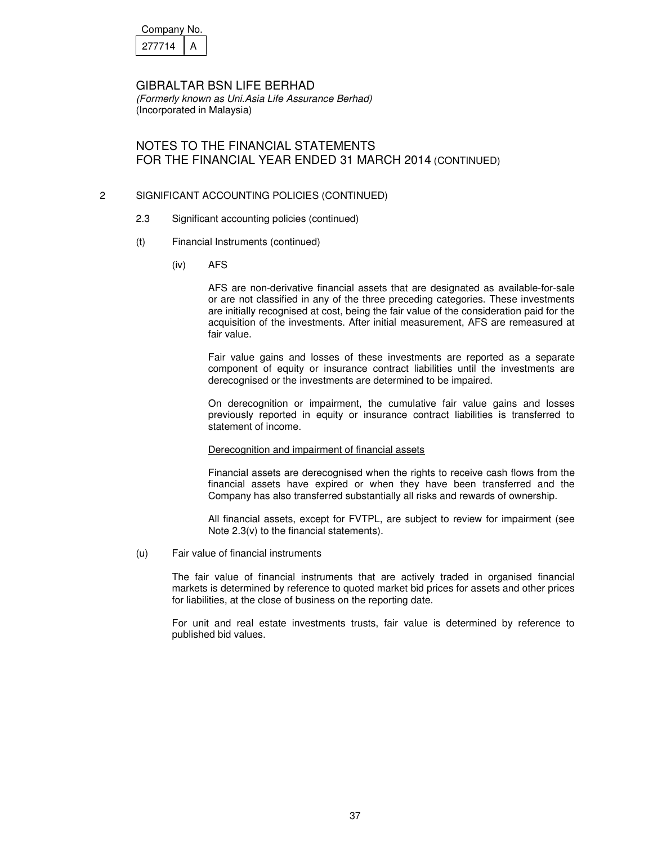| Company No. |  |
|-------------|--|
| 277714      |  |

# NOTES TO THE FINANCIAL STATEMENTS FOR THE FINANCIAL YEAR ENDED 31 MARCH 2014 (CONTINUED)

#### 2 SIGNIFICANT ACCOUNTING POLICIES (CONTINUED)

- 2.3 Significant accounting policies (continued)
- (t) Financial Instruments (continued)
	- (iv) AFS

 AFS are non-derivative financial assets that are designated as available-for-sale or are not classified in any of the three preceding categories. These investments are initially recognised at cost, being the fair value of the consideration paid for the acquisition of the investments. After initial measurement, AFS are remeasured at fair value.

 Fair value gains and losses of these investments are reported as a separate component of equity or insurance contract liabilities until the investments are derecognised or the investments are determined to be impaired.

 On derecognition or impairment, the cumulative fair value gains and losses previously reported in equity or insurance contract liabilities is transferred to statement of income.

#### Derecognition and impairment of financial assets

Financial assets are derecognised when the rights to receive cash flows from the financial assets have expired or when they have been transferred and the Company has also transferred substantially all risks and rewards of ownership.

All financial assets, except for FVTPL, are subject to review for impairment (see Note 2.3(v) to the financial statements).

(u) Fair value of financial instruments

The fair value of financial instruments that are actively traded in organised financial markets is determined by reference to quoted market bid prices for assets and other prices for liabilities, at the close of business on the reporting date.

For unit and real estate investments trusts, fair value is determined by reference to published bid values.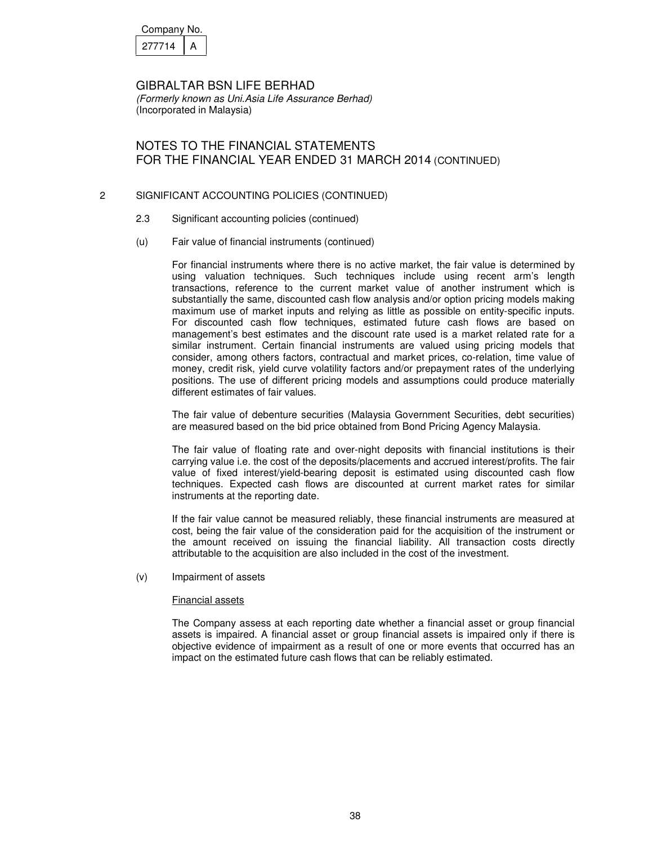| Company No. |  |
|-------------|--|
| 277714      |  |

# NOTES TO THE FINANCIAL STATEMENTS FOR THE FINANCIAL YEAR ENDED 31 MARCH 2014 (CONTINUED)

#### 2 SIGNIFICANT ACCOUNTING POLICIES (CONTINUED)

- 2.3 Significant accounting policies (continued)
- (u) Fair value of financial instruments (continued)

For financial instruments where there is no active market, the fair value is determined by using valuation techniques. Such techniques include using recent arm's length transactions, reference to the current market value of another instrument which is substantially the same, discounted cash flow analysis and/or option pricing models making maximum use of market inputs and relying as little as possible on entity-specific inputs. For discounted cash flow techniques, estimated future cash flows are based on management's best estimates and the discount rate used is a market related rate for a similar instrument. Certain financial instruments are valued using pricing models that consider, among others factors, contractual and market prices, co-relation, time value of money, credit risk, yield curve volatility factors and/or prepayment rates of the underlying positions. The use of different pricing models and assumptions could produce materially different estimates of fair values.

The fair value of debenture securities (Malaysia Government Securities, debt securities) are measured based on the bid price obtained from Bond Pricing Agency Malaysia.

The fair value of floating rate and over-night deposits with financial institutions is their carrying value i.e. the cost of the deposits/placements and accrued interest/profits. The fair value of fixed interest/yield-bearing deposit is estimated using discounted cash flow techniques. Expected cash flows are discounted at current market rates for similar instruments at the reporting date.

If the fair value cannot be measured reliably, these financial instruments are measured at cost, being the fair value of the consideration paid for the acquisition of the instrument or the amount received on issuing the financial liability. All transaction costs directly attributable to the acquisition are also included in the cost of the investment.

(v) Impairment of assets

#### Financial assets

The Company assess at each reporting date whether a financial asset or group financial assets is impaired. A financial asset or group financial assets is impaired only if there is objective evidence of impairment as a result of one or more events that occurred has an impact on the estimated future cash flows that can be reliably estimated.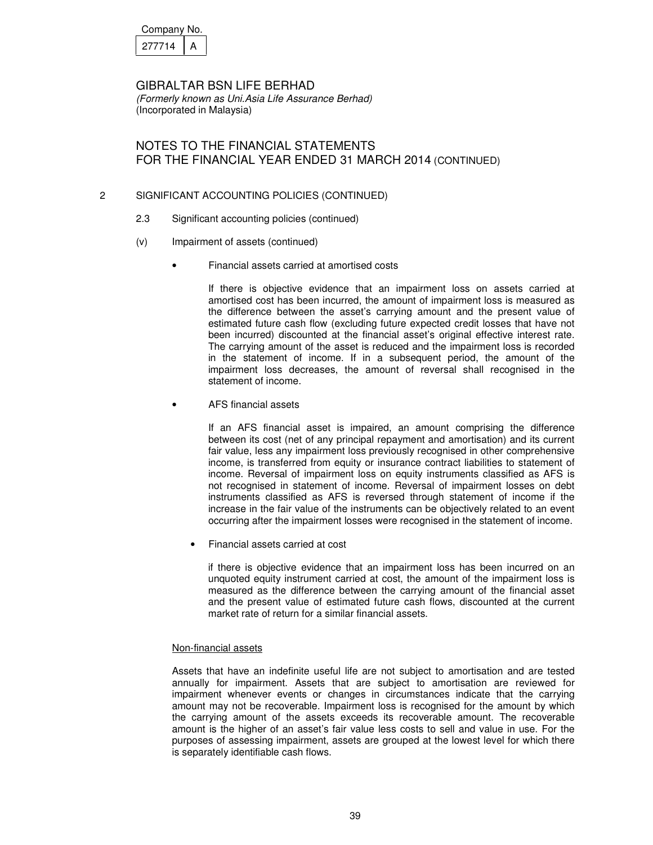| Company No. |  |
|-------------|--|
| 277714      |  |

# NOTES TO THE FINANCIAL STATEMENTS FOR THE FINANCIAL YEAR ENDED 31 MARCH 2014 (CONTINUED)

#### 2 SIGNIFICANT ACCOUNTING POLICIES (CONTINUED)

- 2.3 Significant accounting policies (continued)
- (v) Impairment of assets (continued)
	- Financial assets carried at amortised costs

If there is objective evidence that an impairment loss on assets carried at amortised cost has been incurred, the amount of impairment loss is measured as the difference between the asset's carrying amount and the present value of estimated future cash flow (excluding future expected credit losses that have not been incurred) discounted at the financial asset's original effective interest rate. The carrying amount of the asset is reduced and the impairment loss is recorded in the statement of income. If in a subsequent period, the amount of the impairment loss decreases, the amount of reversal shall recognised in the statement of income.

• AFS financial assets

 If an AFS financial asset is impaired, an amount comprising the difference between its cost (net of any principal repayment and amortisation) and its current fair value, less any impairment loss previously recognised in other comprehensive income, is transferred from equity or insurance contract liabilities to statement of income. Reversal of impairment loss on equity instruments classified as AFS is not recognised in statement of income. Reversal of impairment losses on debt instruments classified as AFS is reversed through statement of income if the increase in the fair value of the instruments can be objectively related to an event occurring after the impairment losses were recognised in the statement of income.

• Financial assets carried at cost

if there is objective evidence that an impairment loss has been incurred on an unquoted equity instrument carried at cost, the amount of the impairment loss is measured as the difference between the carrying amount of the financial asset and the present value of estimated future cash flows, discounted at the current market rate of return for a similar financial assets.

#### Non-financial assets

Assets that have an indefinite useful life are not subject to amortisation and are tested annually for impairment. Assets that are subject to amortisation are reviewed for impairment whenever events or changes in circumstances indicate that the carrying amount may not be recoverable. Impairment loss is recognised for the amount by which the carrying amount of the assets exceeds its recoverable amount. The recoverable amount is the higher of an asset's fair value less costs to sell and value in use. For the purposes of assessing impairment, assets are grouped at the lowest level for which there is separately identifiable cash flows.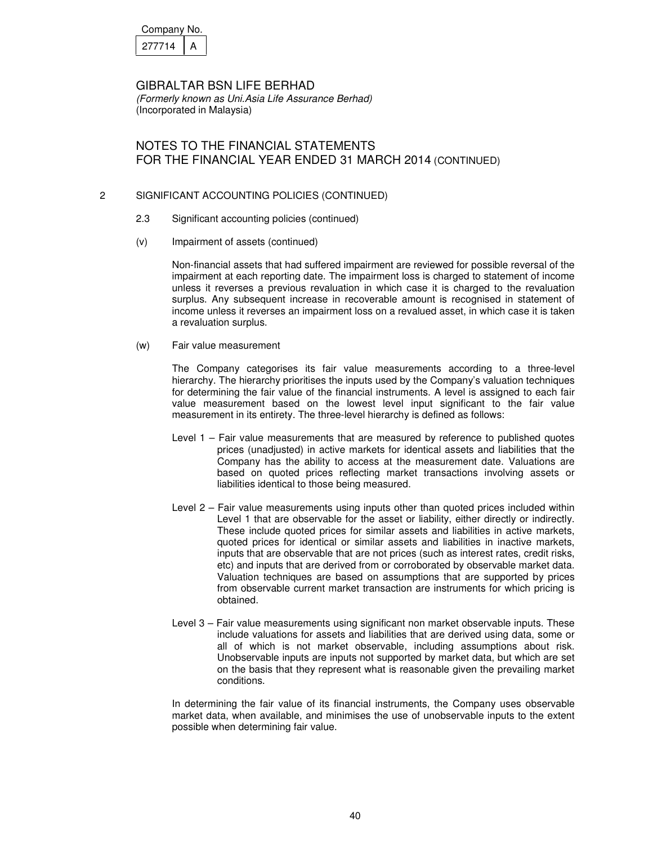| Company No. |  |
|-------------|--|
| 277714      |  |

# NOTES TO THE FINANCIAL STATEMENTS FOR THE FINANCIAL YEAR ENDED 31 MARCH 2014 (CONTINUED)

#### 2 SIGNIFICANT ACCOUNTING POLICIES (CONTINUED)

- 2.3 Significant accounting policies (continued)
- (v) Impairment of assets (continued)

 Non-financial assets that had suffered impairment are reviewed for possible reversal of the impairment at each reporting date. The impairment loss is charged to statement of income unless it reverses a previous revaluation in which case it is charged to the revaluation surplus. Any subsequent increase in recoverable amount is recognised in statement of income unless it reverses an impairment loss on a revalued asset, in which case it is taken a revaluation surplus.

(w) Fair value measurement

The Company categorises its fair value measurements according to a three-level hierarchy. The hierarchy prioritises the inputs used by the Company's valuation techniques for determining the fair value of the financial instruments. A level is assigned to each fair value measurement based on the lowest level input significant to the fair value measurement in its entirety. The three-level hierarchy is defined as follows:

- Level 1 Fair value measurements that are measured by reference to published quotes prices (unadjusted) in active markets for identical assets and liabilities that the Company has the ability to access at the measurement date. Valuations are based on quoted prices reflecting market transactions involving assets or liabilities identical to those being measured.
- Level 2 Fair value measurements using inputs other than quoted prices included within Level 1 that are observable for the asset or liability, either directly or indirectly. These include quoted prices for similar assets and liabilities in active markets, quoted prices for identical or similar assets and liabilities in inactive markets, inputs that are observable that are not prices (such as interest rates, credit risks, etc) and inputs that are derived from or corroborated by observable market data. Valuation techniques are based on assumptions that are supported by prices from observable current market transaction are instruments for which pricing is obtained.
- Level 3 Fair value measurements using significant non market observable inputs. These include valuations for assets and liabilities that are derived using data, some or all of which is not market observable, including assumptions about risk. Unobservable inputs are inputs not supported by market data, but which are set on the basis that they represent what is reasonable given the prevailing market conditions.

In determining the fair value of its financial instruments, the Company uses observable market data, when available, and minimises the use of unobservable inputs to the extent possible when determining fair value.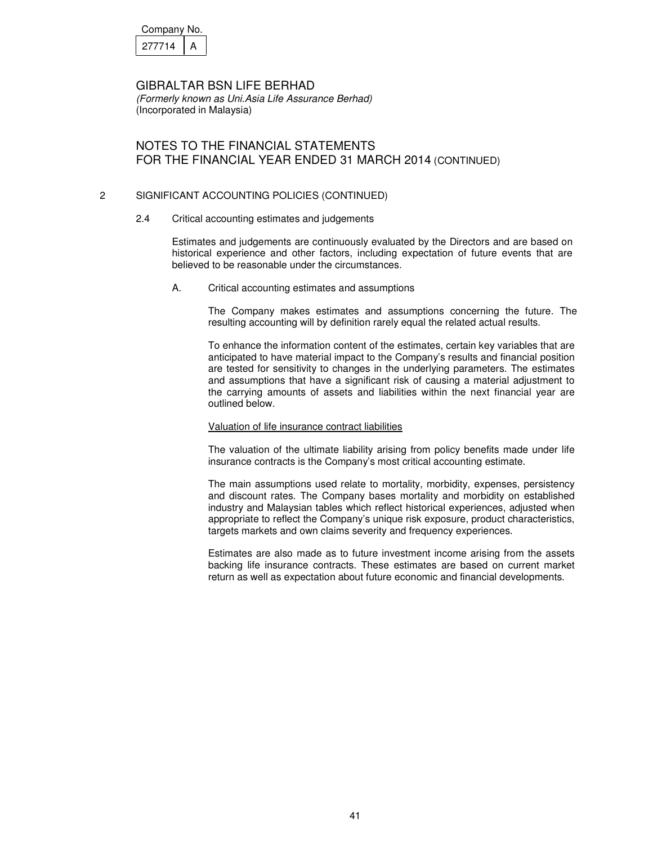| Company No. |  |
|-------------|--|
| 277714      |  |

# NOTES TO THE FINANCIAL STATEMENTS FOR THE FINANCIAL YEAR ENDED 31 MARCH 2014 (CONTINUED)

#### 2 SIGNIFICANT ACCOUNTING POLICIES (CONTINUED)

2.4 Critical accounting estimates and judgements

Estimates and judgements are continuously evaluated by the Directors and are based on historical experience and other factors, including expectation of future events that are believed to be reasonable under the circumstances.

A. Critical accounting estimates and assumptions

The Company makes estimates and assumptions concerning the future. The resulting accounting will by definition rarely equal the related actual results.

To enhance the information content of the estimates, certain key variables that are anticipated to have material impact to the Company's results and financial position are tested for sensitivity to changes in the underlying parameters. The estimates and assumptions that have a significant risk of causing a material adjustment to the carrying amounts of assets and liabilities within the next financial year are outlined below.

#### Valuation of life insurance contract liabilities

The valuation of the ultimate liability arising from policy benefits made under life insurance contracts is the Company's most critical accounting estimate.

The main assumptions used relate to mortality, morbidity, expenses, persistency and discount rates. The Company bases mortality and morbidity on established industry and Malaysian tables which reflect historical experiences, adjusted when appropriate to reflect the Company's unique risk exposure, product characteristics, targets markets and own claims severity and frequency experiences.

Estimates are also made as to future investment income arising from the assets backing life insurance contracts. These estimates are based on current market return as well as expectation about future economic and financial developments.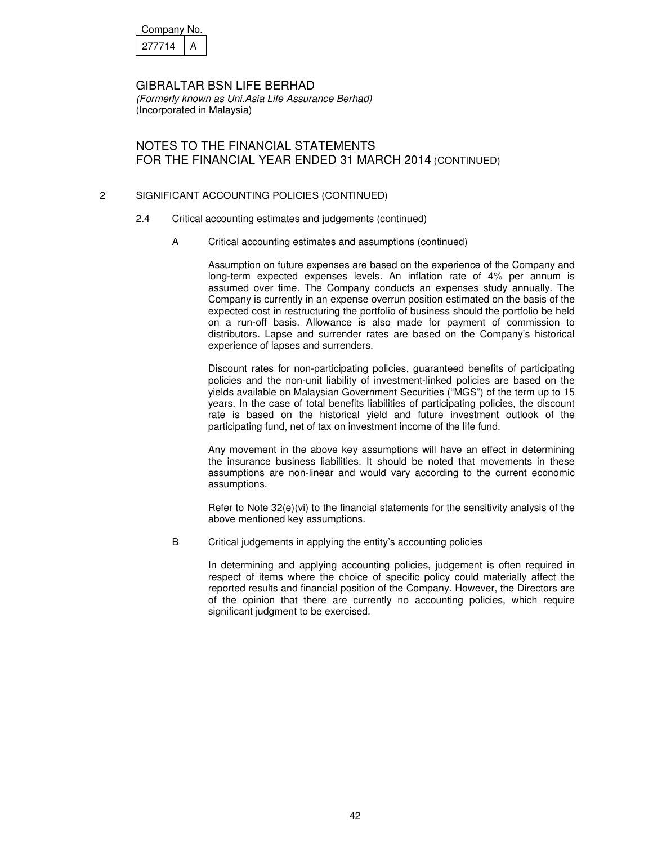| Company No. |  |
|-------------|--|
| 277714      |  |

# NOTES TO THE FINANCIAL STATEMENTS FOR THE FINANCIAL YEAR ENDED 31 MARCH 2014 (CONTINUED)

#### 2 SIGNIFICANT ACCOUNTING POLICIES (CONTINUED)

- 2.4 Critical accounting estimates and judgements (continued)
	- A Critical accounting estimates and assumptions (continued)

Assumption on future expenses are based on the experience of the Company and long-term expected expenses levels. An inflation rate of 4% per annum is assumed over time. The Company conducts an expenses study annually. The Company is currently in an expense overrun position estimated on the basis of the expected cost in restructuring the portfolio of business should the portfolio be held on a run-off basis. Allowance is also made for payment of commission to distributors. Lapse and surrender rates are based on the Company's historical experience of lapses and surrenders.

Discount rates for non-participating policies, guaranteed benefits of participating policies and the non-unit liability of investment-linked policies are based on the yields available on Malaysian Government Securities ("MGS") of the term up to 15 years. In the case of total benefits liabilities of participating policies, the discount rate is based on the historical yield and future investment outlook of the participating fund, net of tax on investment income of the life fund.

Any movement in the above key assumptions will have an effect in determining the insurance business liabilities. It should be noted that movements in these assumptions are non-linear and would vary according to the current economic assumptions.

Refer to Note  $32(e)(vi)$  to the financial statements for the sensitivity analysis of the above mentioned key assumptions.

B Critical judgements in applying the entity's accounting policies

In determining and applying accounting policies, judgement is often required in respect of items where the choice of specific policy could materially affect the reported results and financial position of the Company. However, the Directors are of the opinion that there are currently no accounting policies, which require significant judgment to be exercised.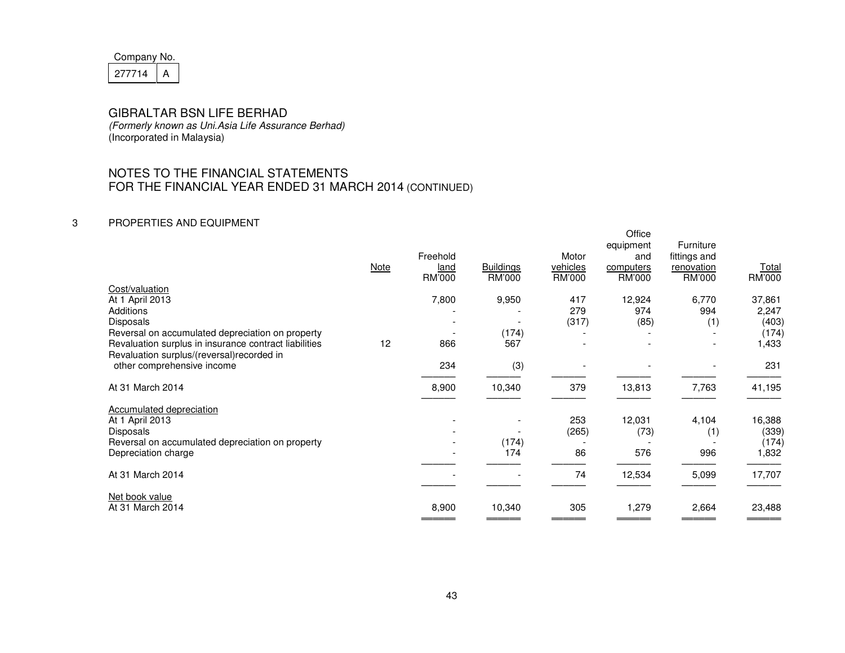| Company No. |  |  |  |
|-------------|--|--|--|
| 27714       |  |  |  |

(Formerly known as Uni.Asia Life Assurance Berhad) (Incorporated in Malaysia)

# NOTES TO THE FINANCIAL STATEMENTS FOR THE FINANCIAL YEAR ENDED 31 MARCH 2014 (CONTINUED)

## 3 PROPERTIES AND EQUIPMENT

| Cost/valuation                                                                                                                      | <b>Note</b> | Freehold<br>land<br>RM'000 | <b>Buildings</b><br><b>RM'000</b> | Motor<br>vehicles<br>RM'000 | Office<br>equipment<br>and<br>computers<br>RM'000 | Furniture<br>fittings and<br>renovation<br>RM'000 | <b>Total</b><br>RM'000            |
|-------------------------------------------------------------------------------------------------------------------------------------|-------------|----------------------------|-----------------------------------|-----------------------------|---------------------------------------------------|---------------------------------------------------|-----------------------------------|
| At 1 April 2013<br>Additions<br>Disposals<br>Reversal on accumulated depreciation on property                                       |             | 7,800                      | 9,950<br>(174)                    | 417<br>279<br>(317)         | 12,924<br>974<br>(85)                             | 6,770<br>994<br>(1)                               | 37,861<br>2,247<br>(403)<br>(174) |
| Revaluation surplus in insurance contract liabilities<br>Revaluation surplus/(reversal)recorded in<br>other comprehensive income    | 12          | 866<br>234                 | 567<br>(3)                        |                             |                                                   |                                                   | 1,433<br>231                      |
| At 31 March 2014                                                                                                                    |             | 8,900                      | 10,340                            | 379                         | 13,813                                            | 7,763                                             | 41,195                            |
| Accumulated depreciation<br>At 1 April 2013<br>Disposals<br>Reversal on accumulated depreciation on property<br>Depreciation charge |             |                            | (174)<br>174                      | 253<br>(265)<br>86          | 12,031<br>(73)<br>576                             | 4,104<br>(1)<br>996                               | 16,388<br>(339)<br>(174)<br>1,832 |
| At 31 March 2014                                                                                                                    |             |                            |                                   | 74                          | 12,534                                            | 5,099                                             | 17,707                            |
| Net book value<br>At 31 March 2014                                                                                                  |             | 8,900                      | 10,340                            | 305                         | 1,279                                             | 2,664                                             | 23,488                            |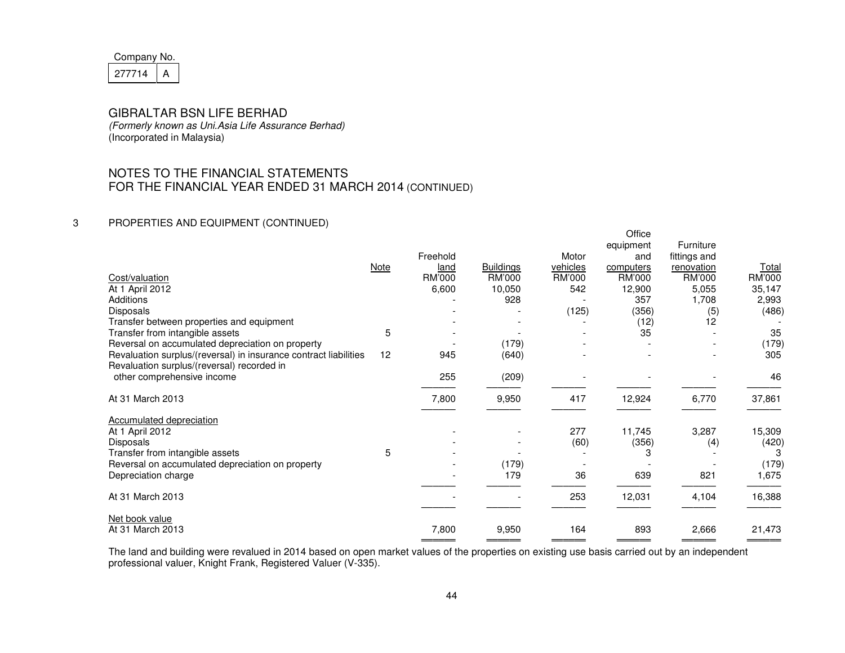| Company No. |  |
|-------------|--|
| 277714      |  |

 (Formerly known as Uni.Asia Life Assurance Berhad) (Incorporated in Malaysia)

# NOTES TO THE FINANCIAL STATEMENTS FOR THE FINANCIAL YEAR ENDED 31 MARCH 2014 (CONTINUED)

#### 3 PROPERTIES AND EQUIPMENT (CONTINUED)

|                                                                  |      |          |                  |          | Office    |              |        |
|------------------------------------------------------------------|------|----------|------------------|----------|-----------|--------------|--------|
|                                                                  |      |          |                  |          | equipment | Furniture    |        |
|                                                                  |      | Freehold |                  | Motor    | and       | fittings and |        |
|                                                                  | Note | land     | <b>Buildings</b> | vehicles | computers | renovation   | Total  |
| Cost/valuation                                                   |      | RM'000   | RM'000           | RM'000   | RM'000    | RM'000       | RM'000 |
| At 1 April 2012                                                  |      | 6,600    | 10,050           | 542      | 12,900    | 5,055        | 35,147 |
| Additions                                                        |      |          | 928              |          | 357       | 1,708        | 2,993  |
| Disposals                                                        |      |          |                  | (125)    | (356)     | (5)          | (486)  |
| Transfer between properties and equipment                        |      |          |                  |          | (12)      | 12           |        |
| Transfer from intangible assets                                  | 5    |          |                  |          | 35        |              | 35     |
| Reversal on accumulated depreciation on property                 |      |          | (179)            |          |           |              | (179)  |
| Revaluation surplus/(reversal) in insurance contract liabilities | 12   | 945      | (640)            |          |           |              | 305    |
| Revaluation surplus/(reversal) recorded in                       |      |          |                  |          |           |              |        |
| other comprehensive income                                       |      | 255      | (209)            |          |           |              | 46     |
| At 31 March 2013                                                 |      | 7,800    | 9,950            | 417      | 12,924    | 6,770        | 37,861 |
| Accumulated depreciation                                         |      |          |                  |          |           |              |        |
| At 1 April 2012                                                  |      |          |                  | 277      | 11,745    | 3,287        | 15,309 |
| Disposals                                                        |      |          |                  | (60)     | (356)     | (4)          | (420)  |
| Transfer from intangible assets                                  | 5    |          |                  |          | З         |              | 3      |
| Reversal on accumulated depreciation on property                 |      |          | (179)            |          |           |              | (179)  |
| Depreciation charge                                              |      |          | 179              | 36       | 639       | 821          | 1,675  |
| At 31 March 2013                                                 |      |          |                  | 253      | 12,031    | 4,104        | 16,388 |
| Net book value                                                   |      |          |                  |          |           |              |        |
| At 31 March 2013                                                 |      | 7,800    | 9,950            | 164      | 893       | 2,666        | 21,473 |

СШЕ С ПЕДЕР С ПЕДЕР С ПЕДЕР С ПЕДЕР С ПЕДЕР С ПЕДЕР С ПЕДЕР С ПЕДЕР С ПЕДЕР С ПЕДЕР С ПЕДЕР С ПЕДЕР С ПЕДЕР С<br>The land and building were revalued in 2014 based on open market values of the properties on existing use bas professional valuer, Knight Frank, Registered Valuer (V-335).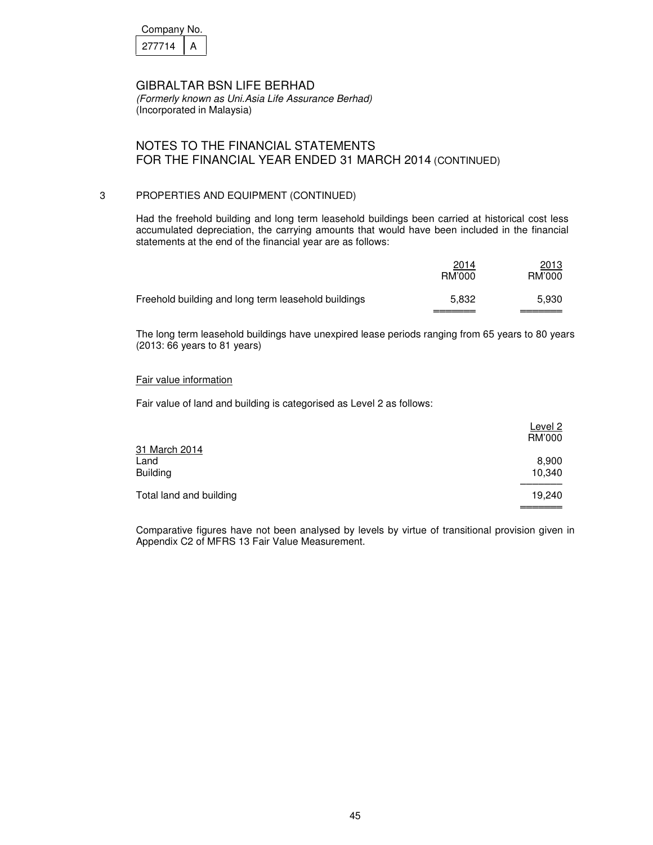| Company No. |  |
|-------------|--|
| 277714      |  |

## NOTES TO THE FINANCIAL STATEMENTS FOR THE FINANCIAL YEAR ENDED 31 MARCH 2014 (CONTINUED)

#### 3 PROPERTIES AND EQUIPMENT (CONTINUED)

Had the freehold building and long term leasehold buildings been carried at historical cost less accumulated depreciation, the carrying amounts that would have been included in the financial statements at the end of the financial year are as follows:

|                                                     | 2014<br>RM'000 | 2013<br>RM'000 |
|-----------------------------------------------------|----------------|----------------|
| Freehold building and long term leasehold buildings | 5.832          | 5.930          |

The long term leasehold buildings have unexpired lease periods ranging from 65 years to 80 years (2013: 66 years to 81 years)

#### Fair value information

Fair value of land and building is categorised as Level 2 as follows:

| Level 2<br>RM'000 |
|-------------------|
| 8,900<br>10,340   |
| 19,240            |
|                   |

Comparative figures have not been analysed by levels by virtue of transitional provision given in Appendix C2 of MFRS 13 Fair Value Measurement.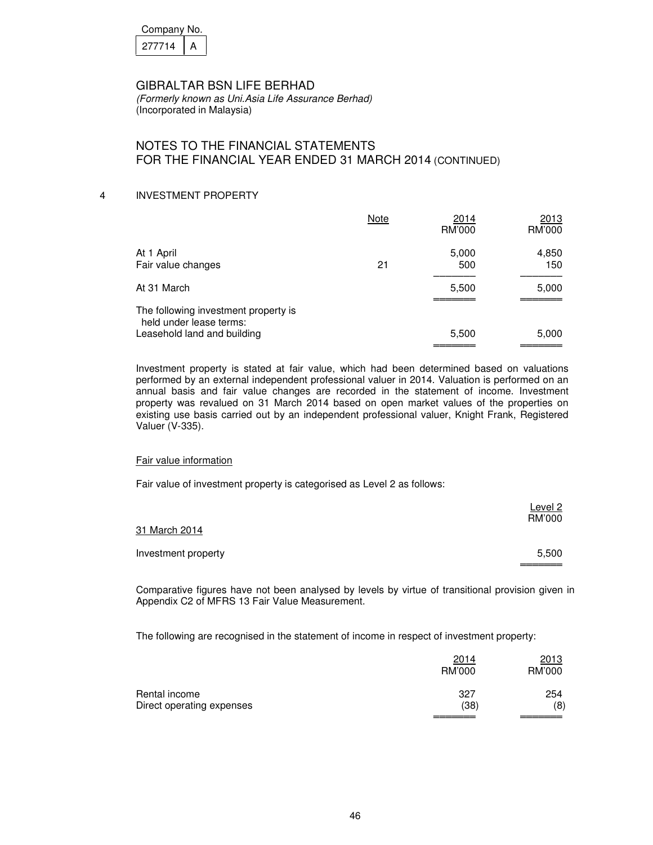| Company No. |  |
|-------------|--|
| 277714      |  |

(Formerly known as Uni.Asia Life Assurance Berhad) (Incorporated in Malaysia)

## NOTES TO THE FINANCIAL STATEMENTS FOR THE FINANCIAL YEAR ENDED 31 MARCH 2014 (CONTINUED)

#### 4 INVESTMENT PROPERTY

|                                                                                                | Note | 2014<br>RM'000 | 2013<br>RM'000 |
|------------------------------------------------------------------------------------------------|------|----------------|----------------|
| At 1 April<br>Fair value changes                                                               | 21   | 5,000<br>500   | 4,850<br>150   |
| At 31 March                                                                                    |      | 5,500          | 5,000          |
| The following investment property is<br>held under lease terms:<br>Leasehold land and building |      | 5,500          | 5,000          |
|                                                                                                |      |                |                |

Investment property is stated at fair value, which had been determined based on valuations performed by an external independent professional valuer in 2014. Valuation is performed on an annual basis and fair value changes are recorded in the statement of income. Investment property was revalued on 31 March 2014 based on open market values of the properties on existing use basis carried out by an independent professional valuer, Knight Frank, Registered Valuer (V-335).

#### Fair value information

Fair value of investment property is categorised as Level 2 as follows:

|                     | Level 2<br>RM'000 |
|---------------------|-------------------|
| 31 March 2014       |                   |
| Investment property | 5,500             |

Comparative figures have not been analysed by levels by virtue of transitional provision given in Appendix C2 of MFRS 13 Fair Value Measurement.

The following are recognised in the statement of income in respect of investment property:

|                                            | 2014<br>RM'000 | 2013<br>RM'000 |
|--------------------------------------------|----------------|----------------|
| Rental income<br>Direct operating expenses | 327<br>(38)    | 254<br>(8)     |
|                                            |                |                |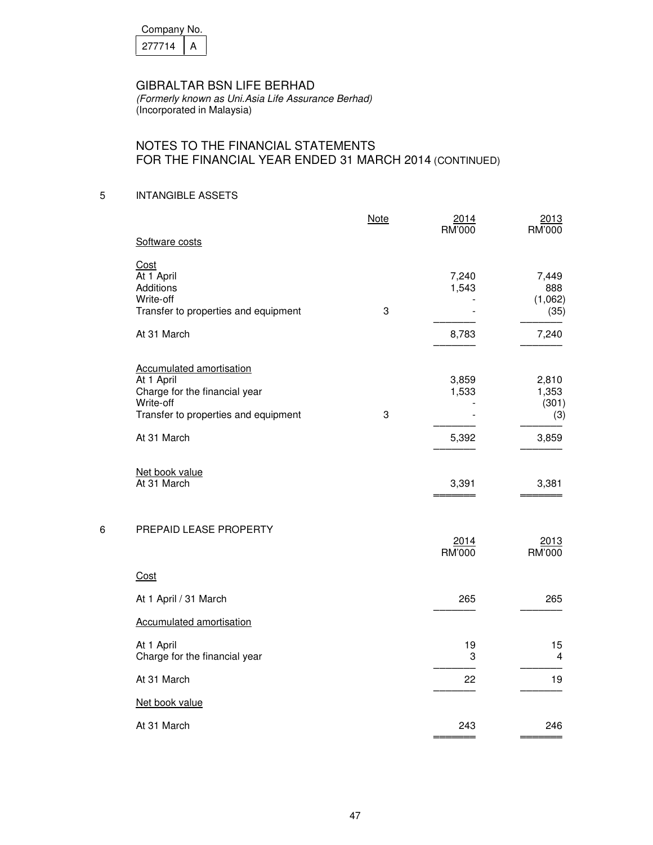| Company No. |  |
|-------------|--|
| 277714      |  |

(Formerly known as Uni.Asia Life Assurance Berhad) (Incorporated in Malaysia)

# NOTES TO THE FINANCIAL STATEMENTS FOR THE FINANCIAL YEAR ENDED 31 MARCH 2014 (CONTINUED)

## 5 INTANGIBLE ASSETS

|   |                                                                                                                                                    | <b>Note</b> | 2014<br>RM'000          | 2013<br>RM'000                          |
|---|----------------------------------------------------------------------------------------------------------------------------------------------------|-------------|-------------------------|-----------------------------------------|
|   | Software costs                                                                                                                                     |             |                         |                                         |
|   | Cost<br>At 1 April<br>Additions<br>Write-off<br>Transfer to properties and equipment                                                               | 3           | 7,240<br>1,543          | 7,449<br>888<br>(1,062)<br>(35)         |
|   | At 31 March                                                                                                                                        |             | 8,783                   | 7,240                                   |
|   | <b>Accumulated amortisation</b><br>At 1 April<br>Charge for the financial year<br>Write-off<br>Transfer to properties and equipment<br>At 31 March | 3           | 3,859<br>1,533<br>5,392 | 2,810<br>1,353<br>(301)<br>(3)<br>3,859 |
|   | Net book value<br>At 31 March                                                                                                                      |             | 3,391                   | 3,381                                   |
| 6 | PREPAID LEASE PROPERTY                                                                                                                             |             | 2014<br><b>RM'000</b>   | 2013<br>RM'000                          |
|   | Cost                                                                                                                                               |             |                         |                                         |
|   | At 1 April / 31 March                                                                                                                              |             | 265                     | 265                                     |
|   | <b>Accumulated amortisation</b>                                                                                                                    |             |                         |                                         |
|   | At 1 April<br>Charge for the financial year                                                                                                        |             | 19<br>3                 | 15<br>4                                 |
|   | At 31 March                                                                                                                                        |             | 22                      | 19                                      |
|   | Net book value                                                                                                                                     |             |                         |                                         |
|   | At 31 March                                                                                                                                        |             | 243                     | 246                                     |
|   |                                                                                                                                                    |             |                         |                                         |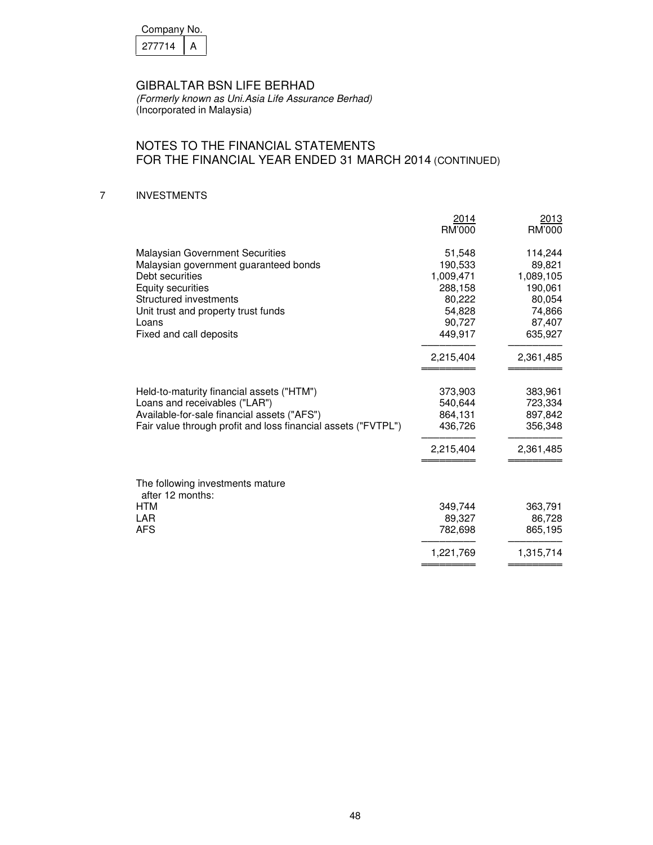| Company No. |  |
|-------------|--|
| 277714      |  |

(Formerly known as Uni.Asia Life Assurance Berhad) (Incorporated in Malaysia)

# NOTES TO THE FINANCIAL STATEMENTS FOR THE FINANCIAL YEAR ENDED 31 MARCH 2014 (CONTINUED)

## 7 INVESTMENTS

|                                                               | <u>2014</u>       | 2013              |
|---------------------------------------------------------------|-------------------|-------------------|
|                                                               | RM'000            | RM'000            |
| <b>Malaysian Government Securities</b>                        | 51,548            | 114,244           |
| Malaysian government guaranteed bonds                         | 190,533           | 89,821            |
| Debt securities                                               | 1,009,471         | 1,089,105         |
| Equity securities                                             | 288,158           | 190,061           |
| Structured investments                                        | 80,222            | 80,054            |
| Unit trust and property trust funds                           | 54,828            | 74,866            |
| Loans                                                         | 90,727            | 87,407            |
| Fixed and call deposits                                       | 449,917           | 635,927           |
|                                                               | 2,215,404         | 2,361,485         |
|                                                               |                   |                   |
| Held-to-maturity financial assets ("HTM")                     | 373,903           | 383,961           |
| Loans and receivables ("LAR")                                 | 540,644           | 723,334           |
| Available-for-sale financial assets ("AFS")                   | 864,131           | 897,842           |
| Fair value through profit and loss financial assets ("FVTPL") | 436,726           | 356,348           |
|                                                               | 2,215,404         | 2,361,485         |
|                                                               |                   |                   |
| The following investments mature                              |                   |                   |
| after 12 months:<br>HTM                                       |                   |                   |
| LAR                                                           | 349,744<br>89,327 | 363,791<br>86,728 |
| <b>AFS</b>                                                    | 782,698           | 865,195           |
|                                                               |                   |                   |
|                                                               | 1,221,769         | 1,315,714         |
|                                                               |                   |                   |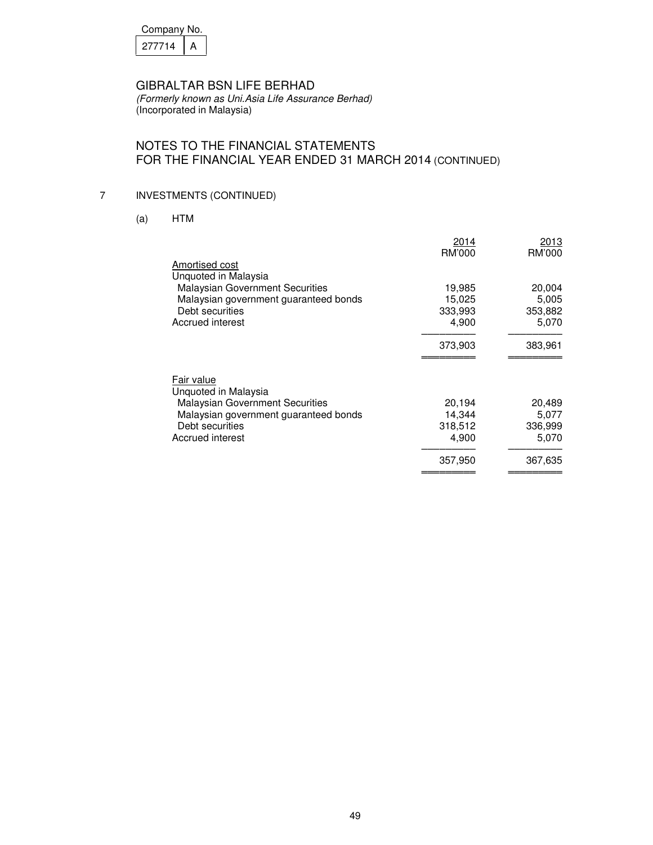| Company No. |  |
|-------------|--|
|             |  |

|--|

(Formerly known as Uni.Asia Life Assurance Berhad) (Incorporated in Malaysia)

# NOTES TO THE FINANCIAL STATEMENTS FOR THE FINANCIAL YEAR ENDED 31 MARCH 2014 (CONTINUED)

# 7 INVESTMENTS (CONTINUED)

(a) HTM

|                                                                | 2014<br>RM'000   | 2013<br>RM'000  |
|----------------------------------------------------------------|------------------|-----------------|
| Amortised cost                                                 |                  |                 |
| Unquoted in Malaysia                                           |                  |                 |
| <b>Malaysian Government Securities</b>                         | 19,985           | 20,004          |
| Malaysian government guaranteed bonds                          | 15,025           | 5,005           |
| Debt securities                                                | 333,993          | 353,882         |
| Accrued interest                                               | 4,900            | 5,070           |
|                                                                | 373,903          | 383,961         |
|                                                                |                  |                 |
| Fair value                                                     |                  |                 |
| Unquoted in Malaysia<br><b>Malaysian Government Securities</b> |                  |                 |
| Malaysian government guaranteed bonds                          | 20,194<br>14,344 | 20,489<br>5,077 |
| Debt securities                                                | 318,512          | 336,999         |
| Accrued interest                                               | 4,900            | 5,070           |
|                                                                |                  |                 |
|                                                                | 357,950          | 367,635         |
|                                                                |                  |                 |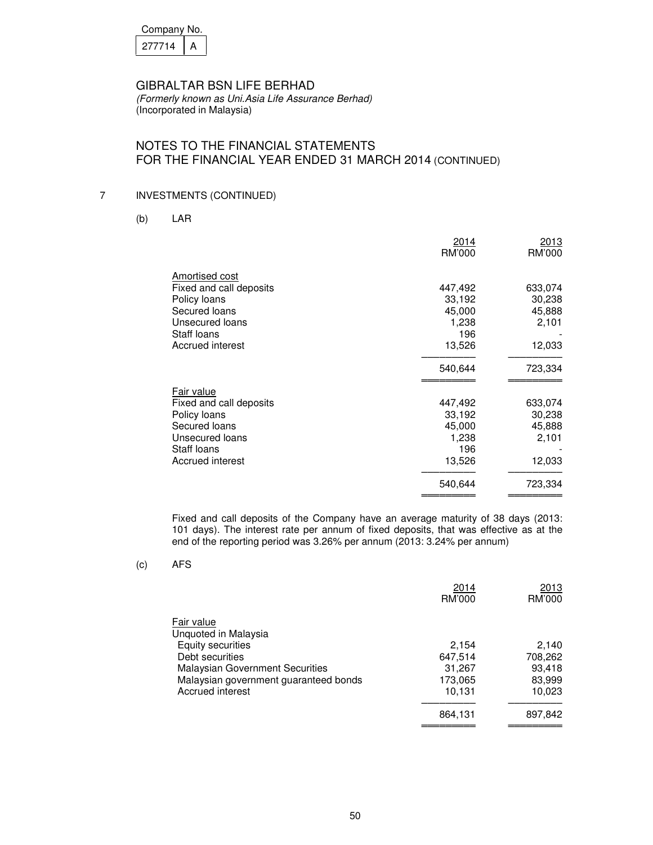| Company No. |  |
|-------------|--|
| 277714      |  |

(Formerly known as Uni.Asia Life Assurance Berhad) (Incorporated in Malaysia)

## NOTES TO THE FINANCIAL STATEMENTS FOR THE FINANCIAL YEAR ENDED 31 MARCH 2014 (CONTINUED)

## 7 INVESTMENTS (CONTINUED)

(b) LAR

|                                           | 2014<br>RM'000 | 2013<br>RM'000 |
|-------------------------------------------|----------------|----------------|
| Amortised cost<br>Fixed and call deposits | 447,492        | 633,074        |
| Policy loans                              | 33,192         | 30,238         |
| Secured loans                             | 45,000         | 45,888         |
| Unsecured loans                           | 1,238          | 2,101          |
| Staff loans                               | 196            |                |
| Accrued interest                          | 13,526         | 12,033         |
|                                           | 540,644        | 723,334        |
| Fair value                                |                |                |
| Fixed and call deposits                   | 447,492        | 633,074        |
| Policy loans                              | 33,192         | 30,238         |
| Secured loans                             | 45,000         | 45,888         |
| Unsecured loans                           | 1,238          | 2,101          |
| Staff loans                               | 196            |                |
| Accrued interest                          | 13,526         | 12,033         |
|                                           | 540,644        | 723,334        |
|                                           |                |                |

 Fixed and call deposits of the Company have an average maturity of 38 days (2013: 101 days). The interest rate per annum of fixed deposits, that was effective as at the end of the reporting period was 3.26% per annum (2013: 3.24% per annum)

(c) AFS

|                                                                                                                                                                                   | 2014<br>RM'000                                             | 2013<br>RM'000                                            |
|-----------------------------------------------------------------------------------------------------------------------------------------------------------------------------------|------------------------------------------------------------|-----------------------------------------------------------|
| Fair value<br>Unquoted in Malaysia<br>Equity securities<br>Debt securities<br><b>Malaysian Government Securities</b><br>Malaysian government guaranteed bonds<br>Accrued interest | 2,154<br>647,514<br>31,267<br>173,065<br>10,131<br>864,131 | 2,140<br>708,262<br>93,418<br>83,999<br>10,023<br>897,842 |
|                                                                                                                                                                                   |                                                            |                                                           |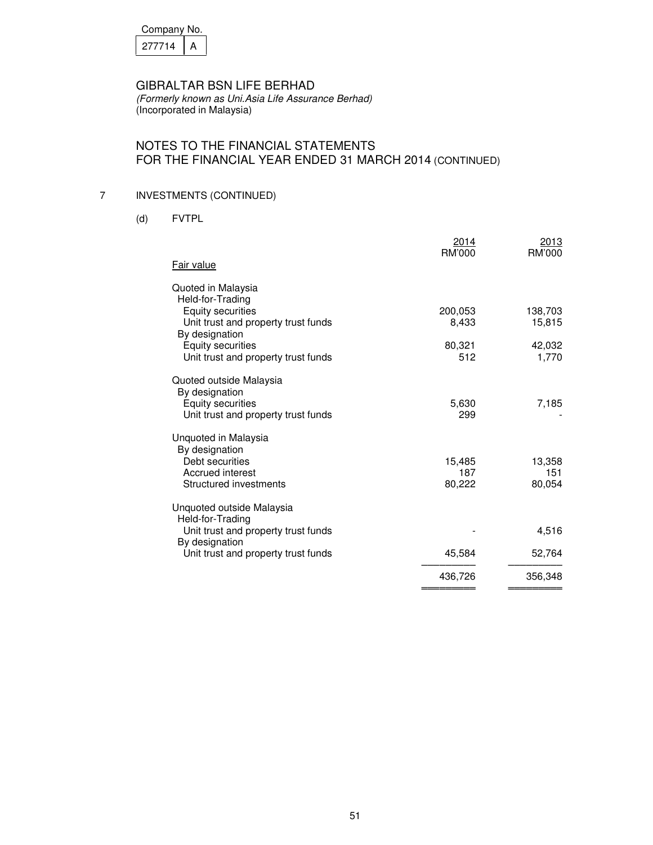| Company No. |  |
|-------------|--|
| 277714      |  |

(Formerly known as Uni.Asia Life Assurance Berhad) (Incorporated in Malaysia)

# NOTES TO THE FINANCIAL STATEMENTS FOR THE FINANCIAL YEAR ENDED 31 MARCH 2014 (CONTINUED)

# 7 INVESTMENTS (CONTINUED)

(d) FVTPL

|                                                                              | 2014<br>RM'000   | 2013<br>RM'000    |
|------------------------------------------------------------------------------|------------------|-------------------|
| Fair value                                                                   |                  |                   |
| Quoted in Malaysia                                                           |                  |                   |
| Held-for-Trading<br>Equity securities<br>Unit trust and property trust funds | 200,053<br>8,433 | 138,703<br>15,815 |
| By designation<br>Equity securities<br>Unit trust and property trust funds   | 80,321<br>512    | 42,032<br>1,770   |
| Quoted outside Malaysia                                                      |                  |                   |
| By designation<br>Equity securities<br>Unit trust and property trust funds   | 5,630<br>299     | 7,185             |
| Unquoted in Malaysia<br>By designation                                       |                  |                   |
| Debt securities                                                              | 15,485           | 13,358            |
| <b>Accrued interest</b><br>Structured investments                            | 187<br>80,222    | 151<br>80,054     |
| Unquoted outside Malaysia<br>Held-for-Trading                                |                  |                   |
| Unit trust and property trust funds                                          |                  | 4,516             |
| By designation<br>Unit trust and property trust funds                        | 45,584           | 52,764            |
|                                                                              | 436,726          | 356,348           |
|                                                                              |                  |                   |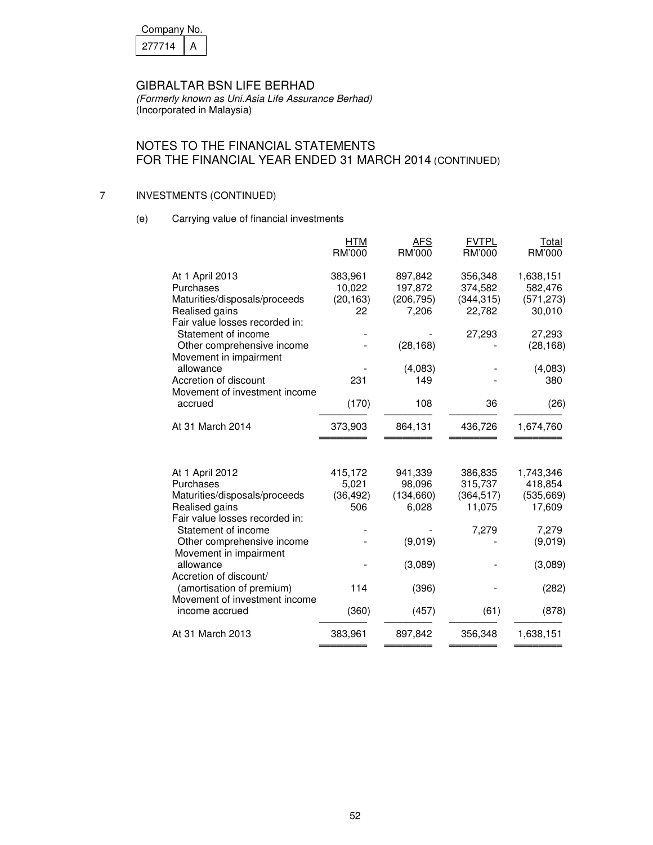| Companv No. |  |
|-------------|--|
|             |  |

(Formerly known as Uni.Asia Life Assurance Berhad) (Incorporated in Malaysia)

# NOTES TO THE FINANCIAL STATEMENTS FOR THE FINANCIAL YEAR ENDED 31 MARCH 2014 (CONTINUED)

# 7 INVESTMENTS (CONTINUED)

(e) Carrying value of financial investments

|                                                                                                                   | HTM<br>RM'000                        | <b>AFS</b><br>RM'000                      | <b>FVTPL</b><br>RM'000                     | <b>Total</b><br>RM'000                       |
|-------------------------------------------------------------------------------------------------------------------|--------------------------------------|-------------------------------------------|--------------------------------------------|----------------------------------------------|
| At 1 April 2013<br>Purchases<br>Maturities/disposals/proceeds<br>Realised gains<br>Fair value losses recorded in: | 383,961<br>10,022<br>(20, 163)<br>22 | 897,842<br>197,872<br>(206, 795)<br>7,206 | 356,348<br>374,582<br>(344, 315)<br>22,782 | 1,638,151<br>582,476<br>(571, 273)<br>30,010 |
| Statement of income<br>Other comprehensive income<br>Movement in impairment                                       |                                      | (28, 168)                                 | 27,293                                     | 27,293<br>(28, 168)                          |
| allowance<br>Accretion of discount<br>Movement of investment income                                               | 231                                  | (4,083)<br>149                            |                                            | (4,083)<br>380                               |
| accrued                                                                                                           | (170)                                | 108                                       | 36                                         | (26)                                         |
| At 31 March 2014                                                                                                  | 373,903                              | 864,131                                   | 436,726                                    | 1,674,760                                    |
|                                                                                                                   |                                      |                                           |                                            |                                              |
| At 1 April 2012<br>Purchases<br>Maturities/disposals/proceeds<br>Realised gains                                   | 415,172<br>5,021<br>(36, 492)<br>506 | 941,339<br>98,096<br>(134, 660)<br>6,028  | 386,835<br>315,737<br>(364, 517)<br>11,075 | 1,743,346<br>418,854<br>(535, 669)<br>17,609 |
| Fair value losses recorded in:<br>Statement of income<br>Other comprehensive income<br>Movement in impairment     |                                      | (9,019)                                   | 7,279                                      | 7,279<br>(9,019)                             |
| allowance                                                                                                         |                                      | (3,089)                                   |                                            | (3,089)                                      |
| Accretion of discount/<br>(amortisation of premium)<br>Movement of investment income                              | 114                                  | (396)                                     |                                            | (282)                                        |
| income accrued                                                                                                    | (360)                                | (457)                                     | (61)                                       | (878)                                        |
| At 31 March 2013                                                                                                  | 383,961                              | 897,842                                   | 356,348                                    | 1,638,151                                    |
|                                                                                                                   |                                      |                                           |                                            |                                              |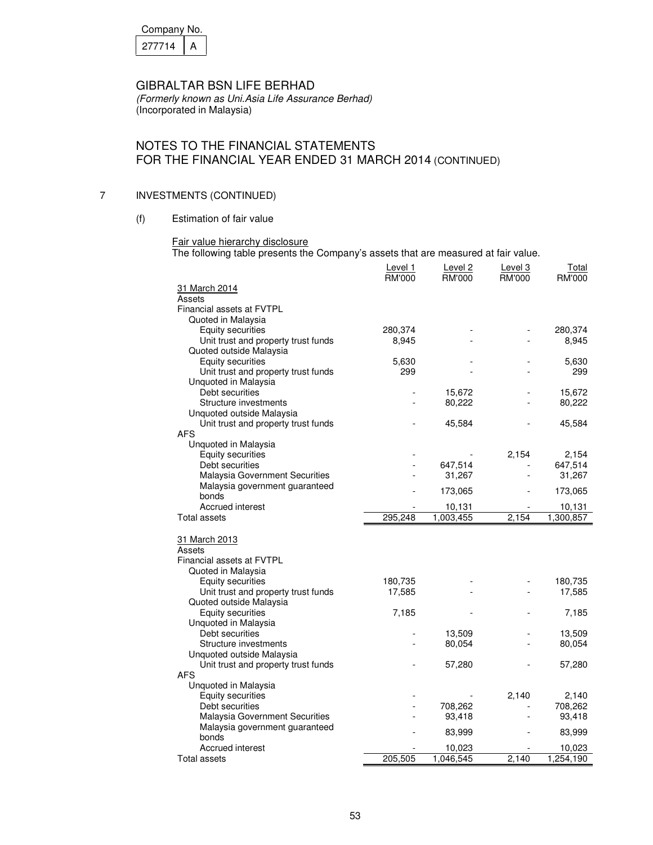| Company No. |  |
|-------------|--|
|             |  |

|--|--|

(Formerly known as Uni.Asia Life Assurance Berhad) (Incorporated in Malaysia)

## NOTES TO THE FINANCIAL STATEMENTS FOR THE FINANCIAL YEAR ENDED 31 MARCH 2014 (CONTINUED)

## 7 INVESTMENTS (CONTINUED)

(f) Estimation of fair value

## Fair value hierarchy disclosure

The following table presents the Company's assets that are measured at fair value.

|                                             | Level 1<br>RM'000 | Level 2<br>RM'000 | Level 3<br>RM'000 | Total<br>RM'000   |
|---------------------------------------------|-------------------|-------------------|-------------------|-------------------|
| 31 March 2014                               |                   |                   |                   |                   |
| Assets                                      |                   |                   |                   |                   |
| Financial assets at FVTPL                   |                   |                   |                   |                   |
| Quoted in Malaysia                          |                   |                   |                   |                   |
| Equity securities                           | 280,374           |                   |                   | 280,374           |
| Unit trust and property trust funds         | 8,945             |                   |                   | 8,945             |
| Quoted outside Malaysia                     |                   |                   |                   |                   |
| <b>Equity securities</b>                    | 5,630             |                   |                   | 5,630             |
| Unit trust and property trust funds         | 299               |                   |                   | 299               |
| Unquoted in Malaysia                        |                   |                   |                   |                   |
| Debt securities                             |                   | 15,672            |                   | 15,672            |
| Structure investments                       |                   | 80,222            |                   | 80,222            |
| Unquoted outside Malaysia                   |                   |                   |                   |                   |
| Unit trust and property trust funds         |                   | 45,584            |                   | 45,584            |
| <b>AFS</b>                                  |                   |                   |                   |                   |
| Unquoted in Malaysia                        |                   |                   |                   |                   |
| <b>Equity securities</b><br>Debt securities |                   |                   | 2,154             | 2,154             |
| Malaysia Government Securities              |                   | 647,514<br>31,267 | -                 | 647,514<br>31,267 |
| Malaysia government guaranteed              |                   |                   |                   |                   |
| bonds                                       |                   | 173,065           |                   | 173,065           |
| Accrued interest                            |                   | 10,131            |                   | 10,131            |
| <b>Total assets</b>                         | 295,248           | 1,003,455         | 2,154             | 1,300,857         |
|                                             |                   |                   |                   |                   |
| 31 March 2013                               |                   |                   |                   |                   |
| Assets                                      |                   |                   |                   |                   |
| Financial assets at FVTPL                   |                   |                   |                   |                   |
| Quoted in Malaysia                          |                   |                   |                   |                   |
| Equity securities                           | 180,735           |                   |                   | 180,735           |
| Unit trust and property trust funds         | 17,585            |                   |                   | 17,585            |
| Quoted outside Malaysia                     |                   |                   |                   |                   |
| Equity securities                           | 7,185             |                   |                   | 7,185             |
| Unquoted in Malaysia                        |                   |                   |                   |                   |
| Debt securities                             |                   | 13,509            |                   | 13,509            |
| Structure investments                       |                   | 80,054            |                   | 80,054            |
| Unquoted outside Malaysia                   |                   |                   |                   |                   |
| Unit trust and property trust funds         |                   | 57,280            |                   | 57,280            |
| <b>AFS</b>                                  |                   |                   |                   |                   |
| Unquoted in Malaysia                        |                   |                   | 2,140             |                   |
| Equity securities<br>Debt securities        |                   | 708,262           | $\overline{a}$    | 2,140<br>708,262  |
| Malaysia Government Securities              |                   | 93,418            | $\overline{a}$    | 93,418            |
| Malaysia government guaranteed              |                   |                   |                   |                   |
| bonds                                       |                   | 83,999            |                   | 83,999            |
| Accrued interest                            |                   | 10,023            |                   | 10,023            |
| Total assets                                | 205,505           | 1,046,545         | 2,140             | 1,254,190         |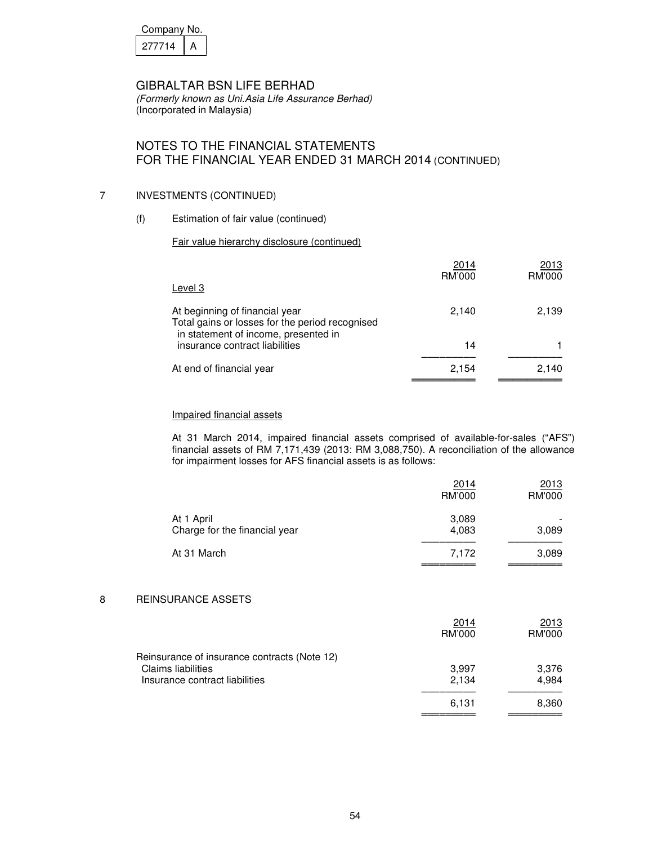| Company No. |  |
|-------------|--|
| 277714      |  |

GIBRALTAR BSN LIFE BERHAD (Formerly known as Uni.Asia Life Assurance Berhad)

# (Incorporated in Malaysia)

# NOTES TO THE FINANCIAL STATEMENTS FOR THE FINANCIAL YEAR ENDED 31 MARCH 2014 (CONTINUED)

## 7 INVESTMENTS (CONTINUED)

#### (f) Estimation of fair value (continued)

## Fair value hierarchy disclosure (continued)

| 2014<br>RM'000 | 2013<br><b>RM'000</b> |
|----------------|-----------------------|
| 2,140          | 2,139                 |
| 14             |                       |
| 2,154          | 2,140                 |
|                |                       |

#### Impaired financial assets

At 31 March 2014, impaired financial assets comprised of available-for-sales ("AFS") financial assets of RM 7,171,439 (2013: RM 3,088,750). A reconciliation of the allowance for impairment losses for AFS financial assets is as follows:

|                                             | 2014<br>RM'000 | 2013<br>RM'000 |
|---------------------------------------------|----------------|----------------|
| At 1 April<br>Charge for the financial year | 3,089<br>4,083 | 3,089          |
| At 31 March                                 | 7,172          | 3,089          |

## 8 REINSURANCE ASSETS

|                                                                                                      | 6,131          | 8,360                 |
|------------------------------------------------------------------------------------------------------|----------------|-----------------------|
| Reinsurance of insurance contracts (Note 12)<br>Claims liabilities<br>Insurance contract liabilities | 3,997<br>2.134 | 3,376<br>4.984        |
|                                                                                                      | 2014<br>RM'000 | 2013<br><b>RM'000</b> |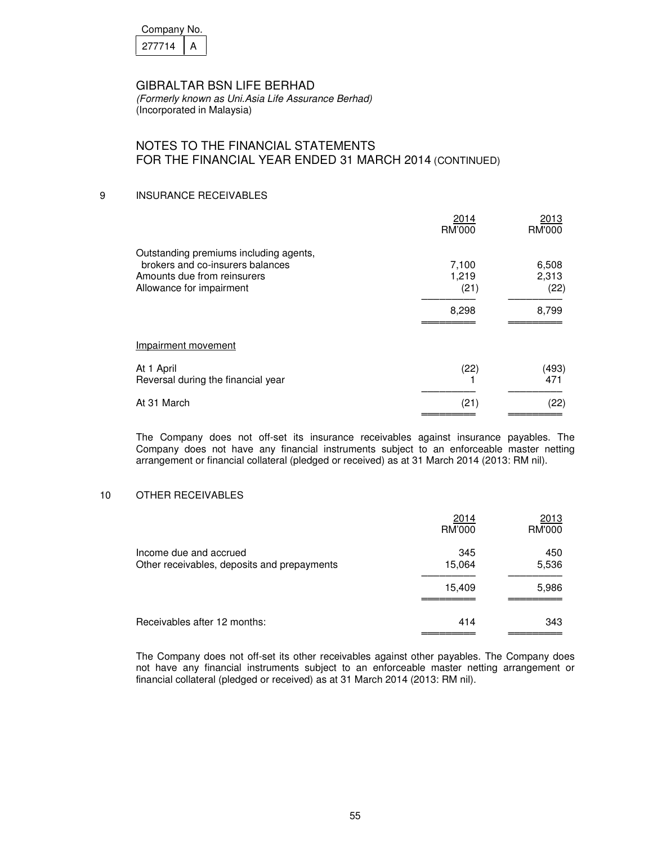| Company No. |  |
|-------------|--|
| 277714      |  |

(Formerly known as Uni.Asia Life Assurance Berhad) (Incorporated in Malaysia)

## NOTES TO THE FINANCIAL STATEMENTS FOR THE FINANCIAL YEAR ENDED 31 MARCH 2014 (CONTINUED)

## 9 INSURANCE RECEIVABLES

|                                                                                                                                       | 2014<br>RM'000         | 2013<br><b>RM'000</b>  |
|---------------------------------------------------------------------------------------------------------------------------------------|------------------------|------------------------|
| Outstanding premiums including agents,<br>brokers and co-insurers balances<br>Amounts due from reinsurers<br>Allowance for impairment | 7,100<br>1,219<br>(21) | 6,508<br>2,313<br>(22) |
|                                                                                                                                       | 8,298                  | 8,799                  |
| Impairment movement                                                                                                                   |                        |                        |
| At 1 April<br>Reversal during the financial year                                                                                      | (22)                   | (493)<br>471           |
| At 31 March                                                                                                                           | (21)                   | (22)                   |

The Company does not off-set its insurance receivables against insurance payables. The Company does not have any financial instruments subject to an enforceable master netting arrangement or financial collateral (pledged or received) as at 31 March 2014 (2013: RM nil).

#### 10 OTHER RECEIVABLES

|                                                                       | 2014<br>RM'000 | 2013<br>RM'000 |
|-----------------------------------------------------------------------|----------------|----------------|
| Income due and accrued<br>Other receivables, deposits and prepayments | 345<br>15,064  | 450<br>5,536   |
|                                                                       | 15,409         | 5,986          |
| Receivables after 12 months:                                          | 414            | 343            |

The Company does not off-set its other receivables against other payables. The Company does not have any financial instruments subject to an enforceable master netting arrangement or financial collateral (pledged or received) as at 31 March 2014 (2013: RM nil).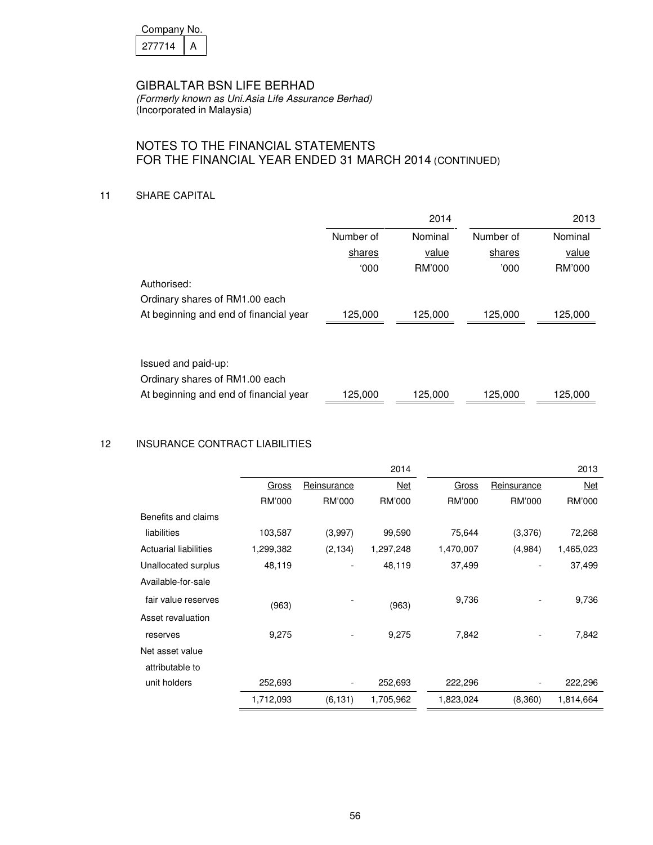| Company No. |  |
|-------------|--|
| 277714      |  |

# NOTES TO THE FINANCIAL STATEMENTS FOR THE FINANCIAL YEAR ENDED 31 MARCH 2014 (CONTINUED)

11 SHARE CAPITAL

|                                        |           | 2014    |           | 2013    |
|----------------------------------------|-----------|---------|-----------|---------|
|                                        | Number of | Nominal | Number of | Nominal |
|                                        | shares    | value   | shares    | value   |
|                                        | 000       | RM'000  | '000      | RM'000  |
| Authorised:                            |           |         |           |         |
| Ordinary shares of RM1.00 each         |           |         |           |         |
| At beginning and end of financial year | 125,000   | 125,000 | 125,000   | 125,000 |
|                                        |           |         |           |         |
| Issued and paid-up:                    |           |         |           |         |
| Ordinary shares of RM1.00 each         |           |         |           |         |
| At beginning and end of financial year | 125,000   | 125,000 | 125,000   | 125,000 |

## 12 INSURANCE CONTRACT LIABILITIES

|                       |           |             | 2014      |           |             | 2013      |
|-----------------------|-----------|-------------|-----------|-----------|-------------|-----------|
|                       | Gross     | Reinsurance | Net       | Gross     | Reinsurance | Net       |
|                       | RM'000    | RM'000      | RM'000    | RM'000    | RM'000      | RM'000    |
| Benefits and claims   |           |             |           |           |             |           |
| liabilities           | 103,587   | (3,997)     | 99.590    | 75.644    | (3,376)     | 72,268    |
| Actuarial liabilities | 1,299,382 | (2, 134)    | 1,297,248 | 1,470,007 | (4,984)     | 1,465,023 |
| Unallocated surplus   | 48,119    |             | 48,119    | 37,499    |             | 37,499    |
| Available-for-sale    |           |             |           |           |             |           |
| fair value reserves   | (963)     |             | (963)     | 9,736     |             | 9,736     |
| Asset revaluation     |           |             |           |           |             |           |
| reserves              | 9,275     |             | 9,275     | 7,842     |             | 7,842     |
| Net asset value       |           |             |           |           |             |           |
| attributable to       |           |             |           |           |             |           |
| unit holders          | 252,693   |             | 252,693   | 222,296   |             | 222,296   |
|                       | 1,712,093 | (6, 131)    | 1,705,962 | 1,823,024 | (8,360)     | 1,814,664 |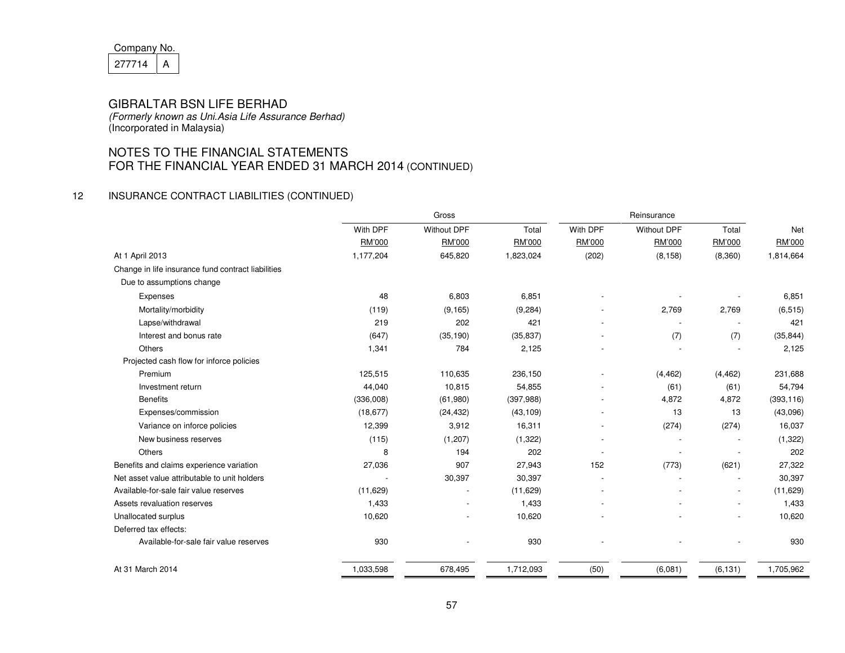Company No.  $277714$  A

## GIBRALTAR BSN LIFE BERHAD

 (Formerly known as Uni.Asia Life Assurance Berhad) (Incorporated in Malaysia)

# NOTES TO THE FINANCIAL STATEMENTS FOR THE FINANCIAL YEAR ENDED 31 MARCH 2014 (CONTINUED)

#### 12 INSURANCE CONTRACT LIABILITIES (CONTINUED)

|                                                    | Gross     |                          |            | Reinsurance              |                    |                          |            |
|----------------------------------------------------|-----------|--------------------------|------------|--------------------------|--------------------|--------------------------|------------|
|                                                    | With DPF  | <b>Without DPF</b>       | Total      | With DPF                 | <b>Without DPF</b> | Total                    | Net        |
|                                                    | RM'000    | RM'000                   | RM'000     | RM'000                   | RM'000             | RM'000                   | RM'000     |
| At 1 April 2013                                    | 1,177,204 | 645,820                  | 1,823,024  | (202)                    | (8, 158)           | (8,360)                  | 1,814,664  |
| Change in life insurance fund contract liabilities |           |                          |            |                          |                    |                          |            |
| Due to assumptions change                          |           |                          |            |                          |                    |                          |            |
| Expenses                                           | 48        | 6,803                    | 6,851      |                          |                    |                          | 6,851      |
| Mortality/morbidity                                | (119)     | (9, 165)                 | (9, 284)   |                          | 2,769              | 2,769                    | (6, 515)   |
| Lapse/withdrawal                                   | 219       | 202                      | 421        |                          |                    |                          | 421        |
| Interest and bonus rate                            | (647)     | (35, 190)                | (35, 837)  |                          | (7)                | (7)                      | (35, 844)  |
| <b>Others</b>                                      | 1,341     | 784                      | 2,125      |                          |                    |                          | 2,125      |
| Projected cash flow for inforce policies           |           |                          |            |                          |                    |                          |            |
| Premium                                            | 125.515   | 110,635                  | 236,150    |                          | (4, 462)           | (4, 462)                 | 231,688    |
| Investment return                                  | 44,040    | 10,815                   | 54,855     |                          | (61)               | (61)                     | 54,794     |
| <b>Benefits</b>                                    | (336,008) | (61,980)                 | (397, 988) |                          | 4,872              | 4,872                    | (393, 116) |
| Expenses/commission                                | (18, 677) | (24, 432)                | (43, 109)  |                          | 13                 | 13                       | (43,096)   |
| Variance on inforce policies                       | 12,399    | 3,912                    | 16,311     |                          | (274)              | (274)                    | 16,037     |
| New business reserves                              | (115)     | (1, 207)                 | (1, 322)   | $\overline{\phantom{a}}$ |                    |                          | (1,322)    |
| Others                                             | 8         | 194                      | 202        |                          |                    |                          | 202        |
| Benefits and claims experience variation           | 27,036    | 907                      | 27,943     | 152                      | (773)              | (621)                    | 27,322     |
| Net asset value attributable to unit holders       |           | 30,397                   | 30,397     | $\overline{\phantom{a}}$ |                    |                          | 30,397     |
| Available-for-sale fair value reserves             | (11, 629) | $\overline{a}$           | (11,629)   |                          |                    |                          | (11,629)   |
| Assets revaluation reserves                        | 1,433     | $\overline{\phantom{a}}$ | 1,433      |                          |                    | $\overline{\phantom{a}}$ | 1,433      |
| Unallocated surplus                                | 10,620    | $\overline{\phantom{a}}$ | 10,620     |                          |                    |                          | 10,620     |
| Deferred tax effects:                              |           |                          |            |                          |                    |                          |            |
| Available-for-sale fair value reserves             | 930       |                          | 930        |                          |                    |                          | 930        |
| At 31 March 2014                                   | 1,033,598 | 678,495                  | 1,712,093  | (50)                     | (6,081)            | (6, 131)                 | 1,705,962  |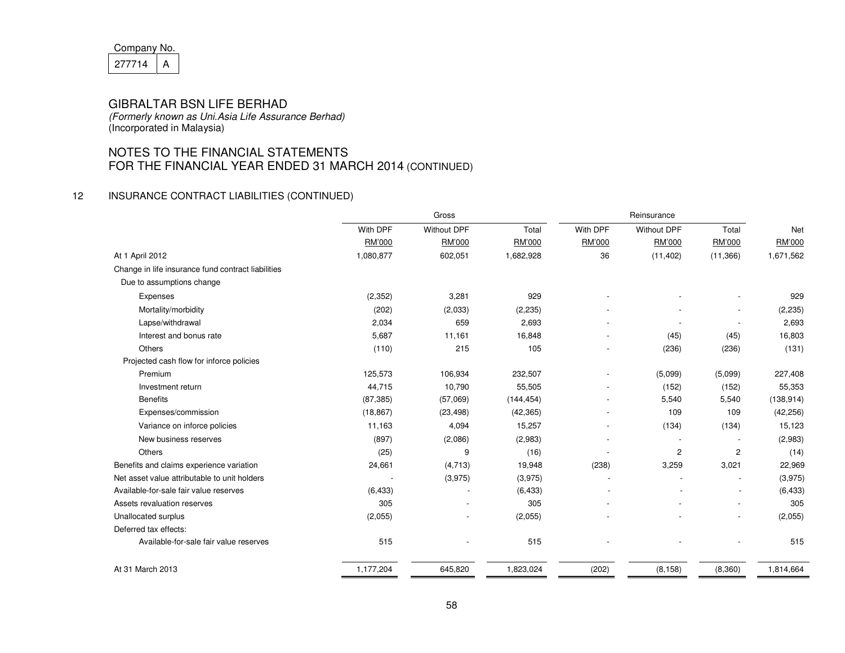Company No.  $277714$  A

## GIBRALTAR BSN LIFE BERHAD

 (Formerly known as Uni.Asia Life Assurance Berhad) (Incorporated in Malaysia)

# NOTES TO THE FINANCIAL STATEMENTS FOR THE FINANCIAL YEAR ENDED 31 MARCH 2014 (CONTINUED)

#### 12 INSURANCE CONTRACT LIABILITIES (CONTINUED)

|                                                    | Gross     |                          | Reinsurance |                          |                          |                          |               |
|----------------------------------------------------|-----------|--------------------------|-------------|--------------------------|--------------------------|--------------------------|---------------|
|                                                    | With DPF  | <b>Without DPF</b>       | Total       | With DPF                 | <b>Without DPF</b>       | Total                    | Net           |
|                                                    | RM'000    | RM'000                   | RM'000      | RM'000                   | <b>RM'000</b>            | <b>RM'000</b>            | <b>RM'000</b> |
| At 1 April 2012                                    | 1,080,877 | 602,051                  | 1,682,928   | 36                       | (11, 402)                | (11, 366)                | 1,671,562     |
| Change in life insurance fund contract liabilities |           |                          |             |                          |                          |                          |               |
| Due to assumptions change                          |           |                          |             |                          |                          |                          |               |
| Expenses                                           | (2, 352)  | 3,281                    | 929         |                          |                          |                          | 929           |
| Mortality/morbidity                                | (202)     | (2,033)                  | (2, 235)    |                          |                          |                          | (2, 235)      |
| Lapse/withdrawal                                   | 2,034     | 659                      | 2,693       |                          |                          |                          | 2,693         |
| Interest and bonus rate                            | 5,687     | 11,161                   | 16,848      |                          | (45)                     | (45)                     | 16,803        |
| Others                                             | (110)     | 215                      | 105         |                          | (236)                    | (236)                    | (131)         |
| Projected cash flow for inforce policies           |           |                          |             |                          |                          |                          |               |
| Premium                                            | 125,573   | 106,934                  | 232,507     | $\overline{\phantom{a}}$ | (5,099)                  | (5,099)                  | 227,408       |
| Investment return                                  | 44,715    | 10,790                   | 55,505      |                          | (152)                    | (152)                    | 55,353        |
| <b>Benefits</b>                                    | (87, 385) | (57,069)                 | (144, 454)  |                          | 5,540                    | 5,540                    | (138, 914)    |
| Expenses/commission                                | (18, 867) | (23, 498)                | (42, 365)   |                          | 109                      | 109                      | (42, 256)     |
| Variance on inforce policies                       | 11,163    | 4,094                    | 15,257      |                          | (134)                    | (134)                    | 15,123        |
| New business reserves                              | (897)     | (2,086)                  | (2,983)     |                          |                          |                          | (2,983)       |
| Others                                             | (25)      | 9                        | (16)        |                          | $\overline{c}$           | $\overline{2}$           | (14)          |
| Benefits and claims experience variation           | 24,661    | (4, 713)                 | 19,948      | (238)                    | 3,259                    | 3,021                    | 22,969        |
| Net asset value attributable to unit holders       |           | (3,975)                  | (3,975)     | $\overline{\phantom{a}}$ | $\overline{\phantom{0}}$ | $\overline{a}$           | (3,975)       |
| Available-for-sale fair value reserves             | (6, 433)  |                          | (6, 433)    |                          |                          |                          | (6, 433)      |
| Assets revaluation reserves                        | 305       | $\overline{\phantom{a}}$ | 305         |                          |                          |                          | 305           |
| Unallocated surplus                                | (2,055)   | $\overline{\phantom{a}}$ | (2,055)     |                          |                          | $\overline{\phantom{a}}$ | (2,055)       |
| Deferred tax effects:                              |           |                          |             |                          |                          |                          |               |
| Available-for-sale fair value reserves             | 515       |                          | 515         |                          |                          |                          | 515           |
| At 31 March 2013                                   | 1,177,204 | 645,820                  | 1,823,024   | (202)                    | (8, 158)                 | (8,360)                  | 1,814,664     |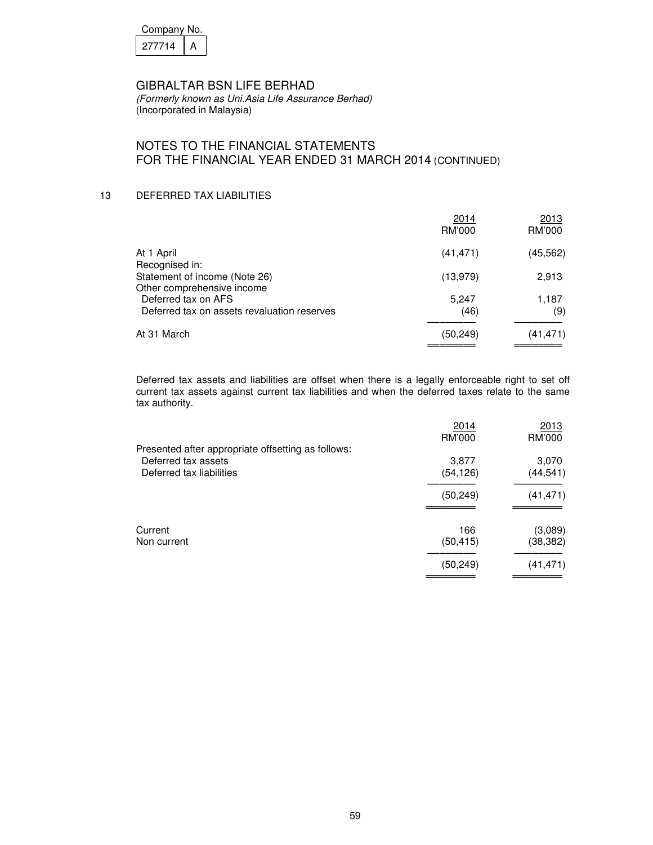| Company No. |  |  |
|-------------|--|--|
| 277714      |  |  |

(Formerly known as Uni.Asia Life Assurance Berhad) (Incorporated in Malaysia)

## NOTES TO THE FINANCIAL STATEMENTS FOR THE FINANCIAL YEAR ENDED 31 MARCH 2014 (CONTINUED)

## 13 DEFERRED TAX LIABILITIES

| At 1 April<br>(41, 471)<br>Recognised in:<br>Statement of income (Note 26)<br>(13,979)<br>Other comprehensive income |  |              |
|----------------------------------------------------------------------------------------------------------------------|--|--------------|
|                                                                                                                      |  | (45,562)     |
|                                                                                                                      |  | 2,913        |
| Deferred tax on AFS<br>5,247<br>Deferred tax on assets revaluation reserves<br>(46)                                  |  | 1,187<br>(9) |
| At 31 March<br>(50, 249)                                                                                             |  | (41,471)     |

Deferred tax assets and liabilities are offset when there is a legally enforceable right to set off current tax assets against current tax liabilities and when the deferred taxes relate to the same tax authority.

|                                                                                                       | 2014<br>RM'000     | 2013<br>RM'000       |
|-------------------------------------------------------------------------------------------------------|--------------------|----------------------|
| Presented after appropriate offsetting as follows:<br>Deferred tax assets<br>Deferred tax liabilities | 3,877<br>(54, 126) | 3,070<br>(44,541)    |
|                                                                                                       | (50, 249)          | (41,471)             |
| Current<br>Non current                                                                                | 166<br>(50, 415)   | (3,089)<br>(38, 382) |
|                                                                                                       | (50,249)           | (41,471)             |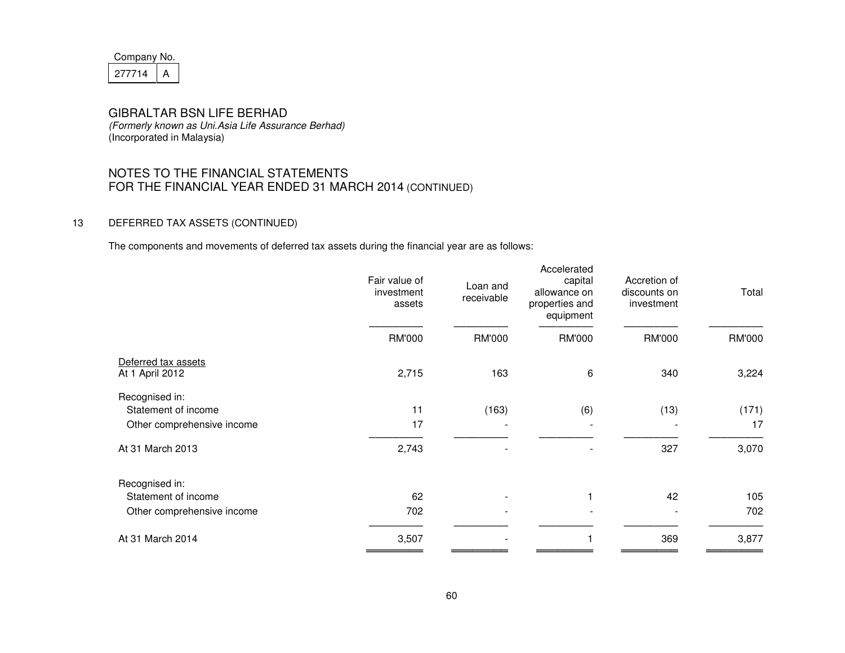| Company No. |  |  |
|-------------|--|--|
| 27714       |  |  |

 (Formerly known as Uni.Asia Life Assurance Berhad) (Incorporated in Malaysia)

# NOTES TO THE FINANCIAL STATEMENTS FOR THE FINANCIAL YEAR ENDED 31 MARCH 2014 (CONTINUED)

## 13 DEFERRED TAX ASSETS (CONTINUED)

The components and movements of deferred tax assets during the financial year are as follows:

|                                        | Fair value of<br>investment<br>assets | Loan and<br>receivable   | Accelerated<br>capital<br>allowance on<br>properties and<br>equipment | Accretion of<br>discounts on<br>investment | Total  |
|----------------------------------------|---------------------------------------|--------------------------|-----------------------------------------------------------------------|--------------------------------------------|--------|
|                                        | RM'000                                | RM'000                   | RM'000                                                                | RM'000                                     | RM'000 |
| Deferred tax assets<br>At 1 April 2012 | 2,715                                 | 163                      | 6                                                                     | 340                                        | 3,224  |
| Recognised in:<br>Statement of income  | 11                                    | (163)                    | (6)                                                                   | (13)                                       | (171)  |
| Other comprehensive income             | 17                                    |                          |                                                                       |                                            | 17     |
| At 31 March 2013                       | 2,743                                 |                          |                                                                       | 327                                        | 3,070  |
| Recognised in:<br>Statement of income  | 62                                    |                          |                                                                       | 42                                         | 105    |
| Other comprehensive income             | 702                                   | $\overline{\phantom{a}}$ |                                                                       |                                            | 702    |
| At 31 March 2014                       | 3,507                                 |                          |                                                                       | 369                                        | 3,877  |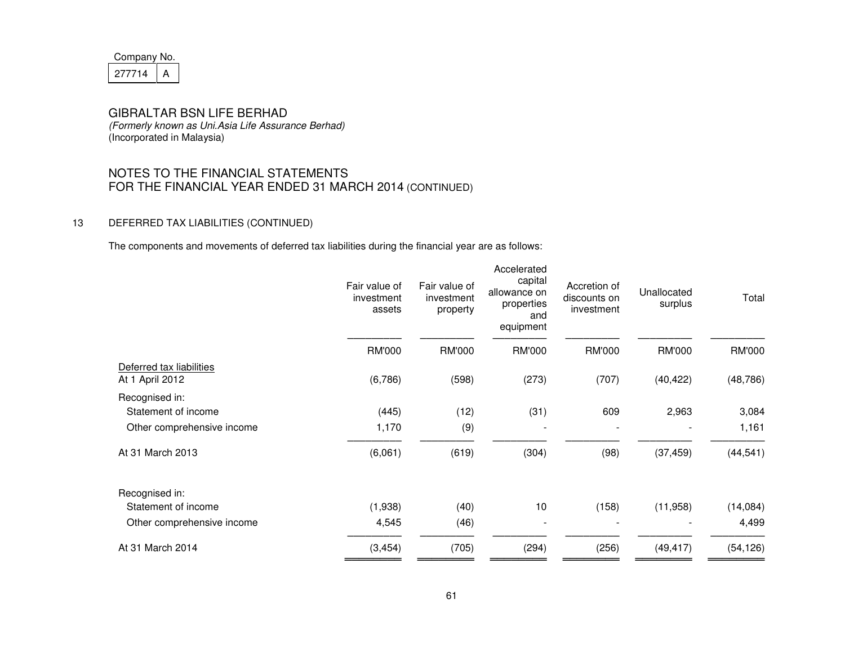| Company No. |  |  |
|-------------|--|--|
| 277714      |  |  |

 (Formerly known as Uni.Asia Life Assurance Berhad) (Incorporated in Malaysia)

# NOTES TO THE FINANCIAL STATEMENTS FOR THE FINANCIAL YEAR ENDED 31 MARCH 2014 (CONTINUED)

## 13 DEFERRED TAX LIABILITIES (CONTINUED)

The components and movements of deferred tax liabilities during the financial year are as follows:

|                                             | Fair value of<br>investment<br>assets | Fair value of<br>investment<br>property | Accelerated<br>capital<br>allowance on<br>properties<br>and<br>equipment | Accretion of<br>discounts on<br>investment | Unallocated<br>surplus | Total     |
|---------------------------------------------|---------------------------------------|-----------------------------------------|--------------------------------------------------------------------------|--------------------------------------------|------------------------|-----------|
|                                             | <b>RM'000</b>                         | RM'000                                  | <b>RM'000</b>                                                            | <b>RM'000</b>                              | RM'000                 | RM'000    |
| Deferred tax liabilities<br>At 1 April 2012 | (6,786)                               | (598)                                   | (273)                                                                    | (707)                                      | (40, 422)              | (48, 786) |
| Recognised in:<br>Statement of income       | (445)                                 | (12)                                    | (31)                                                                     | 609                                        | 2,963                  | 3,084     |
| Other comprehensive income                  | 1,170                                 | (9)                                     | $\overline{a}$                                                           | $\overline{\phantom{a}}$                   |                        | 1,161     |
| At 31 March 2013                            | (6,061)                               | (619)                                   | (304)                                                                    | (98)                                       | (37, 459)              | (44, 541) |
| Recognised in:                              |                                       |                                         |                                                                          |                                            |                        |           |
| Statement of income                         | (1,938)                               | (40)                                    | 10                                                                       | (158)                                      | (11, 958)              | (14,084)  |
| Other comprehensive income                  | 4,545                                 | (46)                                    |                                                                          |                                            |                        | 4,499     |
| At 31 March 2014                            | (3, 454)                              | (705)                                   | (294)                                                                    | (256)                                      | (49, 417)              | (54, 126) |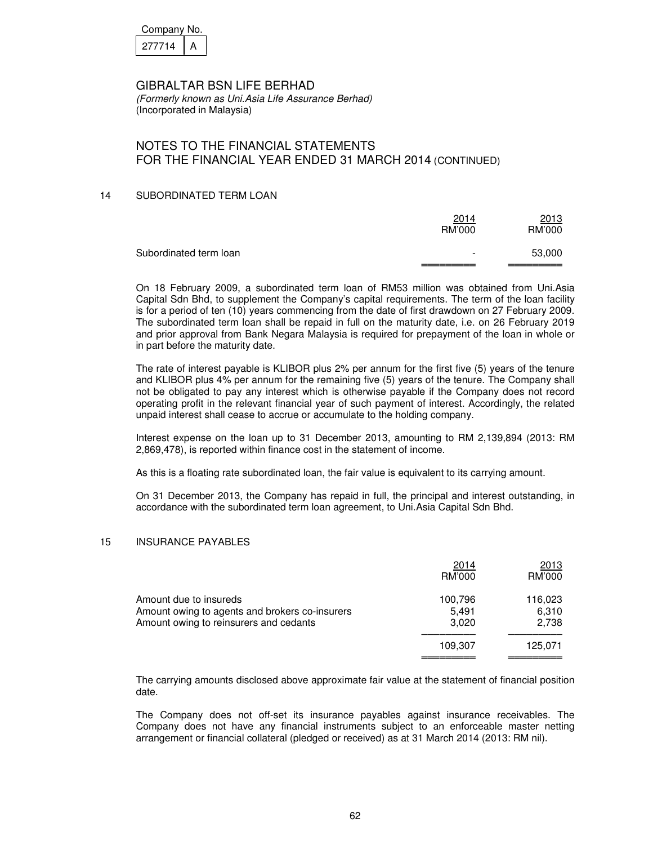| Company No. |  |  |
|-------------|--|--|
| 277714      |  |  |

# NOTES TO THE FINANCIAL STATEMENTS FOR THE FINANCIAL YEAR ENDED 31 MARCH 2014 (CONTINUED)

#### 14 SUBORDINATED TERM LOAN

|                        | 2014<br>RM'000 | 2013<br>RM'000 |
|------------------------|----------------|----------------|
| Subordinated term loan | $\blacksquare$ | 53,000         |

 On 18 February 2009, a subordinated term loan of RM53 million was obtained from Uni.Asia Capital Sdn Bhd, to supplement the Company's capital requirements. The term of the loan facility is for a period of ten (10) years commencing from the date of first drawdown on 27 February 2009. The subordinated term loan shall be repaid in full on the maturity date, i.e. on 26 February 2019 and prior approval from Bank Negara Malaysia is required for prepayment of the loan in whole or in part before the maturity date.

 The rate of interest payable is KLIBOR plus 2% per annum for the first five (5) years of the tenure and KLIBOR plus 4% per annum for the remaining five (5) years of the tenure. The Company shall not be obligated to pay any interest which is otherwise payable if the Company does not record operating profit in the relevant financial year of such payment of interest. Accordingly, the related unpaid interest shall cease to accrue or accumulate to the holding company.

 Interest expense on the loan up to 31 December 2013, amounting to RM 2,139,894 (2013: RM 2,869,478), is reported within finance cost in the statement of income.

As this is a floating rate subordinated loan, the fair value is equivalent to its carrying amount.

 On 31 December 2013, the Company has repaid in full, the principal and interest outstanding, in accordance with the subordinated term loan agreement, to Uni.Asia Capital Sdn Bhd.

#### 15 INSURANCE PAYABLES

|                                                                                                                    | 2014<br>RM'000            | 2013<br>RM'000            |
|--------------------------------------------------------------------------------------------------------------------|---------------------------|---------------------------|
| Amount due to insureds<br>Amount owing to agents and brokers co-insurers<br>Amount owing to reinsurers and cedants | 100,796<br>5.491<br>3,020 | 116,023<br>6,310<br>2,738 |
|                                                                                                                    | 109.307                   | 125.071                   |

 The carrying amounts disclosed above approximate fair value at the statement of financial position date.

The Company does not off-set its insurance payables against insurance receivables. The Company does not have any financial instruments subject to an enforceable master netting arrangement or financial collateral (pledged or received) as at 31 March 2014 (2013: RM nil).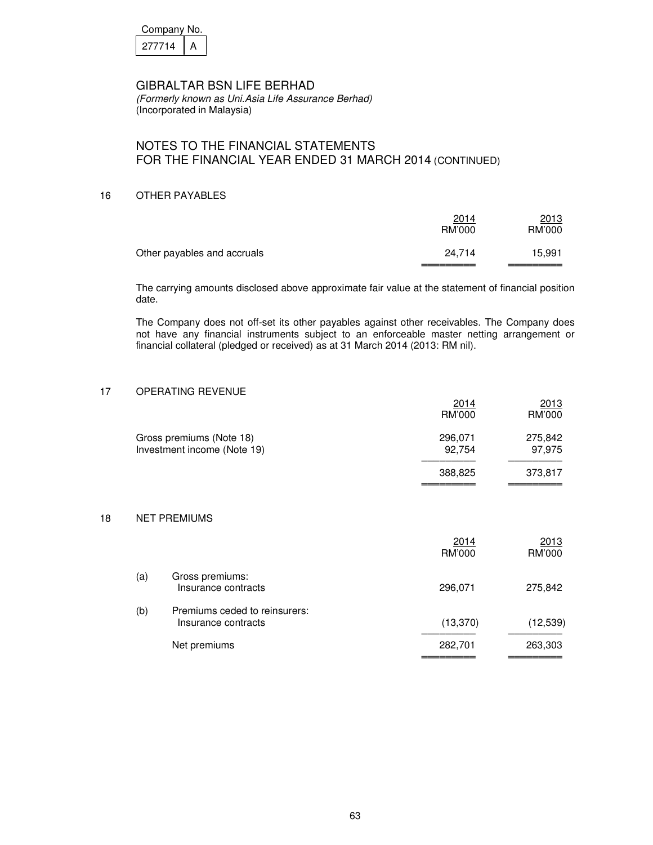| Company No. |  |  |
|-------------|--|--|
| 277714      |  |  |

## NOTES TO THE FINANCIAL STATEMENTS FOR THE FINANCIAL YEAR ENDED 31 MARCH 2014 (CONTINUED)

#### 16 OTHER PAYABLES

|                             | 2014<br>RM'000 | 2013<br>RM'000 |
|-----------------------------|----------------|----------------|
| Other payables and accruals | 24.714         | 15,991         |

 The carrying amounts disclosed above approximate fair value at the statement of financial position date.

The Company does not off-set its other payables against other receivables. The Company does not have any financial instruments subject to an enforceable master netting arrangement or financial collateral (pledged or received) as at 31 March 2014 (2013: RM nil).

#### 17 OPERATING REVENUE

|                                                         | 2014<br>RM'000    | 2013<br>RM'000    |
|---------------------------------------------------------|-------------------|-------------------|
| Gross premiums (Note 18)<br>Investment income (Note 19) | 296,071<br>92.754 | 275,842<br>97,975 |
|                                                         | 388,825           | 373,817           |

#### 18 NET PREMIUMS

|     |                                                      | 2014<br>RM'000 | 2013<br>RM'000 |
|-----|------------------------------------------------------|----------------|----------------|
| (a) | Gross premiums:<br>Insurance contracts               | 296,071        | 275,842        |
| (b) | Premiums ceded to reinsurers:<br>Insurance contracts | (13, 370)      | (12, 539)      |
|     | Net premiums                                         | 282,701        | 263,303        |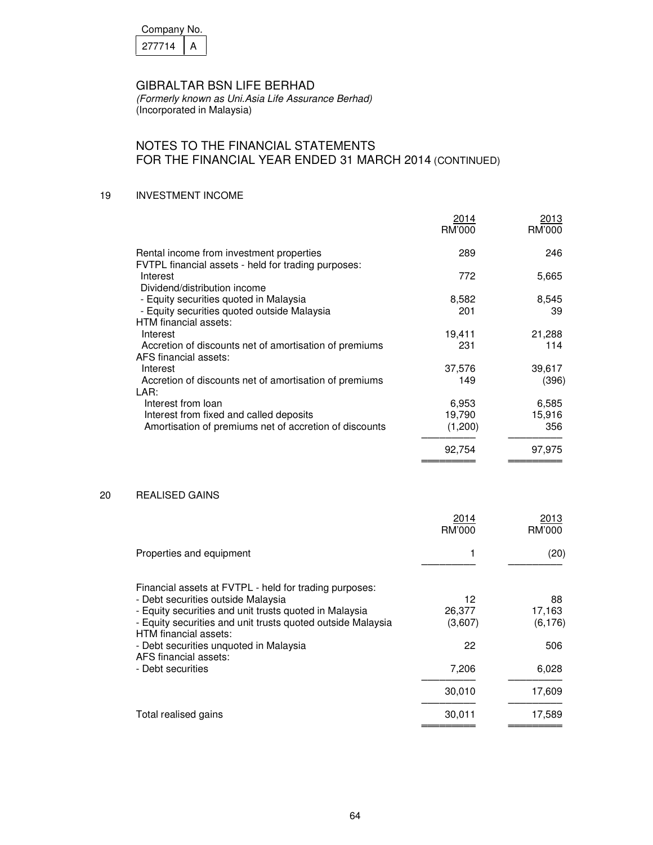| Companv No. |  |
|-------------|--|
|             |  |

|--|

(Formerly known as Uni.Asia Life Assurance Berhad) (Incorporated in Malaysia)

# NOTES TO THE FINANCIAL STATEMENTS FOR THE FINANCIAL YEAR ENDED 31 MARCH 2014 (CONTINUED)

## 19 INVESTMENT INCOME

|    |                                                                                                                | <u> 2014 </u><br><b>RM'000</b> | 2013<br>RM'000  |
|----|----------------------------------------------------------------------------------------------------------------|--------------------------------|-----------------|
|    | Rental income from investment properties                                                                       | 289                            | 246             |
|    | FVTPL financial assets - held for trading purposes:<br>Interest<br>Dividend/distribution income                | 772                            | 5,665           |
|    | - Equity securities quoted in Malaysia<br>- Equity securities quoted outside Malaysia<br>HTM financial assets: | 8,582<br>201                   | 8,545<br>39     |
|    | Interest                                                                                                       | 19,411                         | 21,288          |
|    | Accretion of discounts net of amortisation of premiums<br>AFS financial assets:                                | 231                            | 114             |
|    | Interest<br>Accretion of discounts net of amortisation of premiums<br>LAR:                                     | 37,576<br>149                  | 39,617<br>(396) |
|    | Interest from loan<br>Interest from fixed and called deposits                                                  | 6,953<br>19,790                | 6,585<br>15,916 |
|    | Amortisation of premiums net of accretion of discounts                                                         | (1,200)                        | 356             |
|    |                                                                                                                | 92,754                         | 97,975          |
| 20 | <b>REALISED GAINS</b>                                                                                          |                                |                 |
|    |                                                                                                                | 2014<br>RM'000                 | 2013<br>RM'000  |
|    | Properties and equipment                                                                                       | 1                              | (20)            |
|    | Financial assets at FVTPL - held for trading purposes:                                                         |                                |                 |
|    | - Debt securities outside Malaysia<br>- Equity securities and unit trusts quoted in Malaysia                   | 12<br>26,377                   | 88<br>17,163    |
|    | - Equity securities and unit trusts quoted outside Malaysia<br>HTM financial assets:                           | (3,607)                        | (6, 176)        |
|    | - Debt securities unquoted in Malaysia<br>AFS financial assets:                                                | 22                             | 506             |
|    | - Debt securities                                                                                              | 7,206                          | 6,028           |
|    |                                                                                                                | 30,010                         | 17,609          |
|    |                                                                                                                |                                |                 |

Total realised gains 17,589 ═════════ ═════════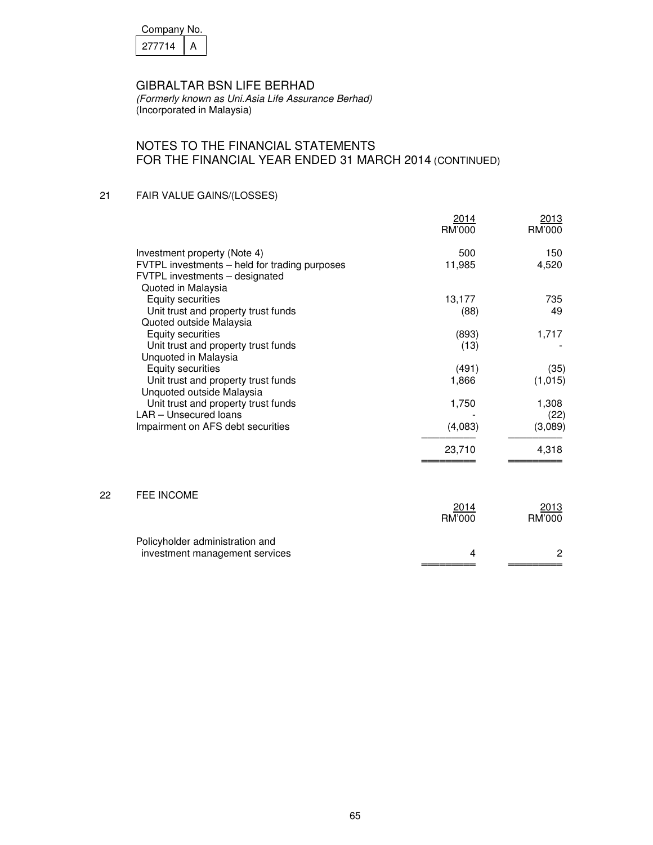| Company No. |  |
|-------------|--|
| 277714      |  |

(Formerly known as Uni.Asia Life Assurance Berhad) (Incorporated in Malaysia)

# NOTES TO THE FINANCIAL STATEMENTS FOR THE FINANCIAL YEAR ENDED 31 MARCH 2014 (CONTINUED)

## 21 FAIR VALUE GAINS/(LOSSES)

|    |                                                                                                       | 2014<br>RM'000 | 2013<br>RM'000 |
|----|-------------------------------------------------------------------------------------------------------|----------------|----------------|
|    | Investment property (Note 4)                                                                          | 500            | 150            |
|    | FVTPL investments - held for trading purposes<br>FVTPL investments - designated<br>Quoted in Malaysia | 11,985         | 4,520          |
|    | <b>Equity securities</b>                                                                              | 13,177         | 735            |
|    | Unit trust and property trust funds<br>Quoted outside Malaysia                                        | (88)           | 49             |
|    | <b>Equity securities</b>                                                                              | (893)          | 1,717          |
|    | Unit trust and property trust funds<br>Unquoted in Malaysia                                           | (13)           |                |
|    | <b>Equity securities</b>                                                                              | (491)          | (35)           |
|    | Unit trust and property trust funds<br>Unquoted outside Malaysia                                      | 1,866          | (1,015)        |
|    | Unit trust and property trust funds<br>LAR - Unsecured loans                                          | 1,750          | 1,308<br>(22)  |
|    | Impairment on AFS debt securities                                                                     | (4,083)        | (3,089)        |
|    |                                                                                                       | 23,710         | 4,318          |
|    |                                                                                                       |                |                |
| 22 | <b>FEE INCOME</b>                                                                                     |                |                |
|    |                                                                                                       | 2014<br>RM'000 | 2013<br>RM'000 |
|    | Policyholder administration and<br>investment management services                                     | 4              | 2              |
|    |                                                                                                       |                |                |

═════════ ═════════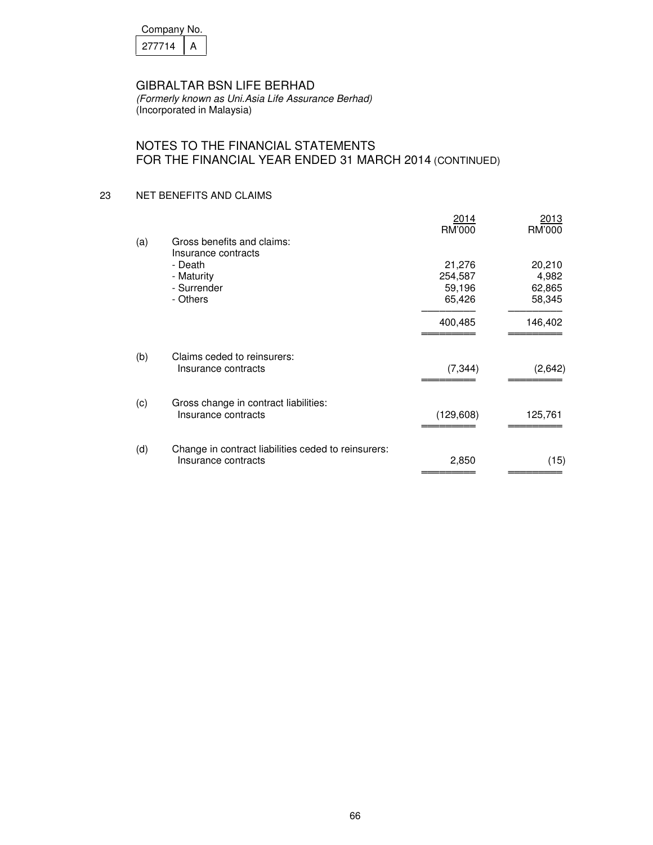| Company No. |  |
|-------------|--|
| 277714      |  |

(Formerly known as Uni.Asia Life Assurance Berhad) (Incorporated in Malaysia)

# NOTES TO THE FINANCIAL STATEMENTS FOR THE FINANCIAL YEAR ENDED 31 MARCH 2014 (CONTINUED)

## 23 NET BENEFITS AND CLAIMS

|     |                                                     | 2014<br>RM'000 | 2013<br>RM'000 |
|-----|-----------------------------------------------------|----------------|----------------|
| (a) | Gross benefits and claims:<br>Insurance contracts   |                |                |
|     | - Death                                             | 21,276         | 20,210         |
|     | - Maturity                                          | 254,587        | 4,982          |
|     | - Surrender                                         | 59,196         | 62,865         |
|     | - Others                                            | 65,426         | 58,345         |
|     |                                                     | 400,485        | 146,402        |
|     |                                                     |                |                |
| (b) | Claims ceded to reinsurers:                         |                |                |
|     | Insurance contracts                                 | (7, 344)       | (2,642)        |
|     |                                                     |                |                |
| (c) | Gross change in contract liabilities:               |                |                |
|     | Insurance contracts                                 | (129, 608)     | 125,761        |
|     |                                                     |                |                |
| (d) | Change in contract liabilities ceded to reinsurers: |                |                |
|     | Insurance contracts                                 | 2,850          | (15)           |
|     |                                                     |                |                |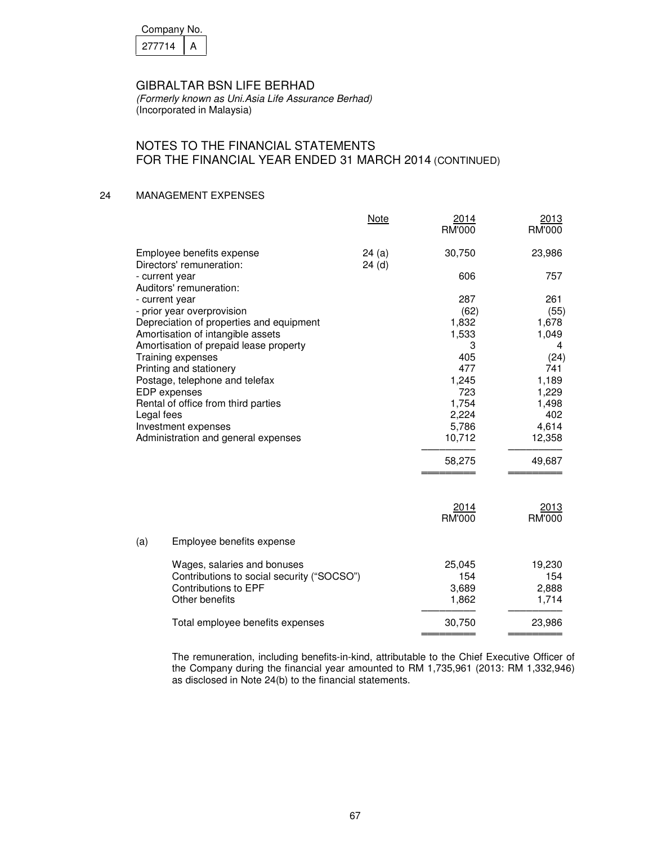| Company No. |  |
|-------------|--|
| 277714      |  |

(Formerly known as Uni.Asia Life Assurance Berhad) (Incorporated in Malaysia)

## NOTES TO THE FINANCIAL STATEMENTS FOR THE FINANCIAL YEAR ENDED 31 MARCH 2014 (CONTINUED)

## 24 MANAGEMENT EXPENSES

|     |                                                       | Note           | 2014<br><b>RM'000</b> | 2013<br><b>RM'000</b> |
|-----|-------------------------------------------------------|----------------|-----------------------|-----------------------|
|     | Employee benefits expense<br>Directors' remuneration: | 24(a)<br>24(d) | 30,750                | 23,986                |
|     | - current year<br>Auditors' remuneration:             |                | 606                   | 757                   |
|     | - current year                                        |                | 287                   | 261                   |
|     | - prior year overprovision                            |                | (62)                  | (55)                  |
|     | Depreciation of properties and equipment              |                | 1,832                 | 1,678                 |
|     | Amortisation of intangible assets                     |                | 1,533                 | 1,049                 |
|     | Amortisation of prepaid lease property                |                | 3                     | 4                     |
|     | Training expenses                                     |                | 405                   | (24)                  |
|     | Printing and stationery                               |                | 477                   | 741                   |
|     | Postage, telephone and telefax                        |                | 1,245                 | 1,189                 |
|     | EDP expenses                                          |                | 723                   | 1,229                 |
|     | Rental of office from third parties                   |                | 1,754                 | 1,498                 |
|     | Legal fees                                            |                | 2,224                 | 402                   |
|     | Investment expenses                                   |                | 5,786                 | 4,614                 |
|     | Administration and general expenses                   |                | 10,712                | 12,358                |
|     |                                                       |                | 58,275                | 49,687                |
|     |                                                       |                | 2014                  | 2013                  |
|     |                                                       |                | <b>RM'000</b>         | <b>RM'000</b>         |
| (a) | Employee benefits expense                             |                |                       |                       |
|     | Wages, salaries and bonuses                           |                | 25,045                | 19,230                |
|     | Contributions to social security ("SOCSO")            |                | 154                   | 154                   |
|     | Contributions to EPF                                  |                | 3,689                 | 2,888                 |
|     | Other benefits                                        |                | 1,862                 | 1,714                 |
|     | Total employee benefits expenses                      |                | 30,750                | 23,986                |
|     |                                                       |                |                       |                       |

 The remuneration, including benefits-in-kind, attributable to the Chief Executive Officer of the Company during the financial year amounted to RM 1,735,961 (2013: RM 1,332,946) as disclosed in Note 24(b) to the financial statements.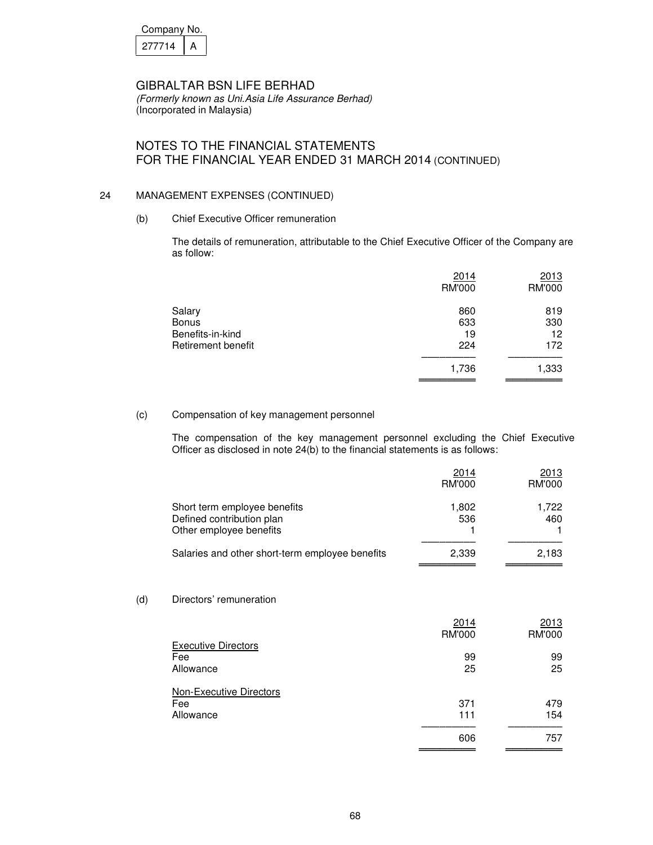| Company No. |  |
|-------------|--|
| 277714      |  |

## NOTES TO THE FINANCIAL STATEMENTS FOR THE FINANCIAL YEAR ENDED 31 MARCH 2014 (CONTINUED)

## 24 MANAGEMENT EXPENSES (CONTINUED)

(b) Chief Executive Officer remuneration

 The details of remuneration, attributable to the Chief Executive Officer of the Company are as follow:

|                    | 2014<br>RM'000 | 2013<br>RM'000 |
|--------------------|----------------|----------------|
| Salary             | 860            | 819            |
| <b>Bonus</b>       | 633            | 330            |
| Benefits-in-kind   | 19             | 12             |
| Retirement benefit | 224            | 172            |
|                    |                |                |
|                    | 1,736          | 1,333          |
|                    |                |                |

#### (c) Compensation of key management personnel

 The compensation of the key management personnel excluding the Chief Executive Officer as disclosed in note 24(b) to the financial statements is as follows:

|                                                                                      | 2014<br><b>RM'000</b> | 2013<br><b>RM'000</b> |
|--------------------------------------------------------------------------------------|-----------------------|-----------------------|
| Short term employee benefits<br>Defined contribution plan<br>Other employee benefits | 1,802<br>536          | 1,722<br>460          |
| Salaries and other short-term employee benefits                                      | 2,339                 | 2,183                 |

(d) Directors' remuneration

|                            | 2014   | 2013   |
|----------------------------|--------|--------|
|                            | RM'000 | RM'000 |
| <b>Executive Directors</b> |        |        |
| Fee                        | 99     | 99     |
| Allowance                  | 25     | 25     |
| Non-Executive Directors    |        |        |
| Fee                        | 371    | 479    |
| Allowance                  | 111    | 154    |
|                            | 606    | 757    |
|                            |        |        |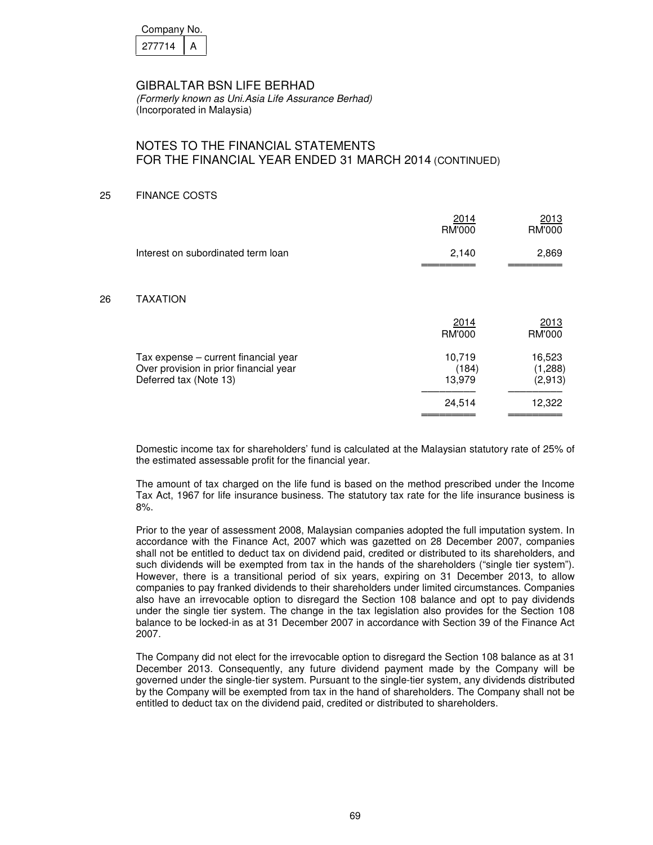| Company No. |  |
|-------------|--|
| 277714      |  |

(Formerly known as Uni.Asia Life Assurance Berhad) (Incorporated in Malaysia)

# NOTES TO THE FINANCIAL STATEMENTS FOR THE FINANCIAL YEAR ENDED 31 MARCH 2014 (CONTINUED)

25 FINANCE COSTS

26

|    |                                                                                                          | 2014<br><b>RM'000</b>     | 2013<br><b>RM'000</b>        |
|----|----------------------------------------------------------------------------------------------------------|---------------------------|------------------------------|
|    | Interest on subordinated term loan                                                                       | 2,140                     | 2,869                        |
| 26 | <b>TAXATION</b>                                                                                          |                           |                              |
|    |                                                                                                          | 2014<br><b>RM'000</b>     | 2013<br><b>RM'000</b>        |
|    | Tax expense - current financial year<br>Over provision in prior financial year<br>Deferred tax (Note 13) | 10,719<br>(184)<br>13,979 | 16,523<br>(1,288)<br>(2,913) |
|    |                                                                                                          | 24,514                    | 12,322                       |

 Domestic income tax for shareholders' fund is calculated at the Malaysian statutory rate of 25% of the estimated assessable profit for the financial year.

 The amount of tax charged on the life fund is based on the method prescribed under the Income Tax Act, 1967 for life insurance business. The statutory tax rate for the life insurance business is 8%.

 Prior to the year of assessment 2008, Malaysian companies adopted the full imputation system. In accordance with the Finance Act, 2007 which was gazetted on 28 December 2007, companies shall not be entitled to deduct tax on dividend paid, credited or distributed to its shareholders, and such dividends will be exempted from tax in the hands of the shareholders ("single tier system"). However, there is a transitional period of six years, expiring on 31 December 2013, to allow companies to pay franked dividends to their shareholders under limited circumstances. Companies also have an irrevocable option to disregard the Section 108 balance and opt to pay dividends under the single tier system. The change in the tax legislation also provides for the Section 108 balance to be locked-in as at 31 December 2007 in accordance with Section 39 of the Finance Act 2007.

 The Company did not elect for the irrevocable option to disregard the Section 108 balance as at 31 December 2013. Consequently, any future dividend payment made by the Company will be governed under the single-tier system. Pursuant to the single-tier system, any dividends distributed by the Company will be exempted from tax in the hand of shareholders. The Company shall not be entitled to deduct tax on the dividend paid, credited or distributed to shareholders.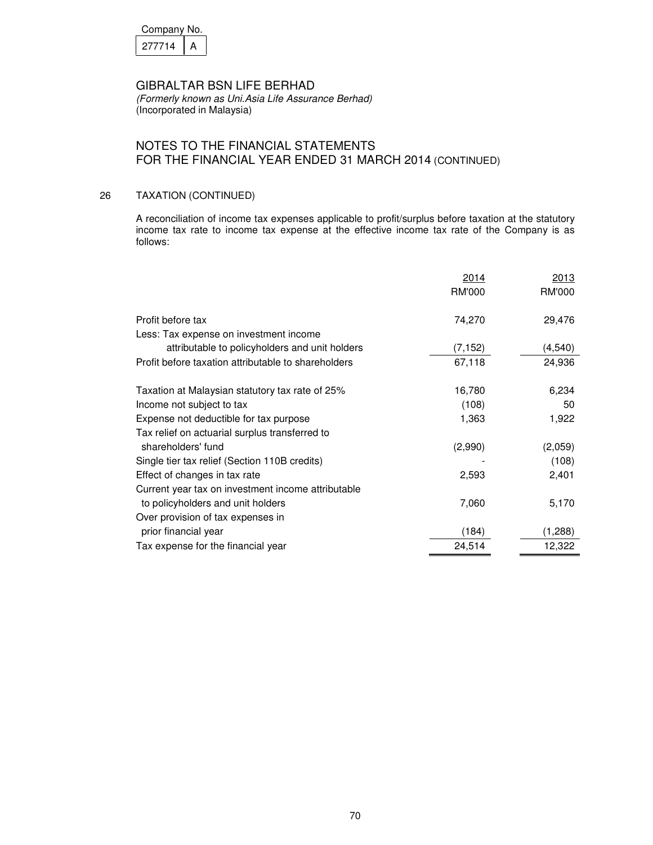| Company No. |  |
|-------------|--|
| 277714      |  |

(Formerly known as Uni.Asia Life Assurance Berhad) (Incorporated in Malaysia)

## NOTES TO THE FINANCIAL STATEMENTS FOR THE FINANCIAL YEAR ENDED 31 MARCH 2014 (CONTINUED)

## 26 TAXATION (CONTINUED)

 A reconciliation of income tax expenses applicable to profit/surplus before taxation at the statutory income tax rate to income tax expense at the effective income tax rate of the Company is as follows:

|                                                     | 2014     | 2013          |
|-----------------------------------------------------|----------|---------------|
|                                                     | RM'000   | <b>RM'000</b> |
| Profit before tax                                   | 74,270   | 29,476        |
| Less: Tax expense on investment income              |          |               |
| attributable to policyholders and unit holders      | (7, 152) | (4, 540)      |
| Profit before taxation attributable to shareholders | 67,118   | 24,936        |
| Taxation at Malaysian statutory tax rate of 25%     | 16,780   | 6,234         |
| Income not subject to tax                           | (108)    | 50            |
| Expense not deductible for tax purpose              | 1,363    | 1,922         |
| Tax relief on actuarial surplus transferred to      |          |               |
| shareholders' fund                                  | (2,990)  | (2,059)       |
| Single tier tax relief (Section 110B credits)       |          | (108)         |
| Effect of changes in tax rate                       | 2,593    | 2,401         |
| Current year tax on investment income attributable  |          |               |
| to policyholders and unit holders                   | 7,060    | 5,170         |
| Over provision of tax expenses in                   |          |               |
| prior financial year                                | (184)    | (1,288)       |
| Tax expense for the financial year                  | 24,514   | 12,322        |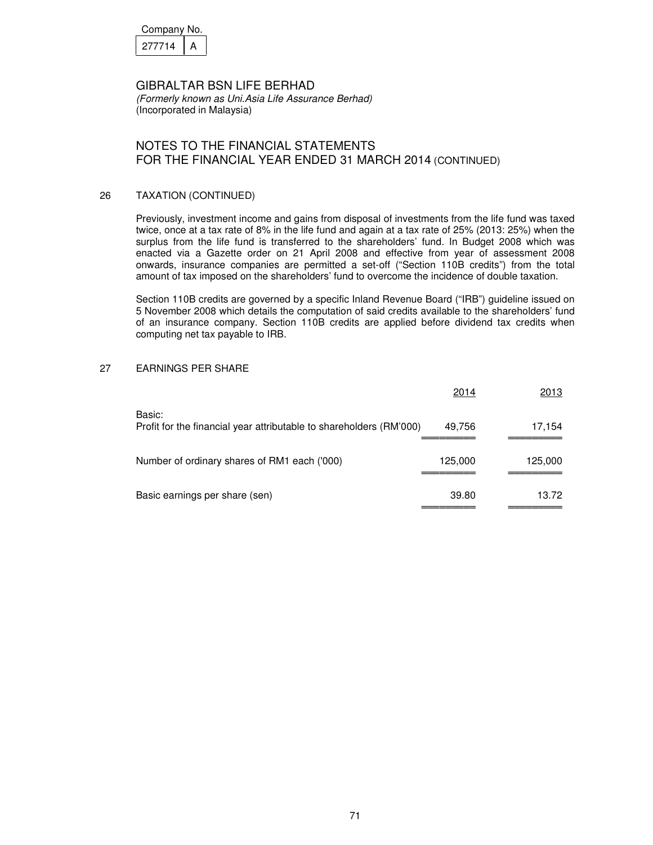| Company No. |  |
|-------------|--|
| 277714      |  |

# NOTES TO THE FINANCIAL STATEMENTS FOR THE FINANCIAL YEAR ENDED 31 MARCH 2014 (CONTINUED)

## 26 TAXATION (CONTINUED)

 Previously, investment income and gains from disposal of investments from the life fund was taxed twice, once at a tax rate of 8% in the life fund and again at a tax rate of 25% (2013: 25%) when the surplus from the life fund is transferred to the shareholders' fund. In Budget 2008 which was enacted via a Gazette order on 21 April 2008 and effective from year of assessment 2008 onwards, insurance companies are permitted a set-off ("Section 110B credits") from the total amount of tax imposed on the shareholders' fund to overcome the incidence of double taxation.

 Section 110B credits are governed by a specific Inland Revenue Board ("IRB") guideline issued on 5 November 2008 which details the computation of said credits available to the shareholders' fund of an insurance company. Section 110B credits are applied before dividend tax credits when computing net tax payable to IRB.

## 27 EARNINGS PER SHARE

|                                                                               | 2014    | 2013    |
|-------------------------------------------------------------------------------|---------|---------|
| Basic:<br>Profit for the financial year attributable to shareholders (RM'000) | 49,756  | 17,154  |
| Number of ordinary shares of RM1 each ('000)                                  | 125,000 | 125,000 |
| Basic earnings per share (sen)                                                | 39.80   | 13.72   |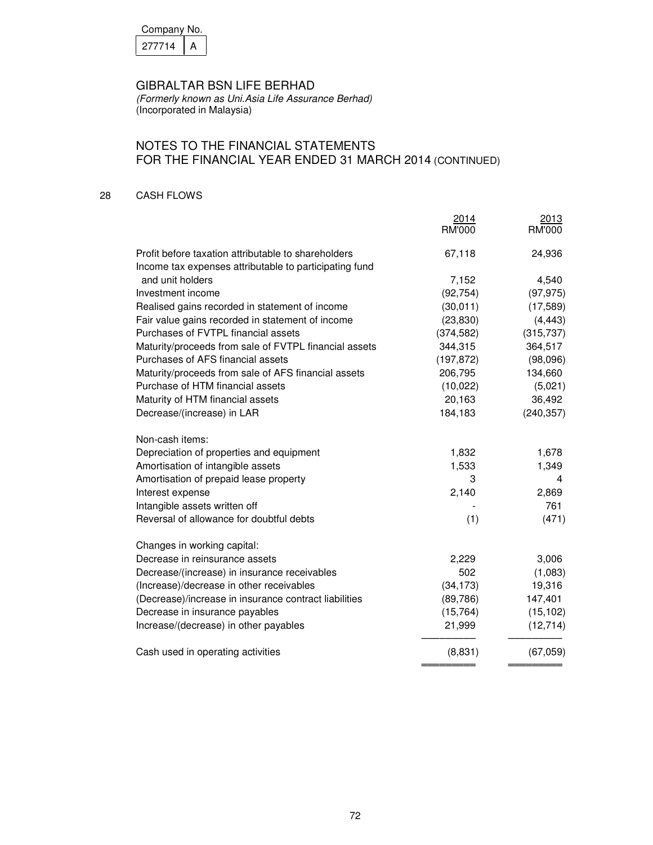| Company No. |  |
|-------------|--|
| 277714      |  |

(Formerly known as Uni.Asia Life Assurance Berhad) (Incorporated in Malaysia)

# NOTES TO THE FINANCIAL STATEMENTS FOR THE FINANCIAL YEAR ENDED 31 MARCH 2014 (CONTINUED)

## 28 CASH FLOWS

|                                                                                                               | <u>2014</u><br><b>RM'000</b> | 2013<br><b>RM'000</b> |
|---------------------------------------------------------------------------------------------------------------|------------------------------|-----------------------|
| Profit before taxation attributable to shareholders<br>Income tax expenses attributable to participating fund | 67,118                       | 24,936                |
| and unit holders                                                                                              | 7,152                        | 4,540                 |
| Investment income                                                                                             | (92, 754)                    | (97, 975)             |
| Realised gains recorded in statement of income                                                                | (30, 011)                    | (17, 589)             |
| Fair value gains recorded in statement of income                                                              | (23, 830)                    | (4, 443)              |
| Purchases of FVTPL financial assets                                                                           | (374, 582)                   | (315, 737)            |
| Maturity/proceeds from sale of FVTPL financial assets                                                         | 344,315                      | 364,517               |
| Purchases of AFS financial assets                                                                             | (197, 872)                   | (98,096)              |
| Maturity/proceeds from sale of AFS financial assets                                                           | 206,795                      | 134,660               |
| Purchase of HTM financial assets                                                                              | (10,022)                     | (5,021)               |
| Maturity of HTM financial assets                                                                              | 20,163                       | 36,492                |
| Decrease/(increase) in LAR                                                                                    | 184,183                      | (240, 357)            |
| Non-cash items:                                                                                               |                              |                       |
| Depreciation of properties and equipment                                                                      | 1,832                        | 1,678                 |
| Amortisation of intangible assets                                                                             | 1,533                        | 1,349                 |
| Amortisation of prepaid lease property                                                                        | 3                            | 4                     |
| Interest expense                                                                                              | 2,140                        | 2,869                 |
| Intangible assets written off                                                                                 |                              | 761                   |
| Reversal of allowance for doubtful debts                                                                      | (1)                          | (471)                 |
| Changes in working capital:                                                                                   |                              |                       |
| Decrease in reinsurance assets                                                                                | 2,229                        | 3,006                 |
| Decrease/(increase) in insurance receivables                                                                  | 502                          | (1,083)               |
| (Increase)/decrease in other receivables                                                                      | (34, 173)                    | 19,316                |
| (Decrease)/increase in insurance contract liabilities                                                         | (89, 786)                    | 147,401               |
| Decrease in insurance payables                                                                                | (15, 764)                    | (15, 102)             |
| Increase/(decrease) in other payables                                                                         | 21,999                       | (12, 714)             |
| Cash used in operating activities                                                                             | (8,831)                      | (67,059)              |
|                                                                                                               |                              |                       |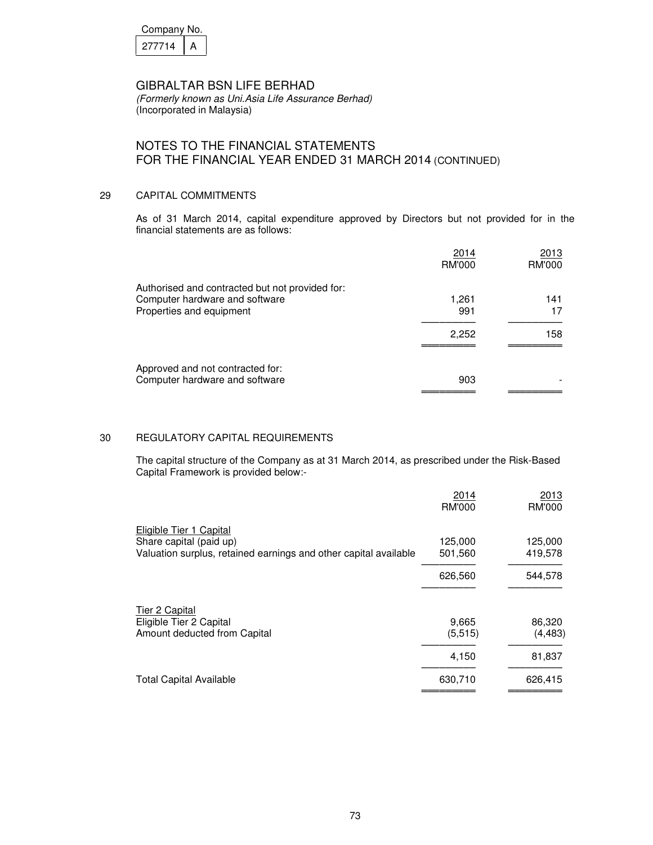| Company No. |  |
|-------------|--|
| 277714      |  |

## NOTES TO THE FINANCIAL STATEMENTS FOR THE FINANCIAL YEAR ENDED 31 MARCH 2014 (CONTINUED)

## 29 CAPITAL COMMITMENTS

 As of 31 March 2014, capital expenditure approved by Directors but not provided for in the financial statements are as follows:

|                                                                                                               | 2014<br><b>RM'000</b> | 2013<br>RM'000 |
|---------------------------------------------------------------------------------------------------------------|-----------------------|----------------|
| Authorised and contracted but not provided for:<br>Computer hardware and software<br>Properties and equipment | 1,261<br>991          | 141            |
|                                                                                                               | 2,252                 | 158            |
| Approved and not contracted for:<br>Computer hardware and software                                            | 903                   |                |

## 30 REGULATORY CAPITAL REQUIREMENTS

 The capital structure of the Company as at 31 March 2014, as prescribed under the Risk-Based Capital Framework is provided below:-

|                                                                                                                        | 2014<br><b>RM'000</b> | 2013<br><b>RM'000</b> |
|------------------------------------------------------------------------------------------------------------------------|-----------------------|-----------------------|
| Eligible Tier 1 Capital<br>Share capital (paid up)<br>Valuation surplus, retained earnings and other capital available | 125,000<br>501,560    | 125,000<br>419,578    |
|                                                                                                                        | 626,560               | 544,578               |
| Tier 2 Capital                                                                                                         |                       |                       |
| Eligible Tier 2 Capital                                                                                                | 9,665                 | 86,320                |
| Amount deducted from Capital                                                                                           | (5, 515)              | (4, 483)              |
|                                                                                                                        | 4,150                 | 81,837                |
| <b>Total Capital Available</b>                                                                                         | 630,710               | 626,415               |
|                                                                                                                        |                       |                       |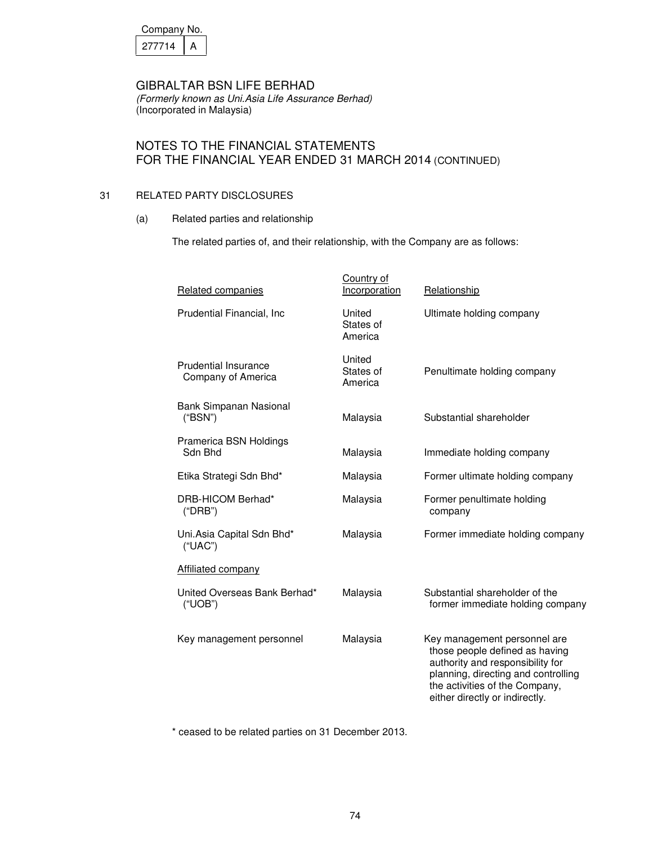| Company No. |  |
|-------------|--|
| 277714      |  |

# NOTES TO THE FINANCIAL STATEMENTS FOR THE FINANCIAL YEAR ENDED 31 MARCH 2014 (CONTINUED)

## 31 RELATED PARTY DISCLOSURES

(a) Related parties and relationship

The related parties of, and their relationship, with the Company are as follows:

| Related companies                                 | Country of<br>Incorporation    | Relationship                                                                                                                                                                                                  |
|---------------------------------------------------|--------------------------------|---------------------------------------------------------------------------------------------------------------------------------------------------------------------------------------------------------------|
| Prudential Financial, Inc                         | United<br>States of<br>America | Ultimate holding company                                                                                                                                                                                      |
| <b>Prudential Insurance</b><br>Company of America | United<br>States of<br>America | Penultimate holding company                                                                                                                                                                                   |
| Bank Simpanan Nasional<br>("BSN")                 | Malaysia                       | Substantial shareholder                                                                                                                                                                                       |
| Pramerica BSN Holdings<br>Sdn Bhd                 | Malaysia                       | Immediate holding company                                                                                                                                                                                     |
| Etika Strategi Sdn Bhd*                           | Malaysia                       | Former ultimate holding company                                                                                                                                                                               |
| DRB-HICOM Berhad*<br>("DRB")                      | Malaysia                       | Former penultimate holding<br>company                                                                                                                                                                         |
| Uni. Asia Capital Sdn Bhd*<br>("UAC")             | Malaysia                       | Former immediate holding company                                                                                                                                                                              |
| <b>Affiliated company</b>                         |                                |                                                                                                                                                                                                               |
| United Overseas Bank Berhad*<br>("UOB")           | Malaysia                       | Substantial shareholder of the<br>former immediate holding company                                                                                                                                            |
| Key management personnel                          | Malaysia                       | Key management personnel are<br>those people defined as having<br>authority and responsibility for<br>planning, directing and controlling<br>the activities of the Company,<br>either directly or indirectly. |

\* ceased to be related parties on 31 December 2013.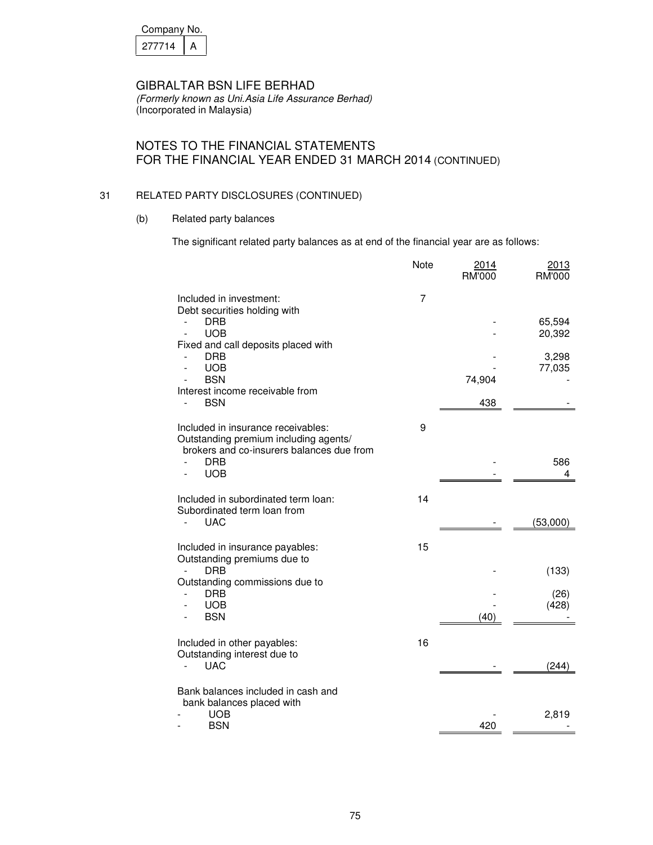| Company No. |  |
|-------------|--|
| 277714      |  |

(Formerly known as Uni.Asia Life Assurance Berhad) (Incorporated in Malaysia)

# NOTES TO THE FINANCIAL STATEMENTS FOR THE FINANCIAL YEAR ENDED 31 MARCH 2014 (CONTINUED)

## 31 RELATED PARTY DISCLOSURES (CONTINUED)

(b) Related party balances

The significant related party balances as at end of the financial year are as follows:

|                                                                                                                          | Note | 2014<br>RM'000 | 2013<br>RM'000   |
|--------------------------------------------------------------------------------------------------------------------------|------|----------------|------------------|
| Included in investment:<br>Debt securities holding with                                                                  | 7    |                |                  |
| <b>DRB</b><br>$\blacksquare$<br><b>UOB</b>                                                                               |      |                | 65,594<br>20,392 |
| Fixed and call deposits placed with<br><b>DRB</b><br><b>UOB</b>                                                          |      |                | 3,298<br>77,035  |
| <b>BSN</b><br>Interest income receivable from                                                                            |      | 74,904         |                  |
| <b>BSN</b>                                                                                                               |      | 438            |                  |
| Included in insurance receivables:<br>Outstanding premium including agents/<br>brokers and co-insurers balances due from | 9    |                |                  |
| <b>DRB</b><br><b>UOB</b>                                                                                                 |      |                | 586<br>4         |
| Included in subordinated term loan:<br>Subordinated term loan from                                                       | 14   |                |                  |
| <b>UAC</b>                                                                                                               |      |                | (53,000)         |
| Included in insurance payables:<br>Outstanding premiums due to                                                           | 15   |                |                  |
| <b>DRB</b><br>Outstanding commissions due to                                                                             |      |                | (133)            |
| <b>DRB</b><br>$\blacksquare$<br><b>UOB</b><br><b>BSN</b>                                                                 |      | (40)           | (26)<br>(428)    |
| Included in other payables:                                                                                              | 16   |                |                  |
| Outstanding interest due to<br><b>UAC</b>                                                                                |      |                | (244)            |
| Bank balances included in cash and<br>bank balances placed with                                                          |      |                |                  |
| <b>UOB</b><br><b>BSN</b>                                                                                                 |      | 420            | 2,819            |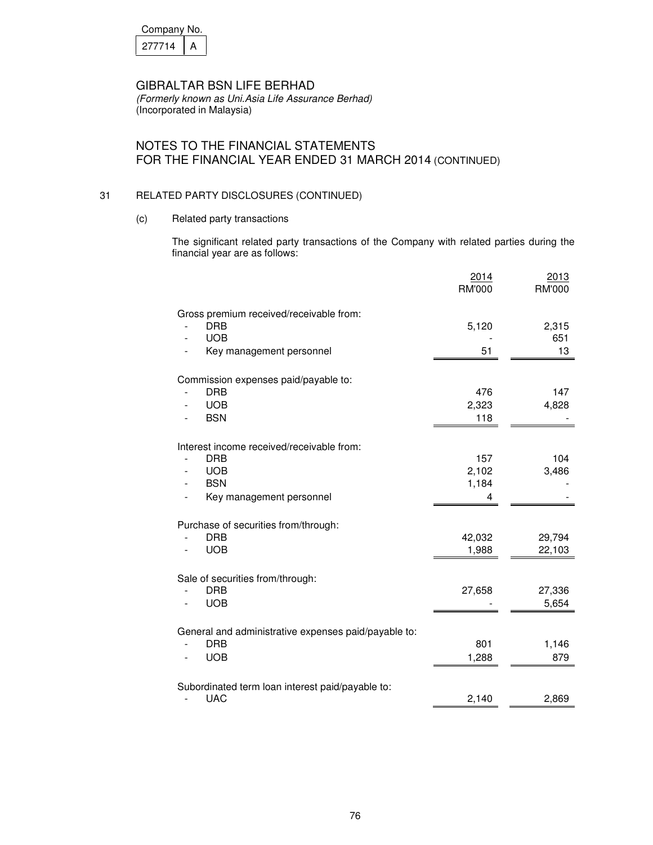| Company No. |  |
|-------------|--|
| 277714      |  |

(Formerly known as Uni.Asia Life Assurance Berhad) (Incorporated in Malaysia)

# NOTES TO THE FINANCIAL STATEMENTS FOR THE FINANCIAL YEAR ENDED 31 MARCH 2014 (CONTINUED)

## 31 RELATED PARTY DISCLOSURES (CONTINUED)

(c) Related party transactions

 The significant related party transactions of the Company with related parties during the financial year are as follows:

|                                                                                                                 | 2014<br><b>RM'000</b>      | 2013<br><b>RM'000</b> |
|-----------------------------------------------------------------------------------------------------------------|----------------------------|-----------------------|
| Gross premium received/receivable from:<br><b>DRB</b><br><b>UOB</b><br>Key management personnel                 | 5,120<br>51                | 2,315<br>651<br>13    |
| Commission expenses paid/payable to:<br><b>DRB</b><br><b>UOB</b><br><b>BSN</b>                                  | 476<br>2,323<br>118        | 147<br>4,828          |
| Interest income received/receivable from:<br><b>DRB</b><br><b>UOB</b><br><b>BSN</b><br>Key management personnel | 157<br>2,102<br>1,184<br>4 | 104<br>3,486          |
| Purchase of securities from/through:<br><b>DRB</b><br><b>UOB</b>                                                | 42,032<br>1,988            | 29,794<br>22,103      |
| Sale of securities from/through:<br><b>DRB</b><br><b>UOB</b>                                                    | 27,658                     | 27,336<br>5,654       |
| General and administrative expenses paid/payable to:<br><b>DRB</b><br><b>UOB</b>                                | 801<br>1,288               | 1,146<br>879          |
| Subordinated term loan interest paid/payable to:<br><b>UAC</b>                                                  | 2,140                      | 2,869                 |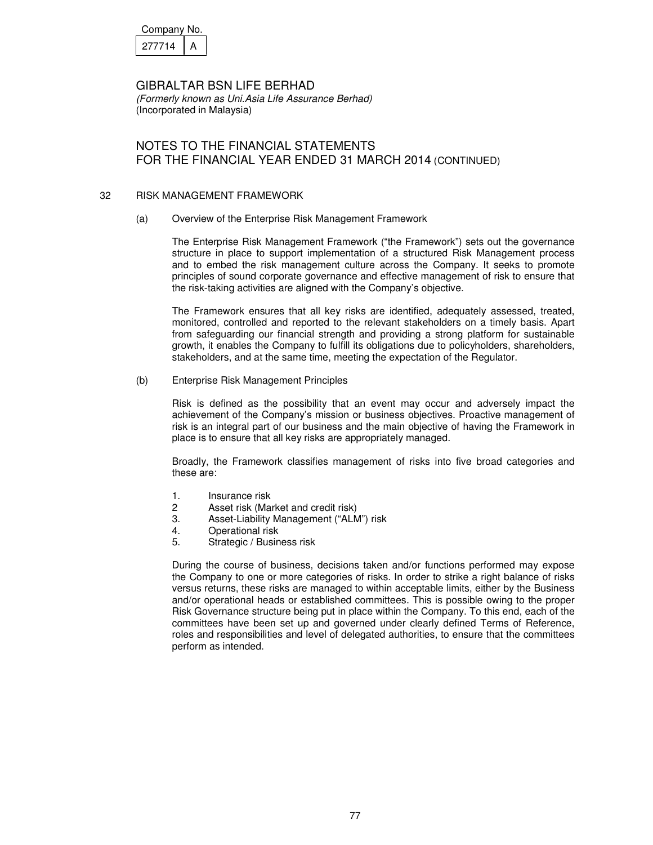| Company No. |  |
|-------------|--|
|             |  |

# NOTES TO THE FINANCIAL STATEMENTS FOR THE FINANCIAL YEAR ENDED 31 MARCH 2014 (CONTINUED)

#### 32 RISK MANAGEMENT FRAMEWORK

#### (a) Overview of the Enterprise Risk Management Framework

 The Enterprise Risk Management Framework ("the Framework") sets out the governance structure in place to support implementation of a structured Risk Management process and to embed the risk management culture across the Company. It seeks to promote principles of sound corporate governance and effective management of risk to ensure that the risk-taking activities are aligned with the Company's objective.

 The Framework ensures that all key risks are identified, adequately assessed, treated, monitored, controlled and reported to the relevant stakeholders on a timely basis. Apart from safeguarding our financial strength and providing a strong platform for sustainable growth, it enables the Company to fulfill its obligations due to policyholders, shareholders, stakeholders, and at the same time, meeting the expectation of the Regulator.

#### (b) Enterprise Risk Management Principles

 Risk is defined as the possibility that an event may occur and adversely impact the achievement of the Company's mission or business objectives. Proactive management of risk is an integral part of our business and the main objective of having the Framework in place is to ensure that all key risks are appropriately managed.

 Broadly, the Framework classifies management of risks into five broad categories and these are:

- 1. Insurance risk
- 2 Asset risk (Market and credit risk)
- 3. Asset-Liability Management ("ALM") risk
- 4. Operational risk<br>5. Strategic / Busin
- Strategic / Business risk

During the course of business, decisions taken and/or functions performed may expose the Company to one or more categories of risks. In order to strike a right balance of risks versus returns, these risks are managed to within acceptable limits, either by the Business and/or operational heads or established committees. This is possible owing to the proper Risk Governance structure being put in place within the Company. To this end, each of the committees have been set up and governed under clearly defined Terms of Reference, roles and responsibilities and level of delegated authorities, to ensure that the committees perform as intended.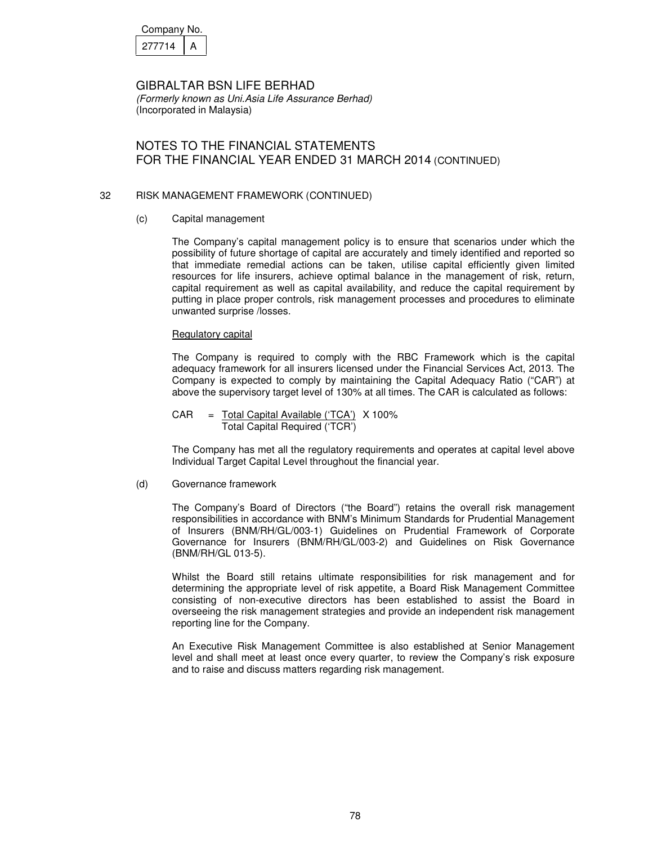| Company No. |  |
|-------------|--|
| 277714      |  |

# NOTES TO THE FINANCIAL STATEMENTS FOR THE FINANCIAL YEAR ENDED 31 MARCH 2014 (CONTINUED)

## 32 RISK MANAGEMENT FRAMEWORK (CONTINUED)

## (c) Capital management

 The Company's capital management policy is to ensure that scenarios under which the possibility of future shortage of capital are accurately and timely identified and reported so that immediate remedial actions can be taken, utilise capital efficiently given limited resources for life insurers, achieve optimal balance in the management of risk, return, capital requirement as well as capital availability, and reduce the capital requirement by putting in place proper controls, risk management processes and procedures to eliminate unwanted surprise /losses.

#### Regulatory capital

 The Company is required to comply with the RBC Framework which is the capital adequacy framework for all insurers licensed under the Financial Services Act, 2013. The Company is expected to comply by maintaining the Capital Adequacy Ratio ("CAR") at above the supervisory target level of 130% at all times. The CAR is calculated as follows:

 CAR = Total Capital Available ('TCA') X 100% Total Capital Required ('TCR')

 The Company has met all the regulatory requirements and operates at capital level above Individual Target Capital Level throughout the financial year.

#### (d) Governance framework

 The Company's Board of Directors ("the Board") retains the overall risk management responsibilities in accordance with BNM's Minimum Standards for Prudential Management of Insurers (BNM/RH/GL/003-1) Guidelines on Prudential Framework of Corporate Governance for Insurers (BNM/RH/GL/003-2) and Guidelines on Risk Governance (BNM/RH/GL 013-5).

 Whilst the Board still retains ultimate responsibilities for risk management and for determining the appropriate level of risk appetite, a Board Risk Management Committee consisting of non-executive directors has been established to assist the Board in overseeing the risk management strategies and provide an independent risk management reporting line for the Company.

 An Executive Risk Management Committee is also established at Senior Management level and shall meet at least once every quarter, to review the Company's risk exposure and to raise and discuss matters regarding risk management.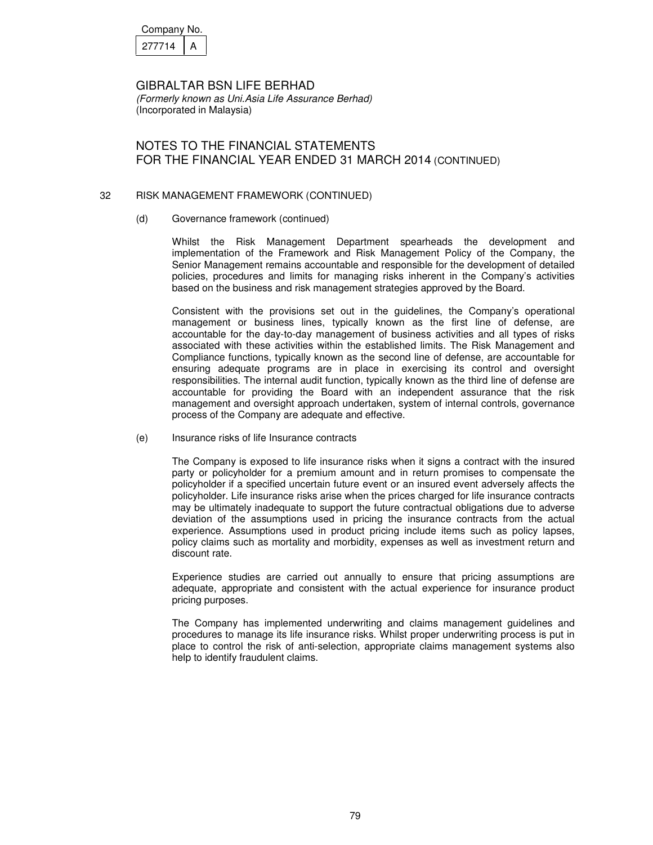| Company No. |  |
|-------------|--|
| 277714      |  |

# NOTES TO THE FINANCIAL STATEMENTS FOR THE FINANCIAL YEAR ENDED 31 MARCH 2014 (CONTINUED)

#### 32 RISK MANAGEMENT FRAMEWORK (CONTINUED)

#### (d) Governance framework (continued)

 Whilst the Risk Management Department spearheads the development and implementation of the Framework and Risk Management Policy of the Company, the Senior Management remains accountable and responsible for the development of detailed policies, procedures and limits for managing risks inherent in the Company's activities based on the business and risk management strategies approved by the Board.

 Consistent with the provisions set out in the guidelines, the Company's operational management or business lines, typically known as the first line of defense, are accountable for the day-to-day management of business activities and all types of risks associated with these activities within the established limits. The Risk Management and Compliance functions, typically known as the second line of defense, are accountable for ensuring adequate programs are in place in exercising its control and oversight responsibilities. The internal audit function, typically known as the third line of defense are accountable for providing the Board with an independent assurance that the risk management and oversight approach undertaken, system of internal controls, governance process of the Company are adequate and effective.

#### (e) Insurance risks of life Insurance contracts

The Company is exposed to life insurance risks when it signs a contract with the insured party or policyholder for a premium amount and in return promises to compensate the policyholder if a specified uncertain future event or an insured event adversely affects the policyholder. Life insurance risks arise when the prices charged for life insurance contracts may be ultimately inadequate to support the future contractual obligations due to adverse deviation of the assumptions used in pricing the insurance contracts from the actual experience. Assumptions used in product pricing include items such as policy lapses, policy claims such as mortality and morbidity, expenses as well as investment return and discount rate.

Experience studies are carried out annually to ensure that pricing assumptions are adequate, appropriate and consistent with the actual experience for insurance product pricing purposes.

The Company has implemented underwriting and claims management guidelines and procedures to manage its life insurance risks. Whilst proper underwriting process is put in place to control the risk of anti-selection, appropriate claims management systems also help to identify fraudulent claims.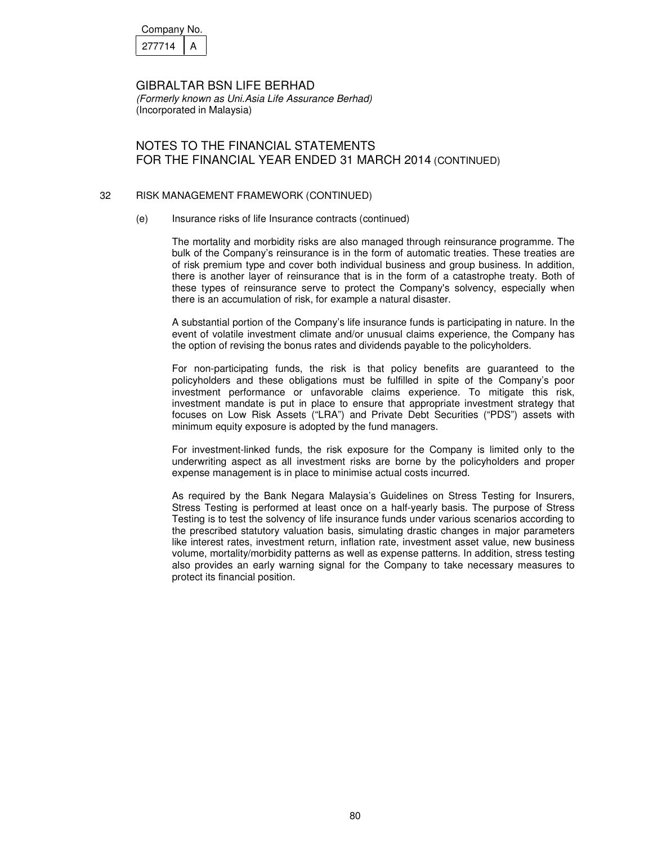| Company No. |  |
|-------------|--|
| 277714      |  |

# NOTES TO THE FINANCIAL STATEMENTS FOR THE FINANCIAL YEAR ENDED 31 MARCH 2014 (CONTINUED)

## 32 RISK MANAGEMENT FRAMEWORK (CONTINUED)

#### (e) Insurance risks of life Insurance contracts (continued)

The mortality and morbidity risks are also managed through reinsurance programme. The bulk of the Company's reinsurance is in the form of automatic treaties. These treaties are of risk premium type and cover both individual business and group business. In addition, there is another layer of reinsurance that is in the form of a catastrophe treaty. Both of these types of reinsurance serve to protect the Company's solvency, especially when there is an accumulation of risk, for example a natural disaster.

A substantial portion of the Company's life insurance funds is participating in nature. In the event of volatile investment climate and/or unusual claims experience, the Company has the option of revising the bonus rates and dividends payable to the policyholders.

For non-participating funds, the risk is that policy benefits are guaranteed to the policyholders and these obligations must be fulfilled in spite of the Company's poor investment performance or unfavorable claims experience. To mitigate this risk, investment mandate is put in place to ensure that appropriate investment strategy that focuses on Low Risk Assets ("LRA") and Private Debt Securities ("PDS") assets with minimum equity exposure is adopted by the fund managers.

For investment-linked funds, the risk exposure for the Company is limited only to the underwriting aspect as all investment risks are borne by the policyholders and proper expense management is in place to minimise actual costs incurred.

As required by the Bank Negara Malaysia's Guidelines on Stress Testing for Insurers, Stress Testing is performed at least once on a half-yearly basis. The purpose of Stress Testing is to test the solvency of life insurance funds under various scenarios according to the prescribed statutory valuation basis, simulating drastic changes in major parameters like interest rates, investment return, inflation rate, investment asset value, new business volume, mortality/morbidity patterns as well as expense patterns. In addition, stress testing also provides an early warning signal for the Company to take necessary measures to protect its financial position.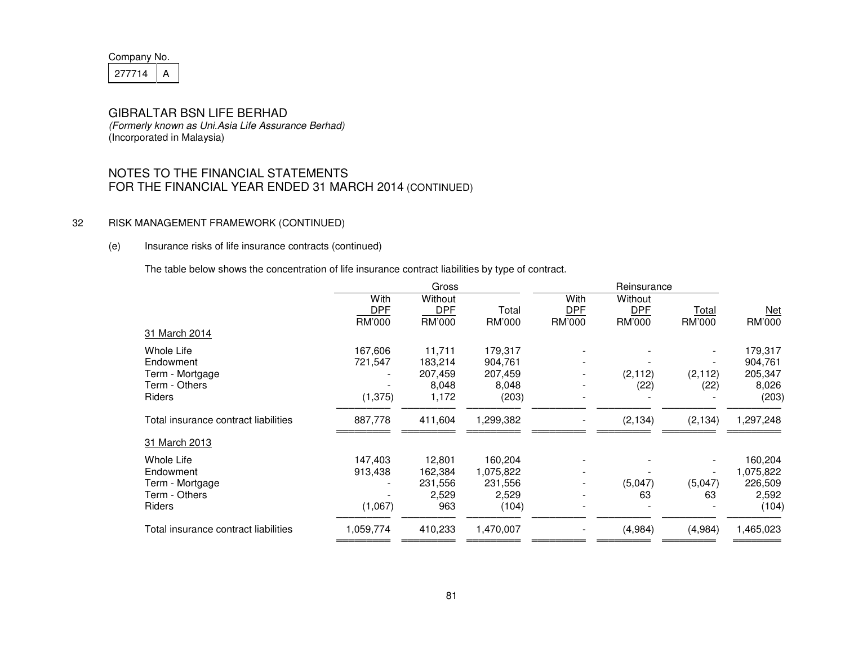| Company No. |  |
|-------------|--|
|             |  |

 $277714$  A

# GIBRALTAR BSN LIFE BERHAD

 (Formerly known as Uni.Asia Life Assurance Berhad) (Incorporated in Malaysia)

# NOTES TO THE FINANCIAL STATEMENTS FOR THE FINANCIAL YEAR ENDED 31 MARCH 2014 (CONTINUED)

## 32 RISK MANAGEMENT FRAMEWORK (CONTINUED)

## (e) Insurance risks of life insurance contracts (continued)

The table below shows the concentration of life insurance contract liabilities by type of contract.

|                                      |            | Gross      |           |            | Reinsurance |              |           |
|--------------------------------------|------------|------------|-----------|------------|-------------|--------------|-----------|
|                                      | With       | Without    |           | With       | Without     |              |           |
|                                      | <b>DPF</b> | <b>DPF</b> | Total     | <b>DPF</b> | <b>DPF</b>  | <u>Total</u> | $Net$     |
|                                      | RM'000     | RM'000     | RM'000    | RM'000     | RM'000      | RM'000       | RM'000    |
| 31 March 2014                        |            |            |           |            |             |              |           |
| Whole Life                           | 167,606    | 11,711     | 179,317   |            |             |              | 179,317   |
| Endowment                            | 721,547    | 183,214    | 904,761   |            |             |              | 904,761   |
| Term - Mortgage                      |            | 207,459    | 207,459   | $\sim$     | (2, 112)    | (2, 112)     | 205,347   |
| Term - Others                        |            | 8,048      | 8,048     |            | (22)        | (22)         | 8,026     |
| Riders                               | (1, 375)   | 1,172      | (203)     |            |             |              | (203)     |
| Total insurance contract liabilities | 887,778    | 411,604    | 1,299,382 |            | (2, 134)    | (2, 134)     | 1,297,248 |
| 31 March 2013                        |            |            |           |            |             |              |           |
| Whole Life                           | 147,403    | 12,801     | 160,204   |            |             |              | 160,204   |
| Endowment                            | 913,438    | 162,384    | 1,075,822 |            |             |              | 1,075,822 |
| Term - Mortgage                      |            | 231,556    | 231,556   |            | (5,047)     | (5,047)      | 226,509   |
| Term - Others                        |            | 2,529      | 2,529     |            | 63          | 63           | 2,592     |
| Riders                               | (1,067)    | 963        | (104)     |            |             |              | (104)     |
| Total insurance contract liabilities | 1,059,774  | 410,233    | 1,470,007 |            | (4,984)     | (4,984)      | 1,465,023 |
|                                      |            |            |           |            |             |              |           |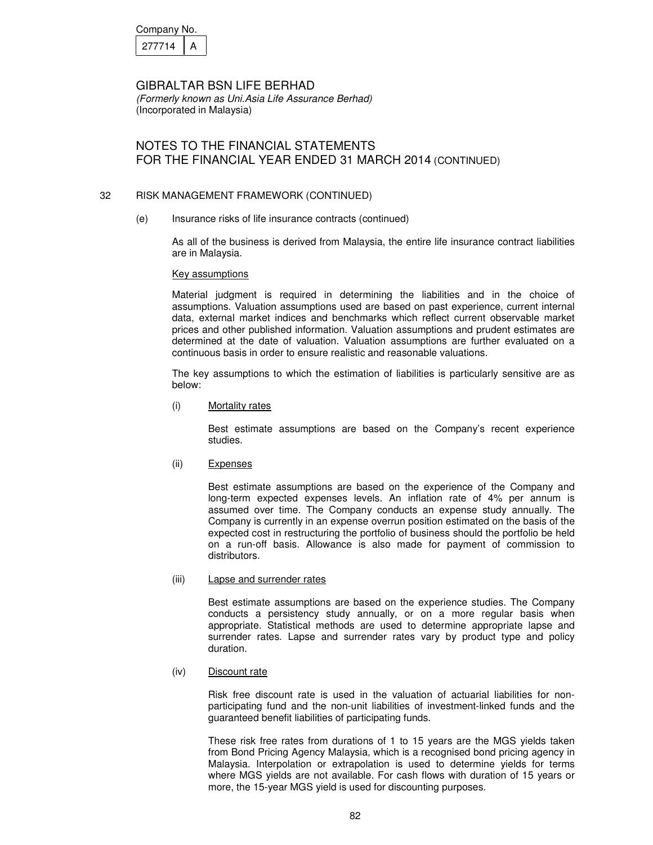| Company No |  |
|------------|--|
| 21/714     |  |

# NOTES TO THE FINANCIAL STATEMENTS FOR THE FINANCIAL YEAR ENDED 31 MARCH 2014 (CONTINUED)

## 32 RISK MANAGEMENT FRAMEWORK (CONTINUED)

(e) Insurance risks of life insurance contracts (continued)

As all of the business is derived from Malaysia, the entire life insurance contract liabilities are in Malaysia.

#### Key assumptions

Material judgment is required in determining the liabilities and in the choice of assumptions. Valuation assumptions used are based on past experience, current internal data, external market indices and benchmarks which reflect current observable market prices and other published information. Valuation assumptions and prudent estimates are determined at the date of valuation. Valuation assumptions are further evaluated on a continuous basis in order to ensure realistic and reasonable valuations.

The key assumptions to which the estimation of liabilities is particularly sensitive are as below:

#### (i) Mortality rates

Best estimate assumptions are based on the Company's recent experience studies.

(ii) Expenses

Best estimate assumptions are based on the experience of the Company and long-term expected expenses levels. An inflation rate of 4% per annum is assumed over time. The Company conducts an expense study annually. The Company is currently in an expense overrun position estimated on the basis of the expected cost in restructuring the portfolio of business should the portfolio be held on a run-off basis. Allowance is also made for payment of commission to distributors.

(iii) Lapse and surrender rates

Best estimate assumptions are based on the experience studies. The Company conducts a persistency study annually, or on a more regular basis when appropriate. Statistical methods are used to determine appropriate lapse and surrender rates. Lapse and surrender rates vary by product type and policy duration.

(iv) Discount rate

Risk free discount rate is used in the valuation of actuarial liabilities for nonparticipating fund and the non-unit liabilities of investment-linked funds and the guaranteed benefit liabilities of participating funds.

These risk free rates from durations of 1 to 15 years are the MGS yields taken from Bond Pricing Agency Malaysia, which is a recognised bond pricing agency in Malaysia. Interpolation or extrapolation is used to determine yields for terms where MGS yields are not available. For cash flows with duration of 15 years or more, the 15-year MGS yield is used for discounting purposes.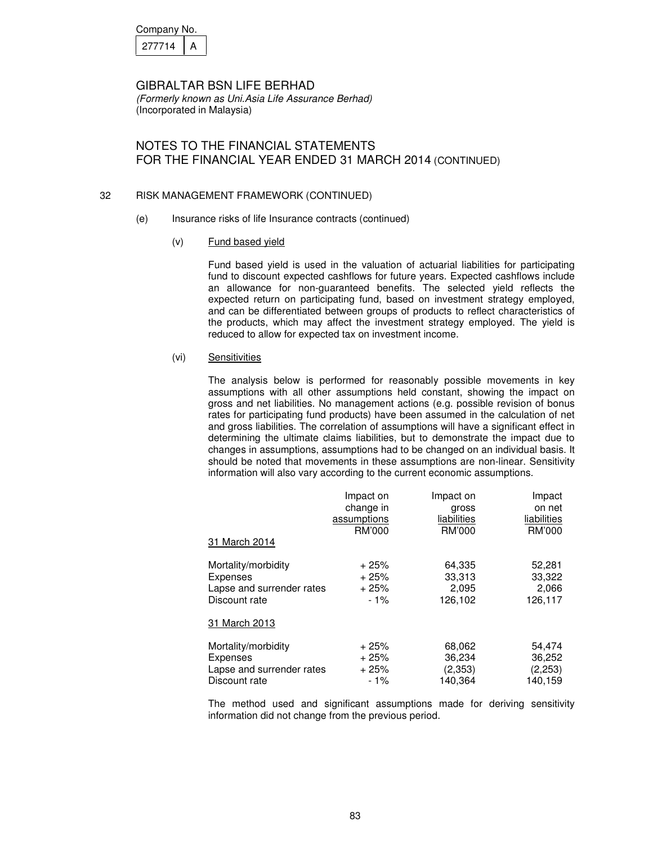| Company No. |  |
|-------------|--|
| 2771        |  |

# NOTES TO THE FINANCIAL STATEMENTS FOR THE FINANCIAL YEAR ENDED 31 MARCH 2014 (CONTINUED)

## 32 RISK MANAGEMENT FRAMEWORK (CONTINUED)

- (e) Insurance risks of life Insurance contracts (continued)
	- (v) Fund based yield

Fund based yield is used in the valuation of actuarial liabilities for participating fund to discount expected cashflows for future years. Expected cashflows include an allowance for non-guaranteed benefits. The selected yield reflects the expected return on participating fund, based on investment strategy employed, and can be differentiated between groups of products to reflect characteristics of the products, which may affect the investment strategy employed. The yield is reduced to allow for expected tax on investment income.

(vi) Sensitivities

The analysis below is performed for reasonably possible movements in key assumptions with all other assumptions held constant, showing the impact on gross and net liabilities. No management actions (e.g. possible revision of bonus rates for participating fund products) have been assumed in the calculation of net and gross liabilities. The correlation of assumptions will have a significant effect in determining the ultimate claims liabilities, but to demonstrate the impact due to changes in assumptions, assumptions had to be changed on an individual basis. It should be noted that movements in these assumptions are non-linear. Sensitivity information will also vary according to the current economic assumptions.

|                           | Impact on   | Impact on   | Impact      |
|---------------------------|-------------|-------------|-------------|
|                           | change in   | gross       | on net      |
|                           | assumptions | liabilities | liabilities |
|                           | RM'000      | RM'000      | RM'000      |
| 31 March 2014             |             |             |             |
| Mortality/morbidity       | + 25%       | 64,335      | 52,281      |
| Expenses                  | $+25%$      | 33,313      | 33,322      |
| Lapse and surrender rates | $+25%$      | 2,095       | 2,066       |
| Discount rate             | $-1\%$      | 126,102     | 126,117     |
| 31 March 2013             |             |             |             |
| Mortality/morbidity       | + 25%       | 68,062      | 54,474      |
| Expenses                  | + 25%       | 36,234      | 36,252      |
| Lapse and surrender rates | + 25%       | (2,353)     | (2,253)     |
| Discount rate             | $-1\%$      | 140,364     | 140,159     |

The method used and significant assumptions made for deriving sensitivity information did not change from the previous period.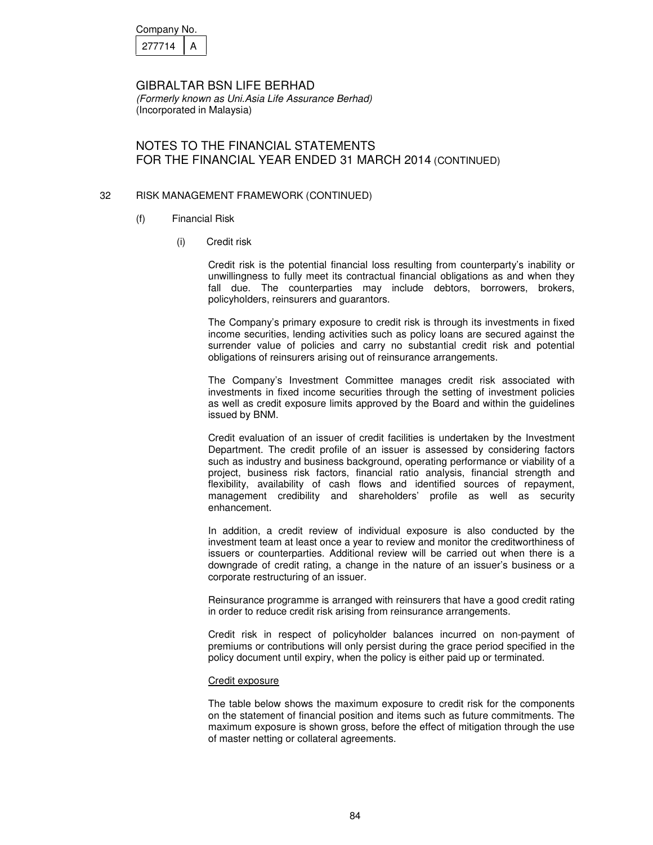| Company No. |  |
|-------------|--|
| 2771        |  |

# NOTES TO THE FINANCIAL STATEMENTS FOR THE FINANCIAL YEAR ENDED 31 MARCH 2014 (CONTINUED)

## 32 RISK MANAGEMENT FRAMEWORK (CONTINUED)

- (f) Financial Risk
	- (i) Credit risk

Credit risk is the potential financial loss resulting from counterparty's inability or unwillingness to fully meet its contractual financial obligations as and when they fall due. The counterparties may include debtors, borrowers, brokers, policyholders, reinsurers and guarantors.

The Company's primary exposure to credit risk is through its investments in fixed income securities, lending activities such as policy loans are secured against the surrender value of policies and carry no substantial credit risk and potential obligations of reinsurers arising out of reinsurance arrangements.

The Company's Investment Committee manages credit risk associated with investments in fixed income securities through the setting of investment policies as well as credit exposure limits approved by the Board and within the guidelines issued by BNM.

Credit evaluation of an issuer of credit facilities is undertaken by the Investment Department. The credit profile of an issuer is assessed by considering factors such as industry and business background, operating performance or viability of a project, business risk factors, financial ratio analysis, financial strength and flexibility, availability of cash flows and identified sources of repayment, management credibility and shareholders' profile as well as security enhancement.

In addition, a credit review of individual exposure is also conducted by the investment team at least once a year to review and monitor the creditworthiness of issuers or counterparties. Additional review will be carried out when there is a downgrade of credit rating, a change in the nature of an issuer's business or a corporate restructuring of an issuer.

Reinsurance programme is arranged with reinsurers that have a good credit rating in order to reduce credit risk arising from reinsurance arrangements.

Credit risk in respect of policyholder balances incurred on non-payment of premiums or contributions will only persist during the grace period specified in the policy document until expiry, when the policy is either paid up or terminated.

#### Credit exposure

The table below shows the maximum exposure to credit risk for the components on the statement of financial position and items such as future commitments. The maximum exposure is shown gross, before the effect of mitigation through the use of master netting or collateral agreements.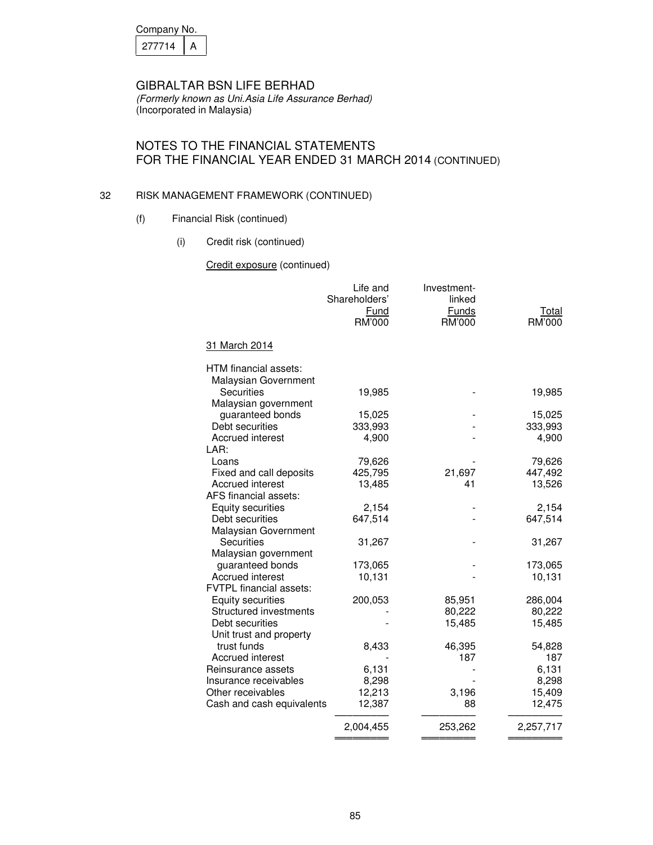| Company No. |  |  |
|-------------|--|--|
| 277714      |  |  |

# NOTES TO THE FINANCIAL STATEMENTS FOR THE FINANCIAL YEAR ENDED 31 MARCH 2014 (CONTINUED)

## 32 RISK MANAGEMENT FRAMEWORK (CONTINUED)

- (f) Financial Risk (continued)
	- (i) Credit risk (continued)

## Credit exposure (continued)

|                                           | Life and<br>Shareholders'<br><b>Fund</b><br>RM'000 | Investment-<br>linked<br><b>Funds</b><br>RM'000 | Total<br>RM'000 |
|-------------------------------------------|----------------------------------------------------|-------------------------------------------------|-----------------|
| 31 March 2014                             |                                                    |                                                 |                 |
| HTM financial assets:                     |                                                    |                                                 |                 |
| Malaysian Government<br><b>Securities</b> | 19,985                                             |                                                 | 19,985          |
| Malaysian government                      |                                                    |                                                 |                 |
| guaranteed bonds                          | 15,025                                             |                                                 | 15,025          |
| Debt securities                           | 333,993                                            |                                                 | 333,993         |
| Accrued interest<br>LAR:                  | 4,900                                              |                                                 | 4,900           |
| Loans                                     | 79,626                                             |                                                 | 79,626          |
| Fixed and call deposits                   | 425,795                                            | 21,697                                          | 447,492         |
| Accrued interest                          | 13,485                                             | 41                                              | 13,526          |
| AFS financial assets:                     |                                                    |                                                 |                 |
| <b>Equity securities</b>                  | 2,154                                              |                                                 | 2,154           |
| Debt securities<br>Malaysian Government   | 647,514                                            |                                                 | 647,514         |
| <b>Securities</b>                         | 31,267                                             |                                                 | 31,267          |
| Malaysian government                      |                                                    |                                                 |                 |
| guaranteed bonds                          | 173,065                                            |                                                 | 173,065         |
| <b>Accrued interest</b>                   | 10,131                                             |                                                 | 10,131          |
| FVTPL financial assets:                   |                                                    |                                                 |                 |
| <b>Equity securities</b>                  | 200,053                                            | 85,951                                          | 286,004         |
| Structured investments                    |                                                    | 80,222                                          | 80,222          |
| Debt securities                           |                                                    | 15,485                                          | 15,485          |
| Unit trust and property<br>trust funds    | 8,433                                              | 46,395                                          | 54,828          |
| Accrued interest                          |                                                    | 187                                             | 187             |
| Reinsurance assets                        | 6,131                                              |                                                 | 6,131           |
| Insurance receivables                     | 8,298                                              |                                                 | 8,298           |
| Other receivables                         | 12,213                                             | 3,196                                           | 15,409          |
| Cash and cash equivalents                 | 12,387                                             | 88                                              | 12,475          |
|                                           | 2,004,455                                          | 253,262                                         | 2,257,717       |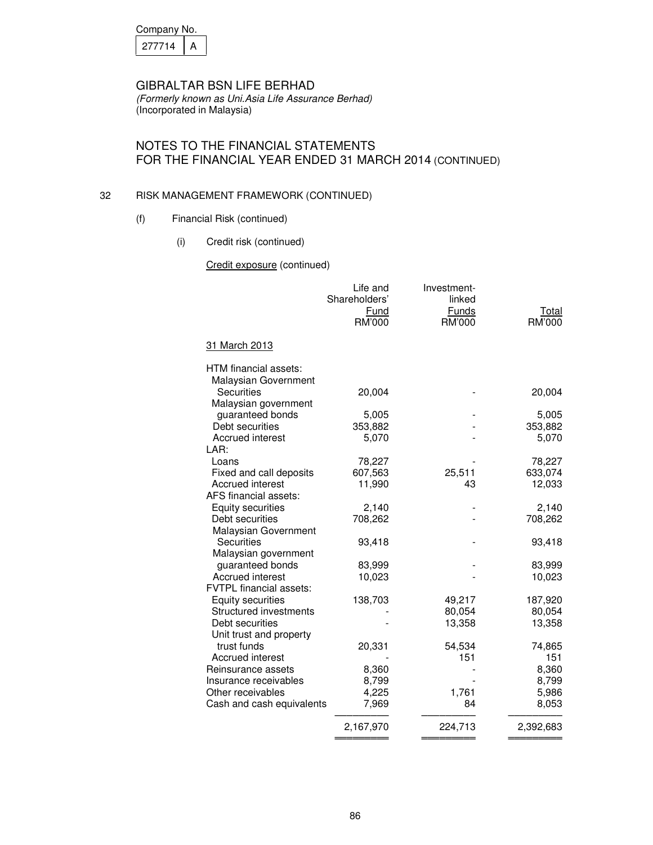| Company No. |  |  |  |
|-------------|--|--|--|
| 21/714      |  |  |  |

# NOTES TO THE FINANCIAL STATEMENTS FOR THE FINANCIAL YEAR ENDED 31 MARCH 2014 (CONTINUED)

## 32 RISK MANAGEMENT FRAMEWORK (CONTINUED)

- (f) Financial Risk (continued)
	- (i) Credit risk (continued)

## Credit exposure (continued)

|                                             | Life and<br>Shareholders'<br><b>Fund</b><br>RM'000 | Investment-<br>linked<br><b>Funds</b><br>RM'000 | <b>Total</b><br>RM'000 |
|---------------------------------------------|----------------------------------------------------|-------------------------------------------------|------------------------|
| 31 March 2013                               |                                                    |                                                 |                        |
| HTM financial assets:                       |                                                    |                                                 |                        |
| Malaysian Government<br>Securities          | 20,004                                             |                                                 | 20,004                 |
| Malaysian government                        |                                                    |                                                 |                        |
| guaranteed bonds                            | 5,005                                              |                                                 | 5,005                  |
| Debt securities<br>Accrued interest         | 353,882<br>5,070                                   |                                                 | 353,882<br>5,070       |
| LAR:                                        |                                                    |                                                 |                        |
| Loans                                       | 78,227                                             |                                                 | 78,227                 |
| Fixed and call deposits                     | 607,563                                            | 25,511                                          | 633,074                |
| <b>Accrued interest</b>                     | 11,990                                             | 43                                              | 12,033                 |
| AFS financial assets:<br>Equity securities  | 2,140                                              |                                                 | 2,140                  |
| Debt securities                             | 708,262                                            |                                                 | 708,262                |
| Malaysian Government                        |                                                    |                                                 |                        |
| <b>Securities</b>                           | 93,418                                             |                                                 | 93,418                 |
| Malaysian government                        |                                                    |                                                 |                        |
| guaranteed bonds<br><b>Accrued interest</b> | 83,999<br>10,023                                   |                                                 | 83,999<br>10,023       |
| FVTPL financial assets:                     |                                                    |                                                 |                        |
| <b>Equity securities</b>                    | 138,703                                            | 49,217                                          | 187,920                |
| Structured investments                      |                                                    | 80,054                                          | 80,054                 |
| Debt securities                             |                                                    | 13,358                                          | 13,358                 |
| Unit trust and property                     |                                                    |                                                 |                        |
| trust funds<br><b>Accrued interest</b>      | 20,331                                             | 54,534<br>151                                   | 74,865<br>151          |
| Reinsurance assets                          | 8,360                                              |                                                 | 8,360                  |
| Insurance receivables                       | 8,799                                              |                                                 | 8,799                  |
| Other receivables                           | 4,225                                              | 1,761                                           | 5,986                  |
| Cash and cash equivalents                   | 7,969                                              | 84                                              | 8,053                  |
|                                             | 2,167,970                                          | 224,713                                         | 2,392,683              |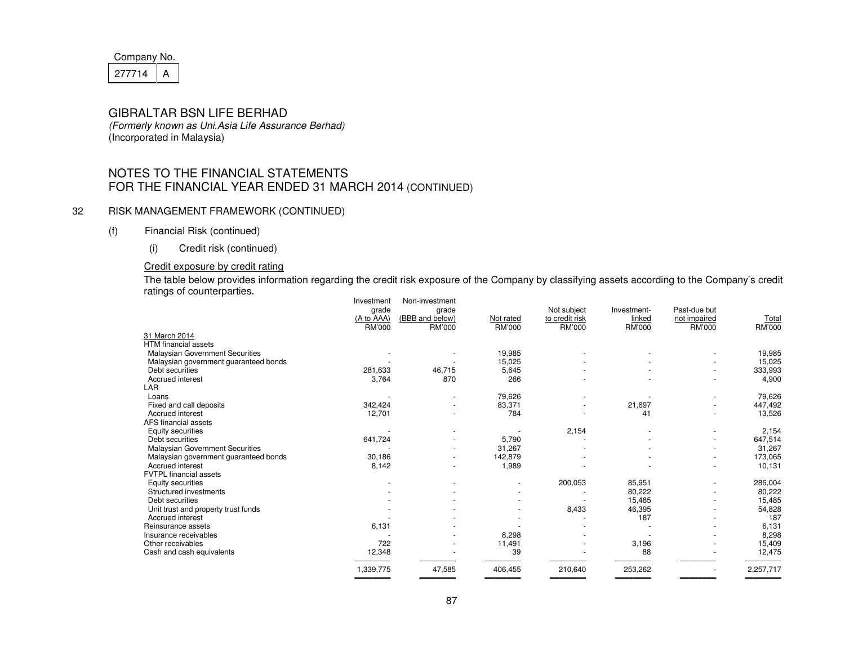# Company No.  $277714$  A

# GIBRALTAR BSN LIFE BERHAD

 (Formerly known as Uni.Asia Life Assurance Berhad) (Incorporated in Malaysia)

# NOTES TO THE FINANCIAL STATEMENTS FOR THE FINANCIAL YEAR ENDED 31 MARCH 2014 (CONTINUED)

## 32 RISK MANAGEMENT FRAMEWORK (CONTINUED)

- (f) Financial Risk (continued)
	- (i) Credit risk (continued)

## Credit exposure by credit rating

 The table below provides information regarding the credit risk exposure of the Company by classifying assets according to the Company's credit ratings of counterparties.

|                                        | Investment | Non-investment  |           |                |             |              |           |
|----------------------------------------|------------|-----------------|-----------|----------------|-------------|--------------|-----------|
|                                        | grade      | grade           |           | Not subject    | Investment- | Past-due but |           |
|                                        | (A to AAA) | (BBB and below) | Not rated | to credit risk | linked      | not impaired | Total     |
|                                        | RM'000     | RM'000          | RM'000    | RM'000         | RM'000      | RM'000       | RM'000    |
| 31 March 2014                          |            |                 |           |                |             |              |           |
| <b>HTM</b> financial assets            |            |                 |           |                |             |              |           |
| <b>Malaysian Government Securities</b> |            |                 | 19,985    |                |             |              | 19,985    |
| Malaysian government guaranteed bonds  |            |                 | 15,025    |                |             |              | 15,025    |
| Debt securities                        | 281,633    | 46,715          | 5,645     |                |             |              | 333,993   |
| Accrued interest                       | 3,764      | 870             | 266       |                |             |              | 4,900     |
| LAR                                    |            |                 |           |                |             |              |           |
| Loans                                  |            |                 | 79,626    |                |             |              | 79,626    |
| Fixed and call deposits                | 342,424    | $\blacksquare$  | 83,371    |                | 21,697      |              | 447,492   |
| Accrued interest                       | 12,701     |                 | 784       |                | 41          |              | 13,526    |
| AFS financial assets                   |            |                 |           |                |             |              |           |
| <b>Equity securities</b>               |            |                 |           | 2,154          |             |              | 2,154     |
| Debt securities                        | 641,724    |                 | 5,790     |                |             |              | 647,514   |
| Malaysian Government Securities        |            |                 | 31,267    |                |             |              | 31,267    |
| Malaysian government guaranteed bonds  | 30,186     | $\blacksquare$  | 142,879   |                |             |              | 173,065   |
| Accrued interest                       | 8,142      |                 | 1,989     |                |             |              | 10,131    |
| <b>FVTPL</b> financial assets          |            |                 |           |                |             |              |           |
| Equity securities                      |            |                 |           | 200,053        | 85,951      |              | 286,004   |
| Structured investments                 |            |                 |           |                | 80,222      |              | 80,222    |
| Debt securities                        |            |                 |           |                | 15,485      |              | 15,485    |
| Unit trust and property trust funds    |            |                 |           | 8,433          | 46,395      |              | 54,828    |
| Accrued interest                       |            |                 |           |                | 187         |              | 187       |
| Reinsurance assets                     | 6,131      |                 |           |                |             |              | 6,131     |
| Insurance receivables                  |            |                 | 8,298     |                |             |              | 8,298     |
| Other receivables                      | 722        |                 | 11,491    |                | 3,196       |              | 15,409    |
| Cash and cash equivalents              | 12,348     |                 | 39        |                | 88          |              | 12,475    |
|                                        | 1,339,775  | 47,585          | 406,455   | 210,640        | 253,262     |              | 2,257,717 |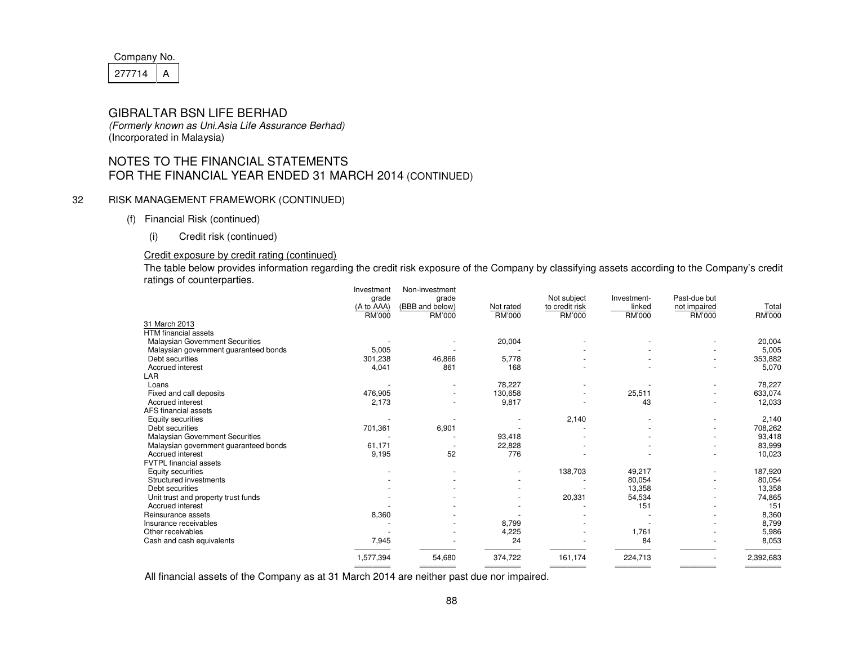| Company No. |  |  |  |
|-------------|--|--|--|
| 277714      |  |  |  |

 (Formerly known as Uni.Asia Life Assurance Berhad) (Incorporated in Malaysia)

# NOTES TO THE FINANCIAL STATEMENTS FOR THE FINANCIAL YEAR ENDED 31 MARCH 2014 (CONTINUED)

## 32 RISK MANAGEMENT FRAMEWORK (CONTINUED)

- (f) Financial Risk (continued)
	- (i) Credit risk (continued)

## Credit exposure by credit rating (continued)

 The table below provides information regarding the credit risk exposure of the Company by classifying assets according to the Company's credit ratings of counterparties.

|                                        | Investment    | Non-investment           |           |                |             |              |           |
|----------------------------------------|---------------|--------------------------|-----------|----------------|-------------|--------------|-----------|
|                                        | grade         | grade                    |           | Not subject    | Investment- | Past-due but |           |
|                                        | (A to AAA)    | (BBB and below)          | Not rated | to credit risk | linked      | not impaired | Total     |
|                                        | <b>RM'000</b> | RM'000                   | RM'000    | RM'000         | RM'000      | RM'000       | RM'000    |
| 31 March 2013                          |               |                          |           |                |             |              |           |
| HTM financial assets                   |               |                          |           |                |             |              |           |
| Malaysian Government Securities        |               |                          | 20,004    |                |             |              | 20,004    |
| Malaysian government guaranteed bonds  | 5,005         |                          |           |                |             |              | 5,005     |
| Debt securities                        | 301,238       | 46,866                   | 5,778     |                |             |              | 353,882   |
| Accrued interest                       | 4,041         | 861                      | 168       |                |             |              | 5,070     |
| LAR                                    |               |                          |           |                |             |              |           |
| Loans                                  |               |                          | 78,227    |                |             |              | 78,227    |
| Fixed and call deposits                | 476,905       |                          | 130,658   |                | 25,511      |              | 633,074   |
| Accrued interest                       | 2,173         |                          | 9,817     |                | 43          |              | 12,033    |
| AFS financial assets                   |               |                          |           |                |             |              |           |
| <b>Equity securities</b>               |               |                          |           | 2,140          |             |              | 2,140     |
| Debt securities                        | 701,361       | 6,901                    |           |                |             |              | 708,262   |
| <b>Malaysian Government Securities</b> |               |                          | 93,418    |                |             |              | 93,418    |
| Malaysian government guaranteed bonds  | 61,171        | $\overline{\phantom{a}}$ | 22,828    |                |             |              | 83,999    |
| Accrued interest                       | 9,195         | 52                       | 776       |                |             |              | 10,023    |
| <b>FVTPL</b> financial assets          |               |                          |           |                |             |              |           |
| <b>Equity securities</b>               |               |                          |           | 138,703        | 49,217      |              | 187,920   |
| Structured investments                 |               |                          |           |                | 80,054      |              | 80,054    |
| Debt securities                        |               |                          |           |                | 13,358      |              | 13,358    |
| Unit trust and property trust funds    |               |                          |           | 20,331         | 54,534      |              | 74,865    |
| Accrued interest                       |               |                          |           |                | 151         |              | 151       |
| Reinsurance assets                     | 8,360         |                          |           |                |             |              | 8,360     |
| Insurance receivables                  |               |                          | 8,799     |                |             |              | 8,799     |
| Other receivables                      |               |                          | 4,225     |                | 1,761       |              | 5,986     |
| Cash and cash equivalents              | 7,945         |                          | 24        |                | 84          |              | 8,053     |
|                                        | 1,577,394     | 54,680                   | 374,722   | 161,174        | 224,713     |              | 2,392,683 |
|                                        |               |                          |           |                |             |              |           |

All financial assets of the Company as at 31 March 2014 are neither past due nor impaired.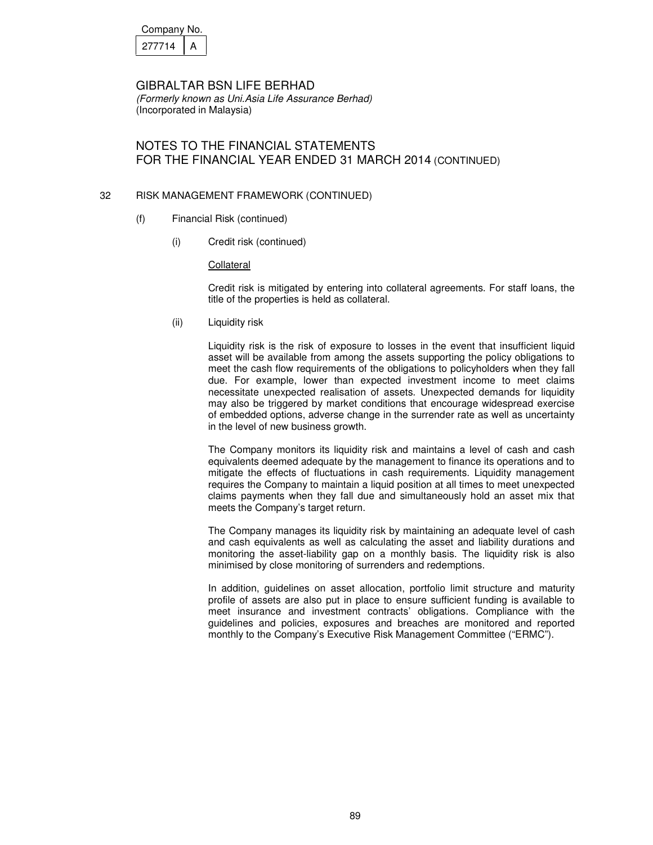| Company No. |  |
|-------------|--|
| 277714      |  |

# NOTES TO THE FINANCIAL STATEMENTS FOR THE FINANCIAL YEAR ENDED 31 MARCH 2014 (CONTINUED)

## 32 RISK MANAGEMENT FRAMEWORK (CONTINUED)

- (f) Financial Risk (continued)
	- (i) Credit risk (continued)

## **Collateral**

Credit risk is mitigated by entering into collateral agreements. For staff loans, the title of the properties is held as collateral.

(ii) Liquidity risk

Liquidity risk is the risk of exposure to losses in the event that insufficient liquid asset will be available from among the assets supporting the policy obligations to meet the cash flow requirements of the obligations to policyholders when they fall due. For example, lower than expected investment income to meet claims necessitate unexpected realisation of assets. Unexpected demands for liquidity may also be triggered by market conditions that encourage widespread exercise of embedded options, adverse change in the surrender rate as well as uncertainty in the level of new business growth.

The Company monitors its liquidity risk and maintains a level of cash and cash equivalents deemed adequate by the management to finance its operations and to mitigate the effects of fluctuations in cash requirements. Liquidity management requires the Company to maintain a liquid position at all times to meet unexpected claims payments when they fall due and simultaneously hold an asset mix that meets the Company's target return.

The Company manages its liquidity risk by maintaining an adequate level of cash and cash equivalents as well as calculating the asset and liability durations and monitoring the asset-liability gap on a monthly basis. The liquidity risk is also minimised by close monitoring of surrenders and redemptions.

In addition, guidelines on asset allocation, portfolio limit structure and maturity profile of assets are also put in place to ensure sufficient funding is available to meet insurance and investment contracts' obligations. Compliance with the guidelines and policies, exposures and breaches are monitored and reported monthly to the Company's Executive Risk Management Committee ("ERMC").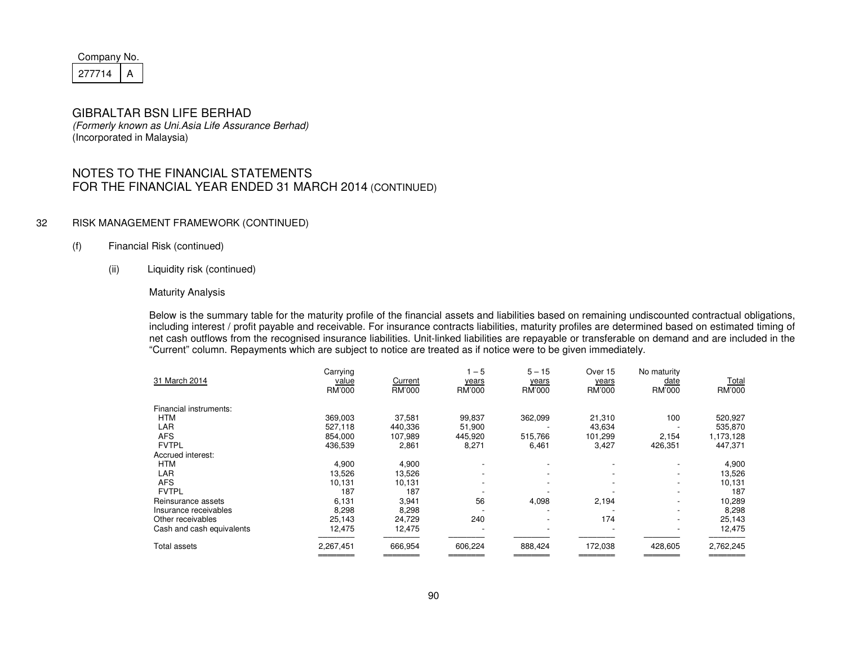| Company No. |  |  |
|-------------|--|--|
| 21/1        |  |  |

 (Formerly known as Uni.Asia Life Assurance Berhad) (Incorporated in Malaysia)

# NOTES TO THE FINANCIAL STATEMENTS FOR THE FINANCIAL YEAR ENDED 31 MARCH 2014 (CONTINUED)

#### 32 RISK MANAGEMENT FRAMEWORK (CONTINUED)

#### (f) Financial Risk (continued)

(ii) Liquidity risk (continued)

#### Maturity Analysis

Below is the summary table for the maturity profile of the financial assets and liabilities based on remaining undiscounted contractual obligations, including interest / profit payable and receivable. For insurance contracts liabilities, maturity profiles are determined based on estimated timing of net cash outflows from the recognised insurance liabilities. Unit-linked liabilities are repayable or transferable on demand and are included in the "Current" column. Repayments which are subject to notice are treated as if notice were to be given immediately.

| 31 March 2014             | Carrying<br>value<br><b>RM'000</b> | Current<br>RM'000 | $-5$<br>years<br>RM'000  | $5 - 15$<br>years<br>RM'000 | Over 15<br>years<br>RM'000 | No maturity<br>date<br>RM'000 | <b>Total</b><br>RM'000 |
|---------------------------|------------------------------------|-------------------|--------------------------|-----------------------------|----------------------------|-------------------------------|------------------------|
| Financial instruments:    |                                    |                   |                          |                             |                            |                               |                        |
| <b>HTM</b>                | 369,003                            | 37,581            | 99,837                   | 362,099                     | 21,310                     | 100                           | 520,927                |
| LAR                       | 527,118                            | 440,336           | 51,900                   |                             | 43,634                     |                               | 535,870                |
| <b>AFS</b>                | 854,000                            | 107,989           | 445,920                  | 515,766                     | 101,299                    | 2,154                         | 1,173,128              |
| <b>FVTPL</b>              | 436,539                            | 2,861             | 8,271                    | 6,461                       | 3,427                      | 426,351                       | 447,371                |
| Accrued interest:         |                                    |                   |                          |                             |                            |                               |                        |
| <b>HTM</b>                | 4,900                              | 4,900             |                          |                             |                            |                               | 4,900                  |
| LAR                       | 13,526                             | 13,526            | $\overline{\phantom{a}}$ | $\overline{\phantom{a}}$    |                            |                               | 13,526                 |
| <b>AFS</b>                | 10,131                             | 10,131            | $\overline{\phantom{a}}$ | $\overline{\phantom{a}}$    | $\overline{\phantom{a}}$   | $\overline{\phantom{a}}$      | 10,131                 |
| <b>FVTPL</b>              | 187                                | 187               |                          |                             |                            |                               | 187                    |
| Reinsurance assets        | 6,131                              | 3,941             | 56                       | 4,098                       | 2,194                      | $\overline{\phantom{a}}$      | 10,289                 |
| Insurance receivables     | 8,298                              | 8,298             |                          |                             |                            | $\overline{\phantom{a}}$      | 8,298                  |
| Other receivables         | 25,143                             | 24,729            | 240                      |                             | 174                        |                               | 25,143                 |
| Cash and cash equivalents | 12,475                             | 12,475            |                          |                             |                            |                               | 12,475                 |
| Total assets              | 2,267,451                          | 666,954           | 606,224                  | 888,424                     | 172,038                    | 428,605                       | 2,762,245              |
|                           |                                    |                   |                          |                             |                            |                               |                        |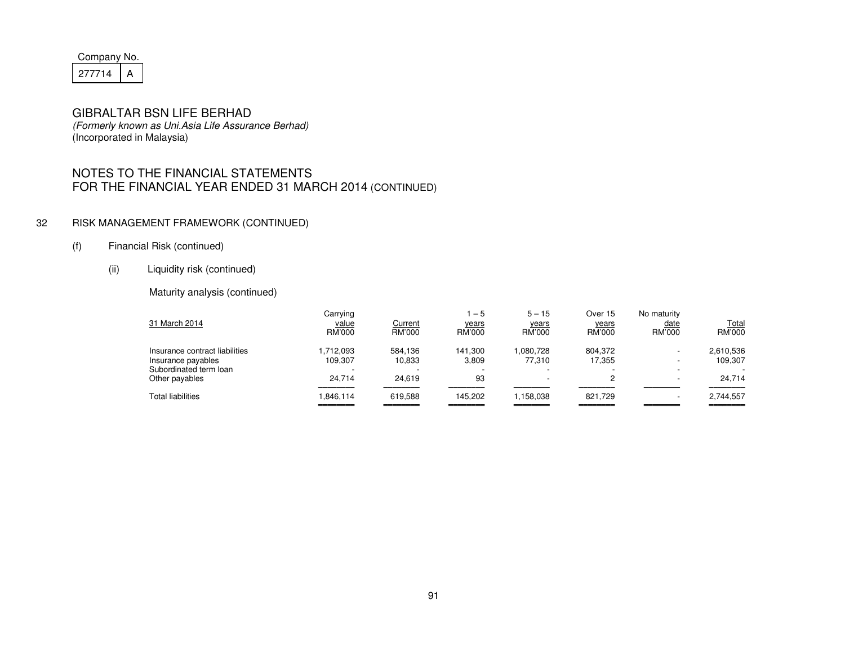| Company No. |  |  |  |
|-------------|--|--|--|
| 277714      |  |  |  |

 (Formerly known as Uni.Asia Life Assurance Berhad) (Incorporated in Malaysia)

# NOTES TO THE FINANCIAL STATEMENTS FOR THE FINANCIAL YEAR ENDED 31 MARCH 2014 (CONTINUED)

## 32 RISK MANAGEMENT FRAMEWORK (CONTINUED)

## (f) Financial Risk (continued)

(ii) Liquidity risk (continued)

## Maturity analysis (continued)

| 31 March 2014                                                                  | Carrying<br><u>value</u><br>RM'000 | Current<br>RM'000 | $-5$<br>years<br>RM'000 | $5 - 15$<br>years<br>RM'000 | Over 15<br>years<br>RM'000 | No maturity<br><u>date</u><br>RM'000 | Total<br>RM'000      |
|--------------------------------------------------------------------------------|------------------------------------|-------------------|-------------------------|-----------------------------|----------------------------|--------------------------------------|----------------------|
| Insurance contract liabilities<br>Insurance payables<br>Subordinated term loan | .712.093<br>109.307                | 584.136<br>10.833 | 141.300<br>3,809        | 1.080.728<br>77.310         | 804.372<br>17,355          |                                      | 2,610,536<br>109,307 |
| Other payables                                                                 | 24,714                             | 24.619            | 93                      |                             | 2                          |                                      | 24.714               |
| <b>Total liabilities</b>                                                       | .846,114                           | 619.588           | 145.202                 | 1.158.038                   | 821.729                    |                                      | 2.744.557            |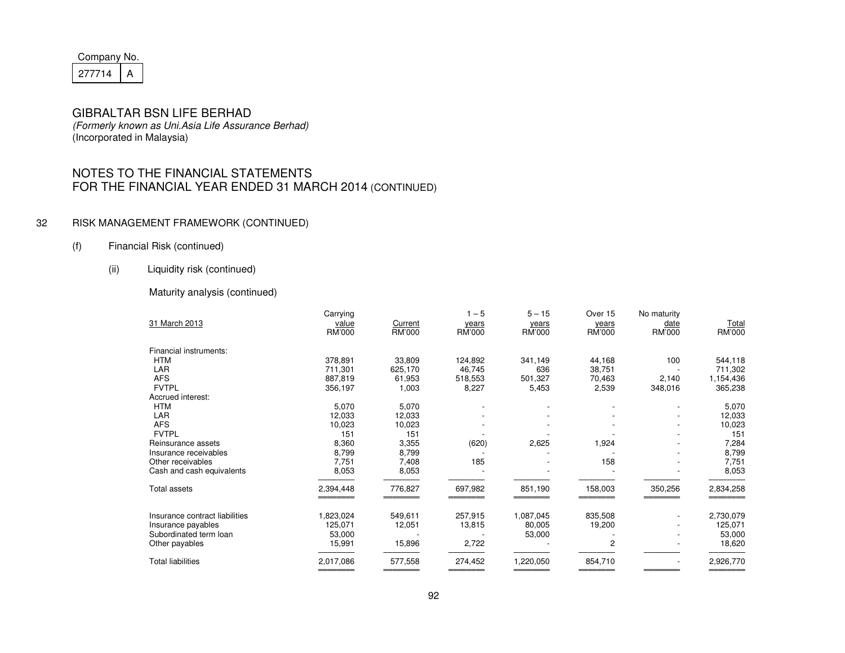| Company No. |  |  |  |
|-------------|--|--|--|
| ַ ג         |  |  |  |

 (Formerly known as Uni.Asia Life Assurance Berhad) (Incorporated in Malaysia)

# NOTES TO THE FINANCIAL STATEMENTS FOR THE FINANCIAL YEAR ENDED 31 MARCH 2014 (CONTINUED)

## 32 RISK MANAGEMENT FRAMEWORK (CONTINUED)

## (f) Financial Risk (continued)

(ii) Liquidity risk (continued)

## Maturity analysis (continued)

|                                | Carrying  |         | $-5$    | $5 - 15$  | Over 15 | No maturity |           |
|--------------------------------|-----------|---------|---------|-----------|---------|-------------|-----------|
| 31 March 2013                  | value     | Current | years   | years     | years   | date        | Total     |
|                                | RM'000    | RM'000  | RM'000  | RM'000    | RM'000  | RM'000      | RM'000    |
| Financial instruments:         |           |         |         |           |         |             |           |
| <b>HTM</b>                     | 378,891   | 33,809  | 124,892 | 341,149   | 44,168  | 100         | 544,118   |
| LAR                            | 711,301   | 625,170 | 46,745  | 636       | 38,751  |             | 711,302   |
| <b>AFS</b>                     | 887,819   | 61,953  | 518,553 | 501,327   | 70,463  | 2,140       | 1,154,436 |
| <b>FVTPL</b>                   | 356,197   | 1,003   | 8,227   | 5,453     | 2,539   | 348,016     | 365,238   |
| Accrued interest:              |           |         |         |           |         |             |           |
| <b>HTM</b>                     | 5,070     | 5,070   |         |           |         |             | 5,070     |
| LAR                            | 12,033    | 12,033  |         |           |         |             | 12,033    |
| <b>AFS</b>                     | 10,023    | 10,023  |         |           |         |             | 10,023    |
| <b>FVTPL</b>                   | 151       | 151     |         |           |         |             | 151       |
| Reinsurance assets             | 8,360     | 3,355   | (620)   | 2,625     | 1,924   |             | 7,284     |
| Insurance receivables          | 8,799     | 8,799   |         |           |         |             | 8,799     |
| Other receivables              | 7,751     | 7,408   | 185     |           | 158     |             | 7,751     |
| Cash and cash equivalents      | 8,053     | 8,053   |         |           |         |             | 8,053     |
| <b>Total assets</b>            | 2,394,448 | 776,827 | 697,982 | 851,190   | 158,003 | 350,256     | 2,834,258 |
| Insurance contract liabilities | 1,823,024 | 549,611 | 257,915 | 1,087,045 | 835,508 |             | 2,730,079 |
| Insurance payables             | 125,071   | 12,051  | 13,815  | 80,005    | 19,200  |             | 125,071   |
| Subordinated term loan         | 53,000    |         |         | 53,000    |         |             | 53,000    |
| Other payables                 | 15,991    | 15,896  | 2,722   |           | 2       |             | 18,620    |
|                                |           |         |         |           |         |             |           |
| <b>Total liabilities</b>       | 2,017,086 | 577,558 | 274,452 | 1,220,050 | 854,710 |             | 2,926,770 |
|                                |           |         |         |           |         |             |           |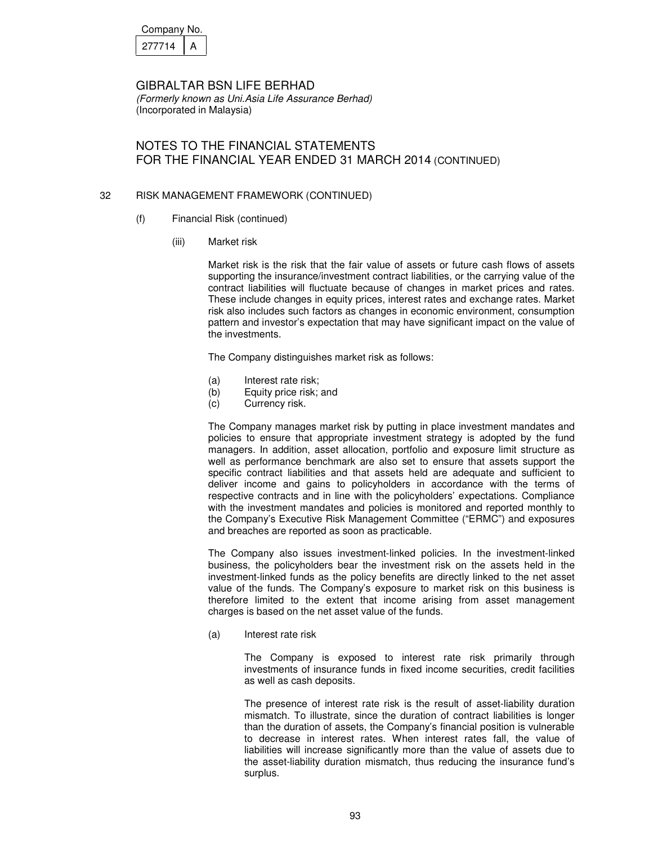| Companv No. |  |
|-------------|--|
|             |  |

# NOTES TO THE FINANCIAL STATEMENTS FOR THE FINANCIAL YEAR ENDED 31 MARCH 2014 (CONTINUED)

#### 32 RISK MANAGEMENT FRAMEWORK (CONTINUED)

- (f) Financial Risk (continued)
	- (iii) Market risk

Market risk is the risk that the fair value of assets or future cash flows of assets supporting the insurance/investment contract liabilities, or the carrying value of the contract liabilities will fluctuate because of changes in market prices and rates. These include changes in equity prices, interest rates and exchange rates. Market risk also includes such factors as changes in economic environment, consumption pattern and investor's expectation that may have significant impact on the value of the investments.

The Company distinguishes market risk as follows:

- (a) Interest rate risk;
- (b) Equity price risk; and<br>(c) Currency risk.
- Currency risk.

The Company manages market risk by putting in place investment mandates and policies to ensure that appropriate investment strategy is adopted by the fund managers. In addition, asset allocation, portfolio and exposure limit structure as well as performance benchmark are also set to ensure that assets support the specific contract liabilities and that assets held are adequate and sufficient to deliver income and gains to policyholders in accordance with the terms of respective contracts and in line with the policyholders' expectations. Compliance with the investment mandates and policies is monitored and reported monthly to the Company's Executive Risk Management Committee ("ERMC") and exposures and breaches are reported as soon as practicable.

The Company also issues investment-linked policies. In the investment-linked business, the policyholders bear the investment risk on the assets held in the investment-linked funds as the policy benefits are directly linked to the net asset value of the funds. The Company's exposure to market risk on this business is therefore limited to the extent that income arising from asset management charges is based on the net asset value of the funds.

(a) Interest rate risk

The Company is exposed to interest rate risk primarily through investments of insurance funds in fixed income securities, credit facilities as well as cash deposits.

The presence of interest rate risk is the result of asset-liability duration mismatch. To illustrate, since the duration of contract liabilities is longer than the duration of assets, the Company's financial position is vulnerable to decrease in interest rates. When interest rates fall, the value of liabilities will increase significantly more than the value of assets due to the asset-liability duration mismatch, thus reducing the insurance fund's surplus.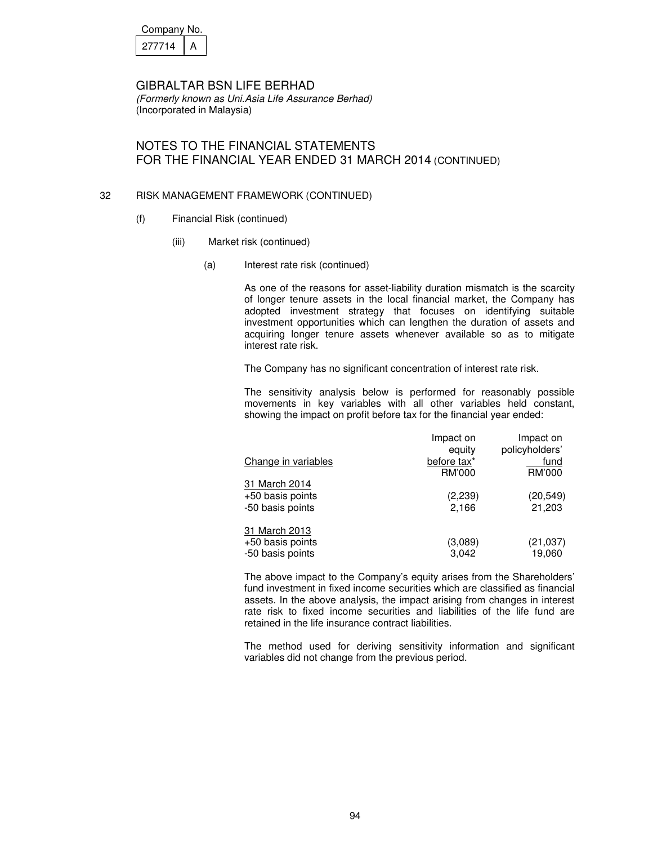| Company No. |  |
|-------------|--|
| 277714      |  |

# NOTES TO THE FINANCIAL STATEMENTS FOR THE FINANCIAL YEAR ENDED 31 MARCH 2014 (CONTINUED)

## 32 RISK MANAGEMENT FRAMEWORK (CONTINUED)

- (f) Financial Risk (continued)
	- (iii) Market risk (continued)
		- (a) Interest rate risk (continued)

As one of the reasons for asset-liability duration mismatch is the scarcity of longer tenure assets in the local financial market, the Company has adopted investment strategy that focuses on identifying suitable investment opportunities which can lengthen the duration of assets and acquiring longer tenure assets whenever available so as to mitigate interest rate risk.

The Company has no significant concentration of interest rate risk.

The sensitivity analysis below is performed for reasonably possible movements in key variables with all other variables held constant, showing the impact on profit before tax for the financial year ended:

|                     | Impact on   | Impact on      |
|---------------------|-------------|----------------|
|                     | equity      | policyholders' |
| Change in variables | before tax* | fund           |
|                     | RM'000      | RM'000         |
| 31 March 2014       |             |                |
| +50 basis points    | (2,239)     | (20, 549)      |
| -50 basis points    | 2.166       | 21,203         |
| 31 March 2013       |             |                |
| +50 basis points    | (3,089)     | (21, 037)      |
| -50 basis points    | 3.042       | 19,060         |

 The above impact to the Company's equity arises from the Shareholders' fund investment in fixed income securities which are classified as financial assets. In the above analysis, the impact arising from changes in interest rate risk to fixed income securities and liabilities of the life fund are retained in the life insurance contract liabilities.

 The method used for deriving sensitivity information and significant variables did not change from the previous period.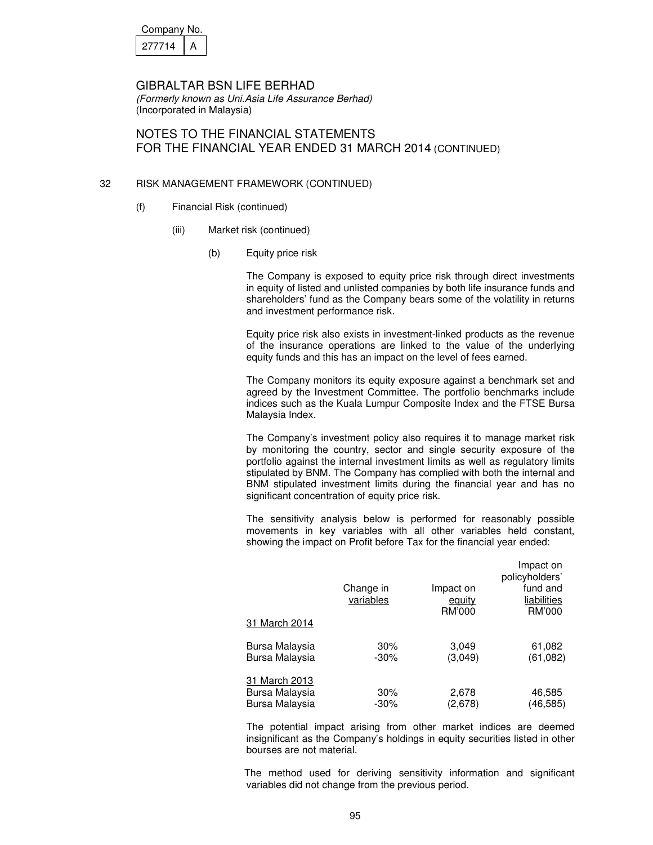| Company No. |  |
|-------------|--|
| 277714      |  |

(Formerly known as Uni.Asia Life Assurance Berhad) (Incorporated in Malaysia)

NOTES TO THE FINANCIAL STATEMENTS FOR THE FINANCIAL YEAR ENDED 31 MARCH 2014 (CONTINUED)

## 32 RISK MANAGEMENT FRAMEWORK (CONTINUED)

- (f) Financial Risk (continued)
	- (iii) Market risk (continued)
		- (b) Equity price risk

The Company is exposed to equity price risk through direct investments in equity of listed and unlisted companies by both life insurance funds and shareholders' fund as the Company bears some of the volatility in returns and investment performance risk.

Equity price risk also exists in investment-linked products as the revenue of the insurance operations are linked to the value of the underlying equity funds and this has an impact on the level of fees earned.

The Company monitors its equity exposure against a benchmark set and agreed by the Investment Committee. The portfolio benchmarks include indices such as the Kuala Lumpur Composite Index and the FTSE Bursa Malaysia Index.

The Company's investment policy also requires it to manage market risk by monitoring the country, sector and single security exposure of the portfolio against the internal investment limits as well as regulatory limits stipulated by BNM. The Company has complied with both the internal and BNM stipulated investment limits during the financial year and has no significant concentration of equity price risk.

The sensitivity analysis below is performed for reasonably possible movements in key variables with all other variables held constant, showing the impact on Profit before Tax for the financial year ended:

|                                                   | Change in<br>variables | Impact on<br>equity<br>RM'000 | Impact on<br>policyholders'<br>fund and<br>liabilities<br>RM'000 |
|---------------------------------------------------|------------------------|-------------------------------|------------------------------------------------------------------|
| <u>31 March 2014</u>                              |                        |                               |                                                                  |
| Bursa Malaysia<br>Bursa Malaysia                  | 30%<br>$-30\%$         | 3,049<br>(3,049)              | 61,082<br>(61,082)                                               |
| 31 March 2013<br>Bursa Malaysia<br>Bursa Malaysia | 30%<br>$-30%$          | 2,678<br>(2,678)              | 46,585<br>(46,585)                                               |

The potential impact arising from other market indices are deemed insignificant as the Company's holdings in equity securities listed in other bourses are not material.

The method used for deriving sensitivity information and significant variables did not change from the previous period.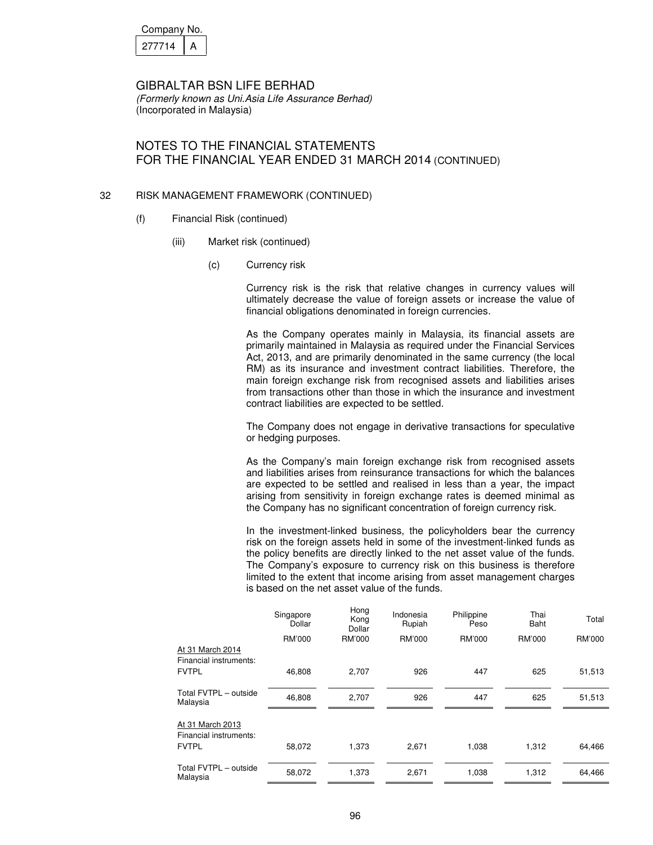| Company No. |  |
|-------------|--|
| 277714      |  |

# NOTES TO THE FINANCIAL STATEMENTS FOR THE FINANCIAL YEAR ENDED 31 MARCH 2014 (CONTINUED)

#### 32 RISK MANAGEMENT FRAMEWORK (CONTINUED)

- (f) Financial Risk (continued)
	- (iii) Market risk (continued)
		- (c) Currency risk

Currency risk is the risk that relative changes in currency values will ultimately decrease the value of foreign assets or increase the value of financial obligations denominated in foreign currencies.

As the Company operates mainly in Malaysia, its financial assets are primarily maintained in Malaysia as required under the Financial Services Act, 2013, and are primarily denominated in the same currency (the local RM) as its insurance and investment contract liabilities. Therefore, the main foreign exchange risk from recognised assets and liabilities arises from transactions other than those in which the insurance and investment contract liabilities are expected to be settled.

The Company does not engage in derivative transactions for speculative or hedging purposes.

As the Company's main foreign exchange risk from recognised assets and liabilities arises from reinsurance transactions for which the balances are expected to be settled and realised in less than a year, the impact arising from sensitivity in foreign exchange rates is deemed minimal as the Company has no significant concentration of foreign currency risk.

In the investment-linked business, the policyholders bear the currency risk on the foreign assets held in some of the investment-linked funds as the policy benefits are directly linked to the net asset value of the funds. The Company's exposure to currency risk on this business is therefore limited to the extent that income arising from asset management charges is based on the net asset value of the funds.

|                                            | Singapore<br>Dollar | Hong<br>Kong<br>Dollar | Indonesia<br>Rupiah | Philippine<br>Peso | Thai<br>Baht | Total  |
|--------------------------------------------|---------------------|------------------------|---------------------|--------------------|--------------|--------|
| At 31 March 2014<br>Financial instruments: | <b>RM'000</b>       | <b>RM'000</b>          | RM'000              | RM'000             | RM'000       | RM'000 |
| <b>FVTPL</b>                               | 46,808              | 2,707                  | 926                 | 447                | 625          | 51,513 |
| Total FVTPL - outside<br>Malaysia          | 46,808              | 2,707                  | 926                 | 447                | 625          | 51,513 |
| At 31 March 2013<br>Financial instruments: |                     |                        |                     |                    |              |        |
| <b>FVTPL</b>                               | 58,072              | 1,373                  | 2,671               | 1.038              | 1,312        | 64,466 |
| Total FVTPL - outside<br>Malaysia          | 58.072              | 1.373                  | 2,671               | 1,038              | 1,312        | 64,466 |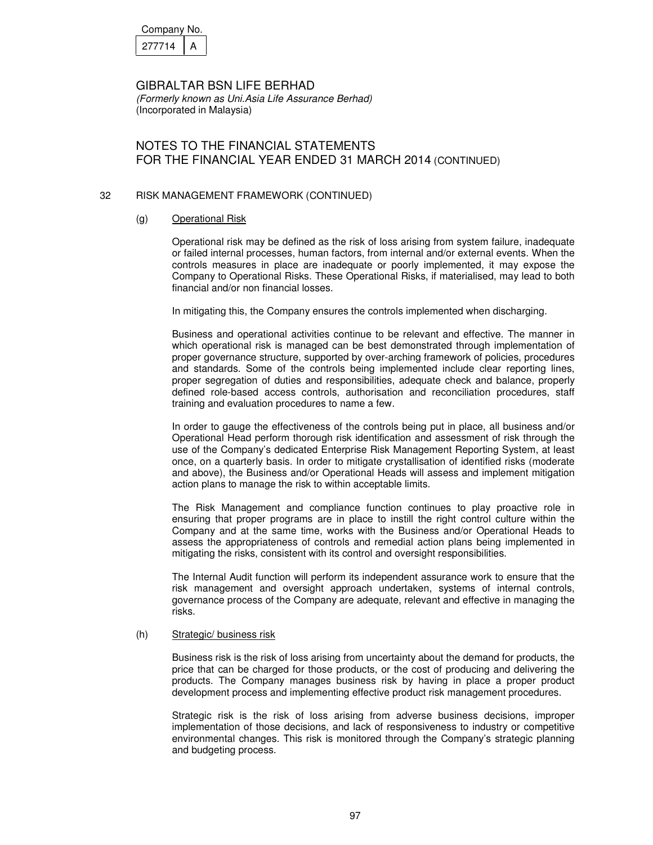| Company No. |  |
|-------------|--|
| 277714      |  |

# NOTES TO THE FINANCIAL STATEMENTS FOR THE FINANCIAL YEAR ENDED 31 MARCH 2014 (CONTINUED)

## 32 RISK MANAGEMENT FRAMEWORK (CONTINUED)

## (g) Operational Risk

Operational risk may be defined as the risk of loss arising from system failure, inadequate or failed internal processes, human factors, from internal and/or external events. When the controls measures in place are inadequate or poorly implemented, it may expose the Company to Operational Risks. These Operational Risks, if materialised, may lead to both financial and/or non financial losses.

In mitigating this, the Company ensures the controls implemented when discharging.

Business and operational activities continue to be relevant and effective. The manner in which operational risk is managed can be best demonstrated through implementation of proper governance structure, supported by over-arching framework of policies, procedures and standards. Some of the controls being implemented include clear reporting lines, proper segregation of duties and responsibilities, adequate check and balance, properly defined role-based access controls, authorisation and reconciliation procedures, staff training and evaluation procedures to name a few.

In order to gauge the effectiveness of the controls being put in place, all business and/or Operational Head perform thorough risk identification and assessment of risk through the use of the Company's dedicated Enterprise Risk Management Reporting System, at least once, on a quarterly basis. In order to mitigate crystallisation of identified risks (moderate and above), the Business and/or Operational Heads will assess and implement mitigation action plans to manage the risk to within acceptable limits.

The Risk Management and compliance function continues to play proactive role in ensuring that proper programs are in place to instill the right control culture within the Company and at the same time, works with the Business and/or Operational Heads to assess the appropriateness of controls and remedial action plans being implemented in mitigating the risks, consistent with its control and oversight responsibilities.

The Internal Audit function will perform its independent assurance work to ensure that the risk management and oversight approach undertaken, systems of internal controls, governance process of the Company are adequate, relevant and effective in managing the risks.

#### (h) Strategic/ business risk

Business risk is the risk of loss arising from uncertainty about the demand for products, the price that can be charged for those products, or the cost of producing and delivering the products. The Company manages business risk by having in place a proper product development process and implementing effective product risk management procedures.

Strategic risk is the risk of loss arising from adverse business decisions, improper implementation of those decisions, and lack of responsiveness to industry or competitive environmental changes. This risk is monitored through the Company's strategic planning and budgeting process.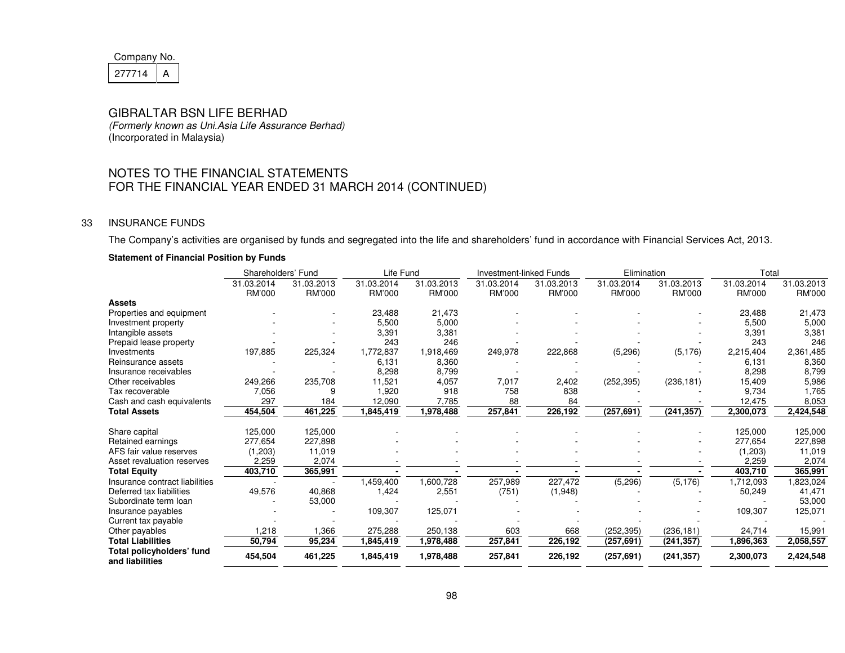| Company No. |  |
|-------------|--|
| 21111       |  |

 (Formerly known as Uni.Asia Life Assurance Berhad) (Incorporated in Malaysia)

# NOTES TO THE FINANCIAL STATEMENTS FOR THE FINANCIAL YEAR ENDED 31 MARCH 2014 (CONTINUED)

## 33 INSURANCE FUNDS

The Company's activities are organised by funds and segregated into the life and shareholders' fund in accordance with Financial Services Act, 2013.

## **Statement of Financial Position by Funds**

|                                              | Shareholders' Fund   |                      | Life Fund            |                      | <b>Investment-linked Funds</b> |                      | Elimination          |                      | Total                |                      |
|----------------------------------------------|----------------------|----------------------|----------------------|----------------------|--------------------------------|----------------------|----------------------|----------------------|----------------------|----------------------|
|                                              | 31.03.2014<br>RM'000 | 31.03.2013<br>RM'000 | 31.03.2014<br>RM'000 | 31.03.2013<br>RM'000 | 31.03.2014<br>RM'000           | 31.03.2013<br>RM'000 | 31.03.2014<br>RM'000 | 31.03.2013<br>RM'000 | 31.03.2014<br>RM'000 | 31.03.2013<br>RM'000 |
| Assets                                       |                      |                      |                      |                      |                                |                      |                      |                      |                      |                      |
| Properties and equipment                     |                      |                      | 23,488               | 21,473               |                                |                      |                      |                      | 23,488               | 21,473               |
| Investment property                          |                      |                      | 5,500                | 5,000                |                                |                      |                      |                      | 5,500                | 5,000                |
| Intangible assets                            |                      |                      | 3,391                | 3,381                |                                |                      |                      |                      | 3,391                | 3,381                |
| Prepaid lease property                       |                      |                      | 243                  | 246                  |                                |                      |                      |                      | 243                  | 246                  |
| Investments                                  | 197,885              | 225,324              | 1,772,837            | 1,918,469            | 249,978                        | 222,868              | (5,296)              | (5, 176)             | 2,215,404            | 2,361,485            |
| Reinsurance assets                           |                      |                      | 6,131                | 8,360                |                                |                      |                      |                      | 6,131                | 8,360                |
| Insurance receivables                        |                      |                      | 8,298                | 8,799                |                                |                      |                      |                      | 8,298                | 8,799                |
| Other receivables                            | 249,266              | 235,708              | 11,521               | 4,057                | 7,017                          | 2,402                | (252, 395)           | (236, 181)           | 15,409               | 5,986                |
| Tax recoverable                              | 7,056                |                      | 1,920                | 918                  | 758                            | 838                  |                      |                      | 9,734                | 1,765                |
| Cash and cash equivalents                    | 297                  | 184                  | 12,090               | 7,785                | 88                             | 84                   |                      |                      | 12,475               | 8,053                |
| <b>Total Assets</b>                          | 454,504              | 461,225              | 1,845,419            | 1,978,488            | 257,841                        | 226,192              | (257, 691)           | (241, 357)           | 2,300,073            | 2,424,548            |
| Share capital                                | 125,000              | 125,000              |                      |                      |                                |                      |                      |                      | 125,000              | 125,000              |
| Retained earnings                            | 277,654              | 227,898              |                      |                      |                                |                      |                      |                      | 277,654              | 227,898              |
| AFS fair value reserves                      | (1,203)              | 11,019               |                      |                      |                                |                      |                      |                      | (1,203)              | 11,019               |
| Asset revaluation reserves                   | 2,259                | 2,074                |                      |                      |                                |                      |                      |                      | 2,259                | 2,074                |
| <b>Total Equity</b>                          | 403,710              | 365,991              |                      |                      |                                |                      |                      |                      | 403,710              | 365,991              |
| Insurance contract liabilities               |                      |                      | 1,459,400            | 1,600,728            | 257,989                        | 227,472              | (5, 296)             | (5, 176)             | 1,712,093            | 1,823,024            |
| Deferred tax liabilities                     | 49,576               | 40,868               | 1,424                | 2,551                | (751)                          | (1,948)              |                      |                      | 50,249               | 41,471               |
| Subordinate term loan                        |                      | 53,000               |                      |                      |                                |                      |                      |                      |                      | 53,000               |
| Insurance payables                           |                      |                      | 109,307              | 125,071              |                                |                      |                      |                      | 109,307              | 125,071              |
| Current tax payable                          |                      |                      |                      |                      |                                |                      |                      |                      |                      |                      |
| Other payables                               | 1,218                | 1,366                | 275,288              | 250,138              | 603                            | 668                  | (252, 395)           | (236, 181)           | 24,714               | 15,991               |
| <b>Total Liabilities</b>                     | 50,794               | 95,234               | 1,845,419            | 1,978,488            | 257,841                        | 226,192              | (257, 691)           | (241, 357)           | 1,896,363            | 2,058,557            |
| Total policyholders' fund<br>and liabilities | 454,504              | 461,225              | 1,845,419            | 1,978,488            | 257,841                        | 226,192              | (257, 691)           | (241, 357)           | 2,300,073            | 2,424,548            |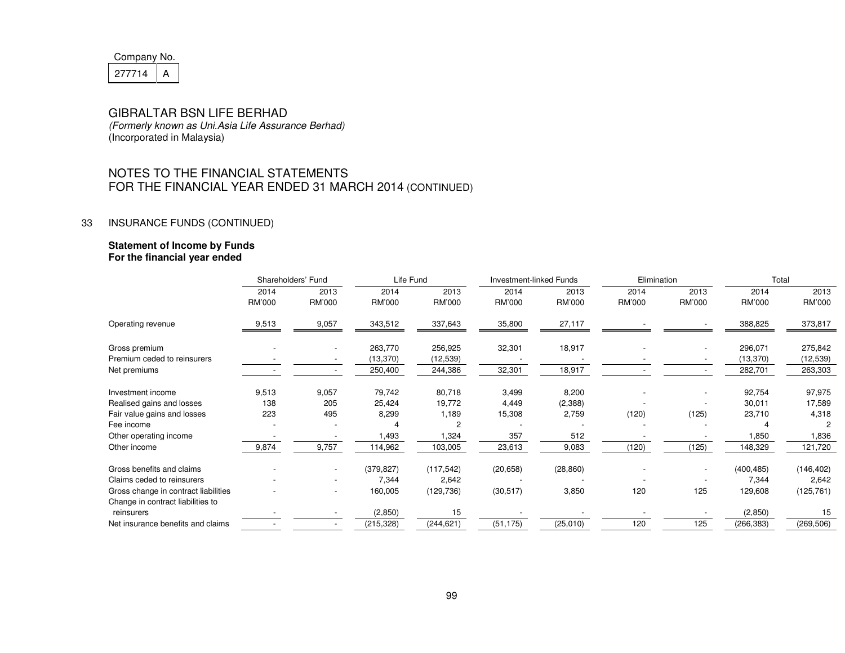| Company No. |  |  |  |  |
|-------------|--|--|--|--|
| 277714      |  |  |  |  |

 (Formerly known as Uni.Asia Life Assurance Berhad) (Incorporated in Malaysia)

# NOTES TO THE FINANCIAL STATEMENTS FOR THE FINANCIAL YEAR ENDED 31 MARCH 2014 (CONTINUED)

## 33 INSURANCE FUNDS (CONTINUED)

# **Statement of Income by Funds For the financial year ended**

|                                                                           | Shareholders' Fund |                          | Life Fund  |            | Investment-linked Funds |           | Elimination |                          | Total         |            |
|---------------------------------------------------------------------------|--------------------|--------------------------|------------|------------|-------------------------|-----------|-------------|--------------------------|---------------|------------|
|                                                                           | 2014               | 2013                     | 2014       | 2013       | 2014                    | 2013      | 2014        | 2013                     | 2014          | 2013       |
|                                                                           | RM'000             | RM'000                   | RM'000     | RM'000     | RM'000                  | RM'000    | RM'000      | RM'000                   | <b>RM'000</b> | RM'000     |
| Operating revenue                                                         | 9,513              | 9,057                    | 343,512    | 337,643    | 35,800                  | 27,117    |             |                          | 388,825       | 373,817    |
| Gross premium                                                             |                    | $\overline{\phantom{a}}$ | 263,770    | 256,925    | 32,301                  | 18,917    |             | $\overline{\phantom{a}}$ | 296,071       | 275,842    |
| Premium ceded to reinsurers                                               |                    |                          | (13,370)   | (12,539)   |                         |           |             |                          | (13, 370)     | (12, 539)  |
| Net premiums                                                              |                    |                          | 250,400    | 244,386    | 32,301                  | 18,917    |             |                          | 282,701       | 263,303    |
| Investment income                                                         | 9,513              | 9,057                    | 79,742     | 80,718     | 3,499                   | 8,200     |             |                          | 92,754        | 97,975     |
| Realised gains and losses                                                 | 138                | 205                      | 25,424     | 19,772     | 4,449                   | (2,388)   |             |                          | 30,011        | 17,589     |
| Fair value gains and losses                                               | 223                | 495                      | 8,299      | 1,189      | 15,308                  | 2,759     | (120)       | (125)                    | 23,710        | 4,318      |
| Fee income                                                                |                    |                          |            | 2          |                         |           |             |                          |               | 2          |
| Other operating income                                                    |                    |                          | 1,493      | 1,324      | 357                     | 512       |             |                          | 1,850         | 1,836      |
| Other income                                                              | 9,874              | 9,757                    | 114,962    | 103,005    | 23,613                  | 9,083     | (120)       | (125)                    | 148,329       | 121,720    |
| Gross benefits and claims                                                 |                    | $\overline{\phantom{a}}$ | (379, 827) | (117, 542) | (20, 658)               | (28, 860) |             |                          | (400, 485)    | (146, 402) |
| Claims ceded to reinsurers                                                |                    |                          | 7,344      | 2,642      |                         |           |             |                          | 7,344         | 2,642      |
| Gross change in contract liabilities<br>Change in contract liabilities to |                    | $\overline{\phantom{a}}$ | 160,005    | (129, 736) | (30, 517)               | 3,850     | 120         | 125                      | 129,608       | (125, 761) |
| reinsurers                                                                |                    |                          | (2,850)    | 15         |                         |           |             |                          | (2,850)       | 15         |
| Net insurance benefits and claims                                         |                    |                          | (215, 328) | (244, 621) | (51, 175)               | (25,010)  | 120         | 125                      | (266, 383)    | (269, 506) |